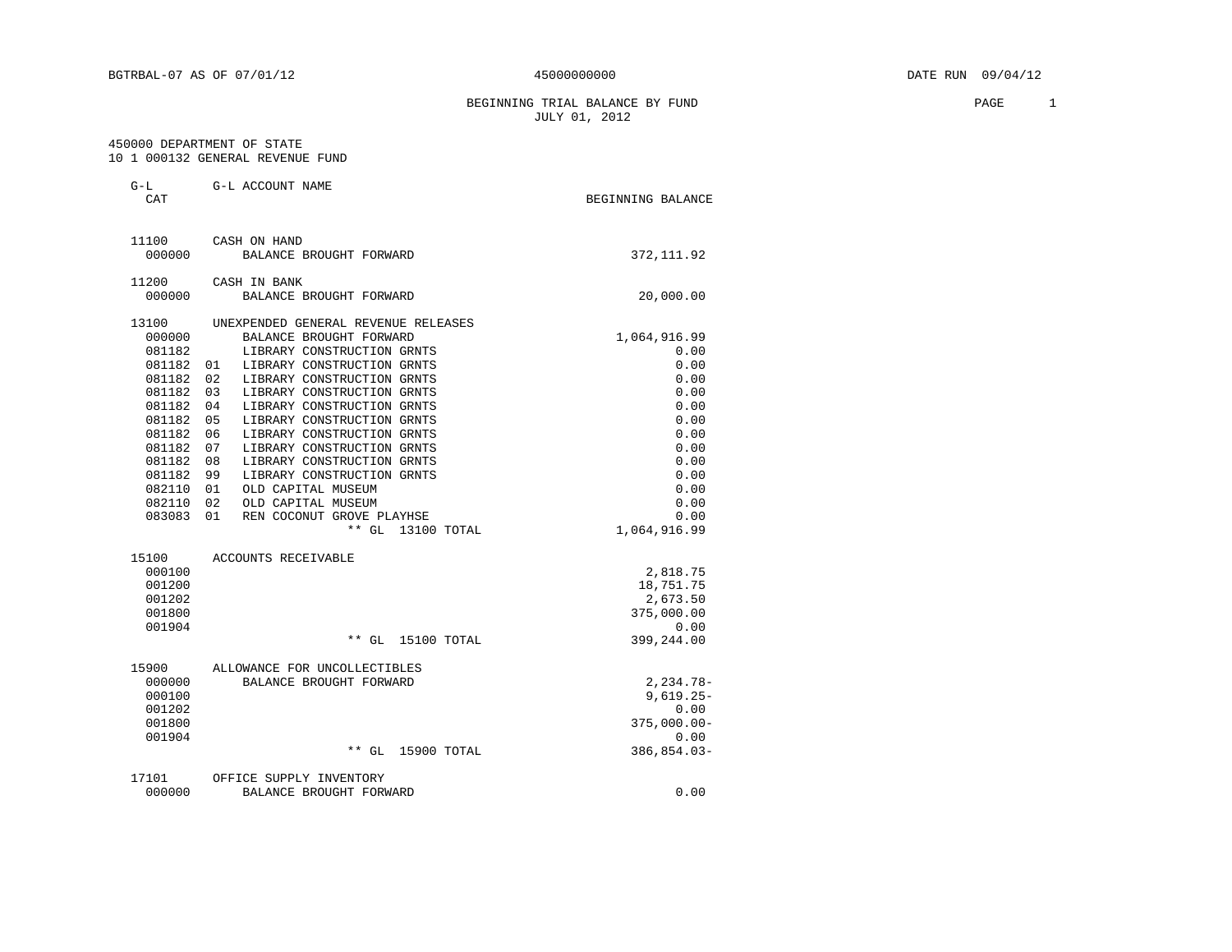BEGINNING TRIAL BALANCE BY FUND **PAGE** 1 JULY 01, 2012

#### 450000 DEPARTMENT OF STATE 10 1 000132 GENERAL REVENUE FUND

| $G-L$<br>CAT | G-L ACCOUNT NAME                    | BEGINNING BALANCE |
|--------------|-------------------------------------|-------------------|
| 11100        | CASH ON HAND                        |                   |
| 000000       | BALANCE BROUGHT FORWARD             | 372, 111.92       |
| 11200        | CASH IN BANK                        |                   |
| 000000       | BALANCE BROUGHT FORWARD             | 20,000.00         |
| 13100        | UNEXPENDED GENERAL REVENUE RELEASES |                   |
| 000000       | BALANCE BROUGHT FORWARD             | 1,064,916.99      |
| 081182       | LIBRARY CONSTRUCTION GRNTS          | 0.00              |
| 081182       | LIBRARY CONSTRUCTION GRNTS<br>01    | 0.00              |
| 081182       | 02<br>LIBRARY CONSTRUCTION GRNTS    | 0.00              |
| 081182       | 0.3<br>LIBRARY CONSTRUCTION GRNTS   | 0.00              |
| 081182       | 04<br>LIBRARY CONSTRUCTION GRNTS    | 0.00              |
| 081182       | 0.5<br>LIBRARY CONSTRUCTION GRNTS   | 0.00              |
| 081182       | 06<br>LIBRARY CONSTRUCTION GRNTS    | 0.00              |
| 081182       | 07<br>LIBRARY CONSTRUCTION GRNTS    | 0.00              |
| 081182       | 08<br>LIBRARY CONSTRUCTION GRNTS    | 0.00              |
| 081182       | 99<br>LIBRARY CONSTRUCTION GRNTS    | 0.00              |
| 082110       | 01<br>OLD CAPITAL MUSEUM            | 0.00              |
| 082110       | 02<br>OLD CAPITAL MUSEUM            | 0.00              |
| 083083       | 01<br>REN COCONUT GROVE PLAYHSE     | 0.00              |
|              | ** GL 13100 TOTAL                   | 1,064,916.99      |
| 15100        | ACCOUNTS RECEIVABLE                 |                   |

| 000100 |                              | 2,818.75       |
|--------|------------------------------|----------------|
| 001200 |                              | 18,751.75      |
| 001202 |                              | 2,673.50       |
| 001800 |                              | 375,000.00     |
| 001904 |                              | 0.00           |
|        | ** GL<br>15100 TOTAL         | 399,244.00     |
| 15900  | ALLOWANCE FOR UNCOLLECTIBLES |                |
| 000000 | BALANCE BROUGHT FORWARD      | 2,234.78-      |
| 000100 |                              | $9,619.25-$    |
| 001202 |                              | 0.00           |
| 001800 |                              | $375,000.00 -$ |
| 001904 |                              | 0.00           |
|        | ** GL 15900 TOTAL            | 386,854.03-    |
| 17101  | OFFICE SUPPLY INVENTORY      |                |
| 000000 | BALANCE BROUGHT FORWARD      | 0.00           |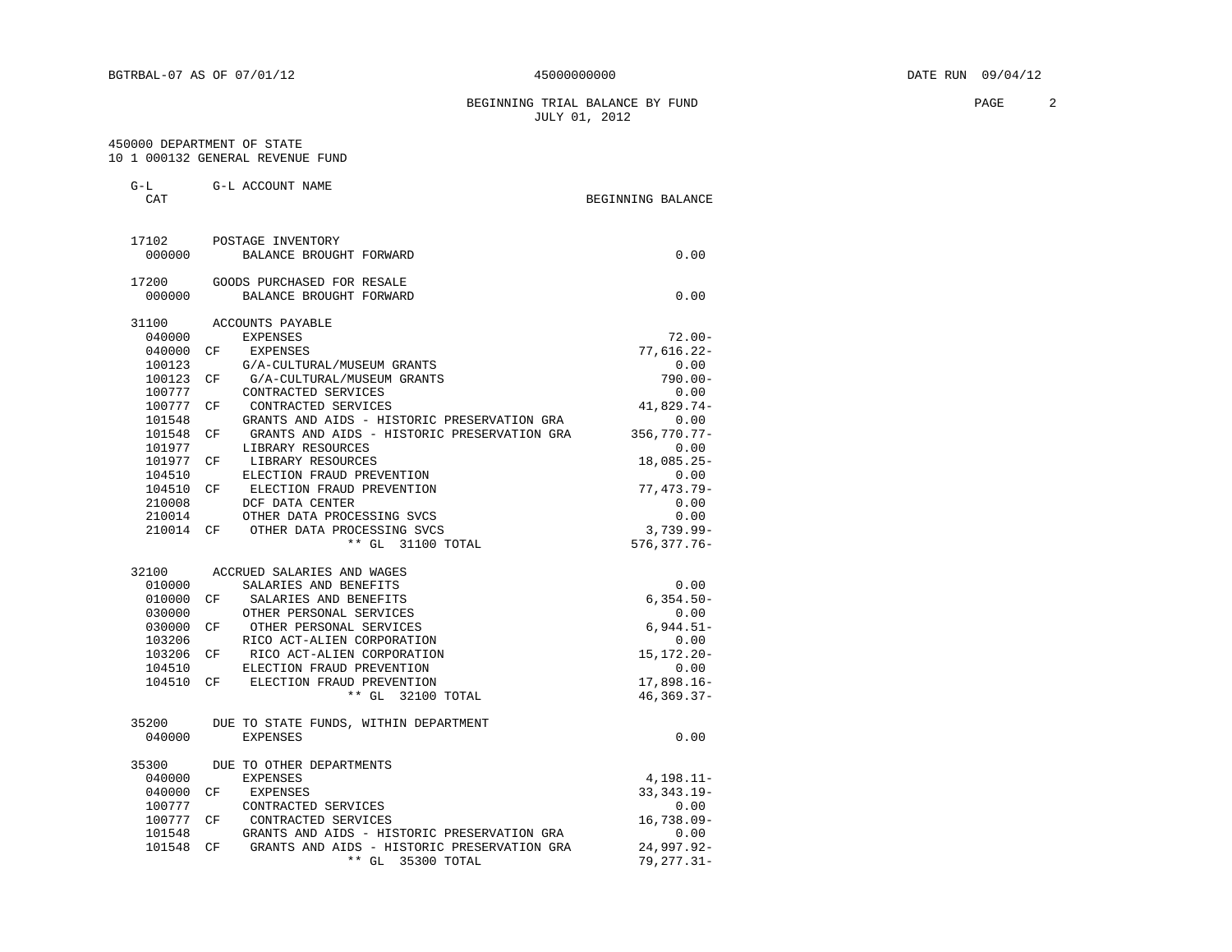BEGINNING TRIAL BALANCE BY FUND **PAGE** 2 JULY 01, 2012

 450000 DEPARTMENT OF STATE 10 1 000132 GENERAL REVENUE FUND

G-L G-L ACCOUNT NAME

| 17102<br>POSTAGE INVENTORY<br>000000<br>BALANCE BROUGHT FORWARD<br>17200<br>GOODS PURCHASED FOR RESALE<br>BALANCE BROUGHT FORWARD<br>000000<br>31100<br>ACCOUNTS PAYABLE | 0.00<br>0.00    |
|--------------------------------------------------------------------------------------------------------------------------------------------------------------------------|-----------------|
|                                                                                                                                                                          |                 |
|                                                                                                                                                                          |                 |
|                                                                                                                                                                          |                 |
|                                                                                                                                                                          |                 |
|                                                                                                                                                                          |                 |
| 040000<br><b>EXPENSES</b>                                                                                                                                                | $72.00 -$       |
| 040000<br>СF<br>EXPENSES                                                                                                                                                 | 77,616.22-      |
| 100123<br>G/A-CULTURAL/MUSEUM GRANTS                                                                                                                                     | 0.00            |
| 100123<br>G/A-CULTURAL/MUSEUM GRANTS<br>CF.                                                                                                                              | $790.00 -$      |
| 100777<br>CONTRACTED SERVICES                                                                                                                                            | 0.00            |
| 100777<br>CONTRACTED SERVICES<br>CF.                                                                                                                                     | 41,829.74-      |
| GRANTS AND AIDS - HISTORIC PRESERVATION GRA<br>101548                                                                                                                    | 0.00            |
| 101548<br>GRANTS AND AIDS - HISTORIC PRESERVATION GRA<br>CF                                                                                                              | $356,770.77 -$  |
| 101977<br>LIBRARY RESOURCES                                                                                                                                              | 0.00            |
| 101977<br>LIBRARY RESOURCES<br>CF                                                                                                                                        | $18,085.25-$    |
| 104510<br>ELECTION FRAUD PREVENTION                                                                                                                                      | 0.00            |
| ELECTION FRAUD PREVENTION<br>104510<br>CF                                                                                                                                | 77,473.79-      |
| 210008<br>DCF DATA CENTER                                                                                                                                                | 0.00            |
| OTHER DATA PROCESSING SVCS<br>210014                                                                                                                                     | 0.00            |
| 210014<br>OTHER DATA PROCESSING SVCS<br>CF                                                                                                                               | $3,739.99 -$    |
| ** GL 31100 TOTAL                                                                                                                                                        | $576, 377.76 -$ |
| 32100<br>ACCRUED SALARIES AND WAGES                                                                                                                                      |                 |
| 010000<br>SALARIES AND BENEFITS                                                                                                                                          | 0.00            |
| 010000<br>SALARIES AND BENEFITS<br>CF                                                                                                                                    | $6,354.50-$     |
| OTHER PERSONAL SERVICES<br>030000                                                                                                                                        | 0.00            |
| 030000<br>OTHER PERSONAL SERVICES<br>CF                                                                                                                                  | $6,944.51-$     |
| 103206<br>RICO ACT-ALIEN CORPORATION                                                                                                                                     | 0.00            |
| 103206<br>RICO ACT-ALIEN CORPORATION<br>CF                                                                                                                               | 15, 172. 20-    |
| ELECTION FRAUD PREVENTION<br>104510                                                                                                                                      | 0.00            |
| 104510<br>ELECTION FRAUD PREVENTION<br>CF                                                                                                                                | $17,898.16-$    |
| ** GL 32100 TOTAL                                                                                                                                                        | $46, 369.37 -$  |
| 35200<br>DUE TO STATE FUNDS, WITHIN DEPARTMENT                                                                                                                           |                 |
| 040000<br><b>EXPENSES</b>                                                                                                                                                | 0.00            |
| 35300<br>DUE TO OTHER DEPARTMENTS                                                                                                                                        |                 |
| 040000<br><b>EXPENSES</b>                                                                                                                                                | $4,198.11-$     |
| 040000<br>EXPENSES<br>CF                                                                                                                                                 | $33,343.19 -$   |
| 100777<br>CONTRACTED SERVICES                                                                                                                                            | 0.00            |
| 100777<br>CONTRACTED SERVICES<br>CF.                                                                                                                                     | $16,738.09 -$   |
| 101548<br>GRANTS AND AIDS - HISTORIC PRESERVATION GRA                                                                                                                    | 0.00            |
| 101548<br>GRANTS AND AIDS - HISTORIC PRESERVATION GRA<br>CF.                                                                                                             | 24,997.92-      |
| $**$ GL<br>35300 TOTAL                                                                                                                                                   | 79, 277.31-     |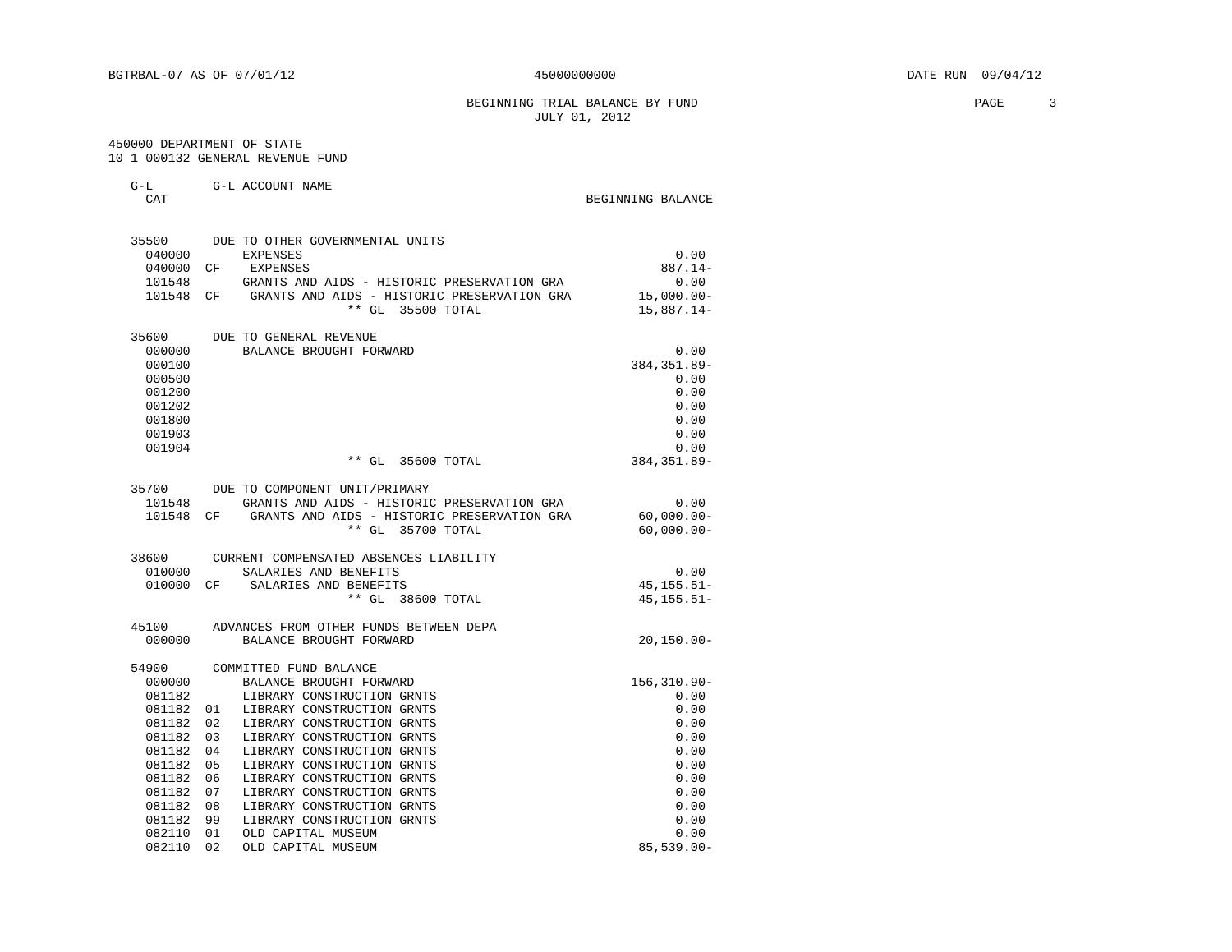BEGINNING TRIAL BALANCE BY FUND **PAGE** 3 JULY 01, 2012

#### 450000 DEPARTMENT OF STATE 10 1 000132 GENERAL REVENUE FUND

| . .<br>$\sim$ | ____ | . | ______ | $\sim$ |
|---------------|------|---|--------|--------|
|               |      |   |        |        |
|               |      |   |        |        |
|               |      |   |        |        |
|               |      |   |        |        |

| $G-L$<br>CAT              | G-L ACCOUNT NAME                                                            | BEGINNING BALANCE        |
|---------------------------|-----------------------------------------------------------------------------|--------------------------|
| 35500<br>040000<br>040000 | DUE TO OTHER GOVERNMENTAL UNITS<br><b>EXPENSES</b><br>CF<br>EXPENSES        | 0.00<br>$887.14-$        |
| 101548                    | GRANTS AND AIDS - HISTORIC PRESERVATION GRA                                 | 0.00                     |
| 101548                    | GRANTS AND AIDS - HISTORIC PRESERVATION GRA<br>CF<br>$**$ GL<br>35500 TOTAL | 15,000.00-<br>15,887.14- |
| 35600                     | DUE TO GENERAL REVENUE                                                      |                          |
| 000000                    | BALANCE BROUGHT FORWARD                                                     | 0.00                     |
| 000100                    |                                                                             | 384, 351.89-             |
| 000500                    |                                                                             | 0.00                     |
| 001200                    |                                                                             | 0.00                     |
| 001202                    |                                                                             | 0.00                     |
| 001800                    |                                                                             | 0.00                     |
| 001903                    |                                                                             | 0.00                     |
| 001904                    |                                                                             | 0.00                     |
|                           | ** GL 35600 TOTAL                                                           | 384, 351.89-             |
| 35700                     | DUE TO COMPONENT UNIT/PRIMARY                                               |                          |
| 101548                    | GRANTS AND AIDS - HISTORIC PRESERVATION GRA                                 | 0.00                     |
| 101548 CF                 | GRANTS AND AIDS - HISTORIC PRESERVATION GRA                                 | $60,000.00 -$            |
|                           | $**$ GL<br>35700 TOTAL                                                      | $60,000.00 -$            |
| 38600                     | CURRENT COMPENSATED ABSENCES LIABILITY                                      |                          |
| 010000                    | SALARIES AND BENEFITS                                                       | 0.00                     |
| 010000 CF                 | SALARIES AND BENEFITS                                                       | $45, 155.51 -$           |
|                           | ** GL 38600 TOTAL                                                           | $45, 155.51 -$           |
| 45100                     | ADVANCES FROM OTHER FUNDS BETWEEN DEPA                                      |                          |
| 000000                    | BALANCE BROUGHT FORWARD                                                     | $20, 150.00 -$           |
| 54900                     | COMMITTED FUND BALANCE                                                      |                          |
| 000000                    | BALANCE BROUGHT FORWARD                                                     | $156, 310.90 -$          |
| 081182                    | LIBRARY CONSTRUCTION GRNTS                                                  | 0.00                     |
| 081182                    | LIBRARY CONSTRUCTION GRNTS<br>01                                            | 0.00                     |
| 081182                    | 02<br>LIBRARY CONSTRUCTION GRNTS                                            | 0.00                     |
| 081182                    | 0.3<br>LIBRARY CONSTRUCTION GRNTS                                           | 0.00                     |
| 081182                    | LIBRARY CONSTRUCTION GRNTS<br>04                                            | 0.00                     |
| 081182                    | LIBRARY CONSTRUCTION GRNTS<br>05                                            | 0.00                     |
| 081182                    | 06<br>LIBRARY CONSTRUCTION GRNTS                                            | 0.00                     |
| 081182                    | 07<br>LIBRARY CONSTRUCTION GRNTS                                            | 0.00                     |
| 081182                    | 08<br>LIBRARY CONSTRUCTION GRNTS                                            | 0.00                     |
| 081182                    | 99<br>LIBRARY CONSTRUCTION GRNTS                                            | 0.00                     |
| 082110                    | 01<br>OLD CAPITAL MUSEUM                                                    | 0.00                     |
| 082110                    | 02<br>OLD CAPITAL MUSEUM                                                    | $85,539.00 -$            |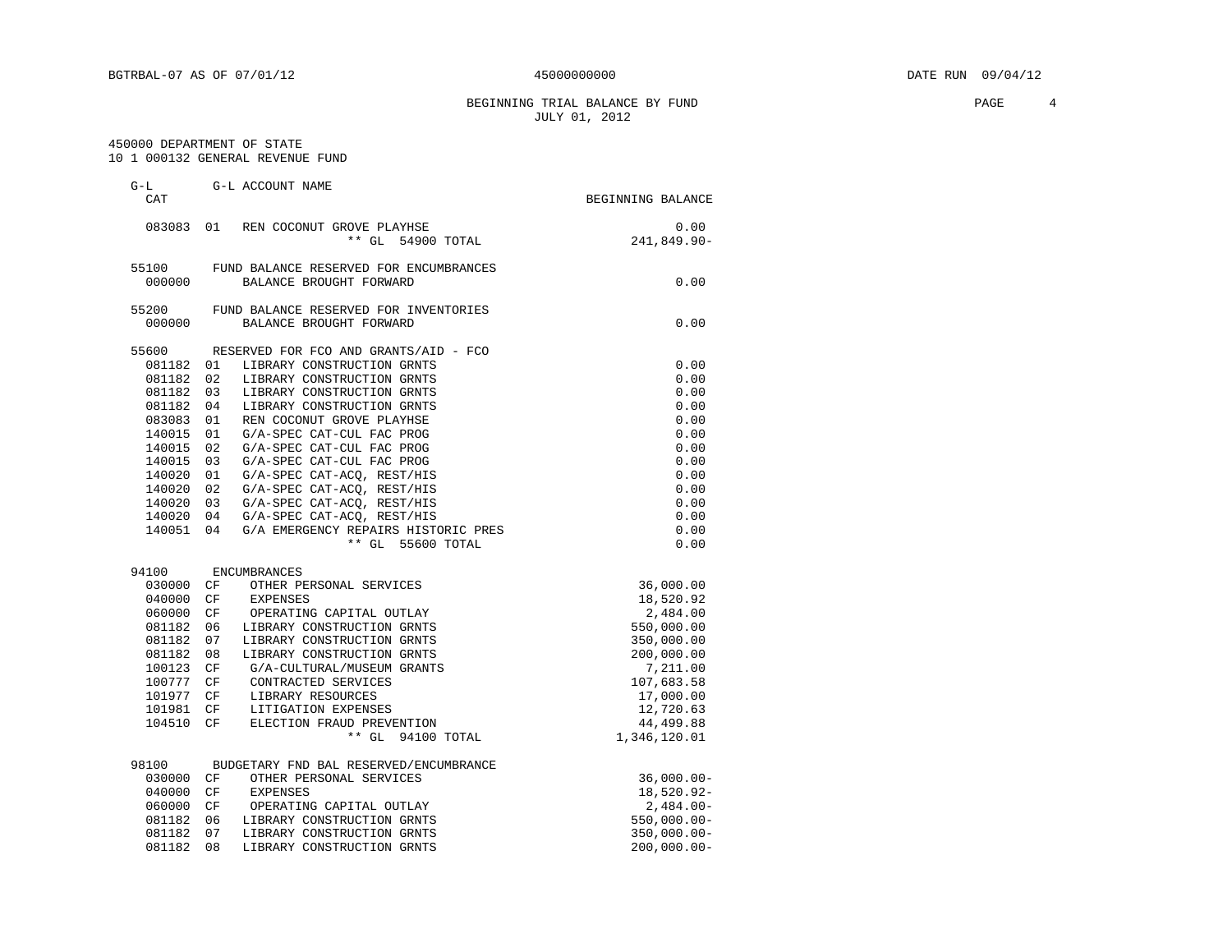#### BEGINNING TRIAL BALANCE BY FUND **PAGE** 4 JULY 01, 2012

#### 450000 DEPARTMENT OF STATE 10 1 000132 GENERAL REVENUE FUND

| CAT       | G-L ACCOUNT NAME                          | BEGINNING BALANCE |
|-----------|-------------------------------------------|-------------------|
| 083083 01 | REN COCONUT GROVE PLAYHSE                 | 0.00              |
|           | ** GL 54900 TOTAL                         | 241,849.90-       |
| 55100     | FUND BALANCE RESERVED FOR ENCUMBRANCES    |                   |
| 000000    | BALANCE BROUGHT FORWARD                   | 0.00              |
| 55200     | FUND BALANCE RESERVED FOR INVENTORIES     |                   |
| 000000    | BALANCE BROUGHT FORWARD                   | 0.00              |
| 55600     | RESERVED FOR FCO AND GRANTS/AID - FCO     |                   |
| 081182 01 | LIBRARY CONSTRUCTION GRNTS                | 0.00              |
| 081182    | 02<br>LIBRARY CONSTRUCTION GRNTS          | 0.00              |
| 081182    | 03<br>LIBRARY CONSTRUCTION GRNTS          | 0.00              |
| 081182    | 04<br>LIBRARY CONSTRUCTION GRNTS          | 0.00              |
| 083083    | REN COCONUT GROVE PLAYHSE<br>01           | 0.00              |
| 140015    | 01<br>G/A-SPEC CAT-CUL FAC PROG           | 0.00              |
| 140015    | 02<br>G/A-SPEC CAT-CUL FAC PROG           | 0.00              |
| 140015    | 03<br>G/A-SPEC CAT-CUL FAC PROG           | 0.00              |
| 140020    | G/A-SPEC CAT-ACQ, REST/HIS<br>01          | 0.00              |
| 140020    | 02<br>G/A-SPEC CAT-ACQ, REST/HIS          | 0.00              |
| 140020    | 03<br>G/A-SPEC CAT-ACQ, REST/HIS          | 0.00              |
| 140020    | 04<br>G/A-SPEC CAT-ACQ, REST/HIS          | 0.00              |
| 140051    | 04<br>G/A EMERGENCY REPAIRS HISTORIC PRES | 0.00              |
|           | ** GL 55600 TOTAL                         | 0.00              |
| 94100     | <b>ENCUMBRANCES</b>                       |                   |
| 030000    | CF<br>OTHER PERSONAL SERVICES             | 36,000.00         |
| 040000    | CF<br><b>EXPENSES</b>                     | 18,520.92         |
| 060000    | CF<br>OPERATING CAPITAL OUTLAY            | 2,484.00          |
| 081182    | 06<br>LIBRARY CONSTRUCTION GRNTS          | 550,000.00        |
| 081182    | 07<br>LIBRARY CONSTRUCTION GRNTS          | 350,000.00        |
| 081182    | 08<br>LIBRARY CONSTRUCTION GRNTS          | 200,000.00        |
| 100123    | CF<br>G/A-CULTURAL/MUSEUM GRANTS          | 7,211.00          |
| 100777    | CF<br>CONTRACTED SERVICES                 | 107,683.58        |
| 101977    | CF<br>LIBRARY RESOURCES                   | 17,000.00         |
| 101981    | CF<br>LITIGATION EXPENSES                 | 12,720.63         |
| 104510    | CF<br>ELECTION FRAUD PREVENTION           | 44, 499.88        |
|           | ** GL 94100 TOTAL                         | 1,346,120.01      |
| 98100     | BUDGETARY FND BAL RESERVED/ENCUMBRANCE    |                   |
| 030000    | OTHER PERSONAL SERVICES<br>CF             | $36,000.00 -$     |
| 040000    | CF<br><b>EXPENSES</b>                     | 18,520.92-        |
| 060000    | CF<br>OPERATING CAPITAL OUTLAY            | $2,484.00 -$      |
| 081182    | LIBRARY CONSTRUCTION GRNTS<br>06          | $550,000.00 -$    |
| 081182    | 07<br>LIBRARY CONSTRUCTION GRNTS          | $350,000.00 -$    |
| 081182    | 08<br>LIBRARY CONSTRUCTION GRNTS          | $200,000.00 -$    |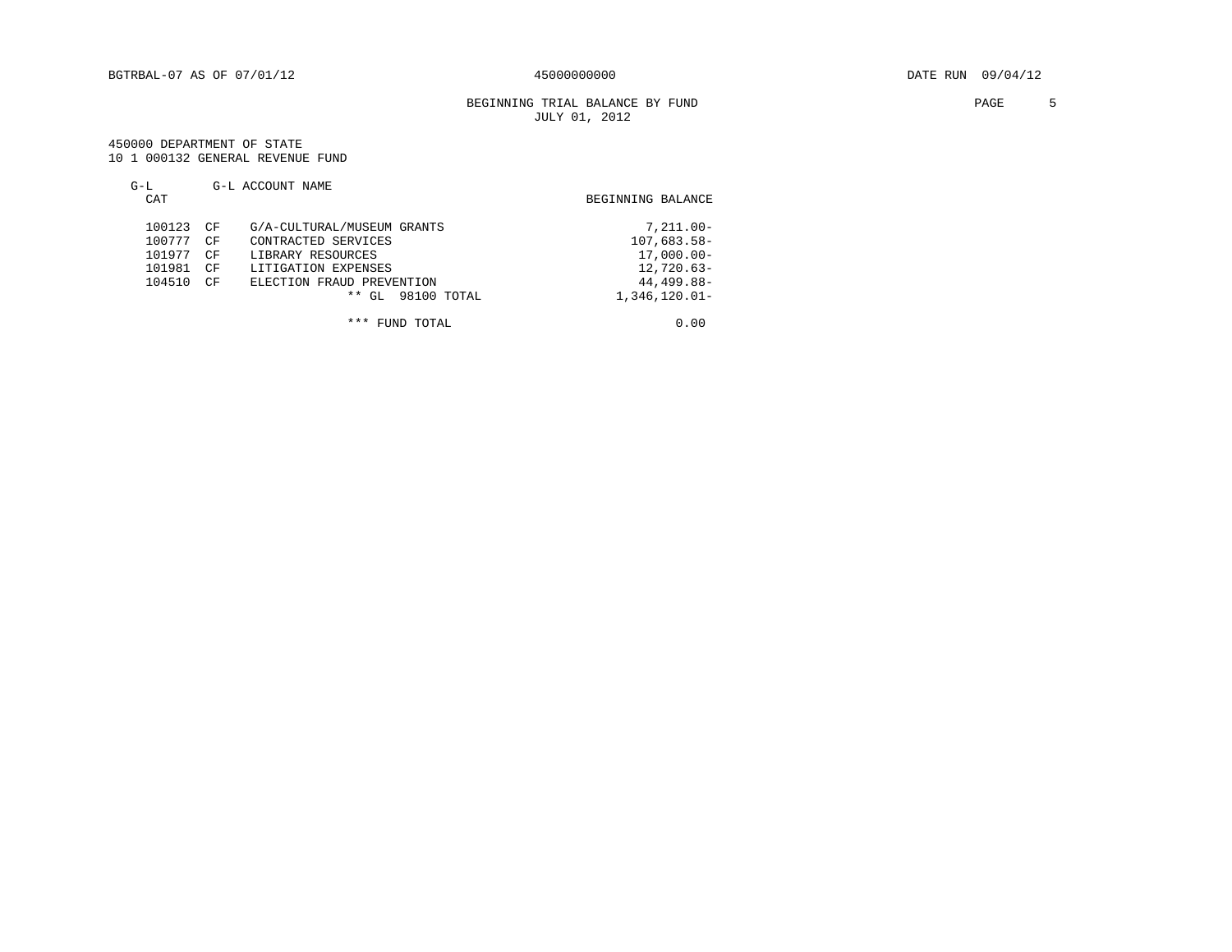#### BEGINNING TRIAL BALANCE BY FUND **PAGE** 5 JULY 01, 2012

#### 450000 DEPARTMENT OF STATE 10 1 000132 GENERAL REVENUE FUND

#### G-L G-L ACCOUNT NAME CAT BEGINNING BALANCE 100123 CF G/A-CULTURAL/MUSEUM GRANTS  $7,211.00-100777$  CF CONTRACTED SERVICES  $107,683.58-$ 100777 CF CONTRACTED SERVICES 107,683.58-101977 CF LIBRARY RESOURCES 107,000.00-101977 CF LIBRARY RESOURCES 17,000.00-101981 CF LITIGATION EXPENSES 12,720.63-101981 CF LITIGATION EXPENSES<br>104510 CF ELECTION FRAUD PREVENTION 12,720.63-104510 CF ELECTION FRAUD PREVENTION \*\* GL 98100 TOTAL 1,346,120.01-

\*\*\* FUND TOTAL 0.00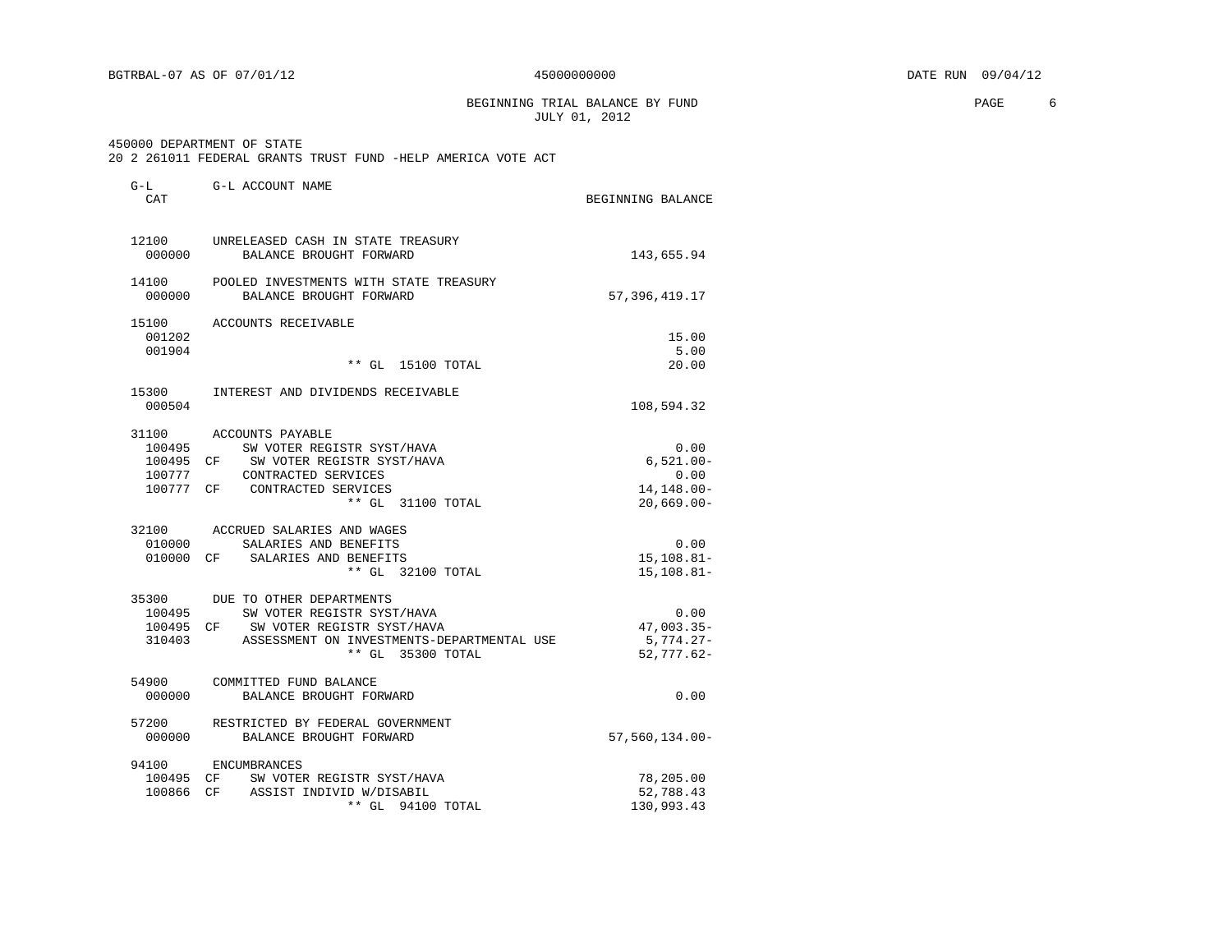BEGINNING TRIAL BALANCE BY FUND **PAGE** 6 JULY 01, 2012

#### 450000 DEPARTMENT OF STATE

| 20 2 261011 FEDERAL GRANTS TRUST FUND -HELP AMERICA VOTE ACT |  |
|--------------------------------------------------------------|--|
|--------------------------------------------------------------|--|

| $G-L$<br>CAT                  | G-L ACCOUNT NAME                                                                                                                                                    | BEGINNING BALANCE                                           |
|-------------------------------|---------------------------------------------------------------------------------------------------------------------------------------------------------------------|-------------------------------------------------------------|
| 12100<br>000000               | UNRELEASED CASH IN STATE TREASURY<br>BALANCE BROUGHT FORWARD                                                                                                        | 143,655.94                                                  |
| 14100<br>000000               | POOLED INVESTMENTS WITH STATE TREASURY<br>BALANCE BROUGHT FORWARD                                                                                                   | 57, 396, 419.17                                             |
| 15100<br>001202<br>001904     | ACCOUNTS RECEIVABLE<br>** GL 15100 TOTAL                                                                                                                            | 15.00<br>5.00<br>20.00                                      |
| 15300<br>000504               | INTEREST AND DIVIDENDS RECEIVABLE                                                                                                                                   | 108,594.32                                                  |
| 31100<br>100495<br>100777     | ACCOUNTS PAYABLE<br>SW VOTER REGISTR SYST/HAVA<br>100495 CF SW VOTER REGISTR SYST/HAVA<br>CONTRACTED SERVICES<br>100777 CF CONTRACTED SERVICES<br>** GL 31100 TOTAL | 0.00<br>$6,521.00 -$<br>0.00<br>14,148.00-<br>$20,669.00 -$ |
| 010000                        | 32100 ACCRUED SALARIES AND WAGES<br>SALARIES AND BENEFITS<br>010000 CF SALARIES AND BENEFITS<br>** GL 32100 TOTAL                                                   | 0.00<br>$15, 108.81 -$<br>$15, 108.81 -$                    |
| 100495<br>100495 CF<br>310403 | 35300 DUE TO OTHER DEPARTMENTS<br>SW VOTER REGISTR SYST/HAVA<br>SW VOTER REGISTR SYST/HAVA<br>ASSESSMENT ON INVESTMENTS-DEPARTMENTAL USE<br>** GL 35300 TOTAL       | 0.00<br>$47,003.35-$<br>5,774.27-<br>$52,777.62-$           |
| 54900<br>000000               | COMMITTED FUND BALANCE<br>BALANCE BROUGHT FORWARD                                                                                                                   | 0.00                                                        |
| 57200<br>000000               | RESTRICTED BY FEDERAL GOVERNMENT<br>BALANCE BROUGHT FORWARD                                                                                                         | 57,560,134.00-                                              |
|                               | 94100 ENCUMBRANCES<br>100495 CF SW VOTER REGISTR SYST/HAVA<br>100866 CF ASSIST INDIVID W/DISABIL<br>** GL<br>94100 TOTAL                                            | 78,205.00<br>52,788.43<br>130,993.43                        |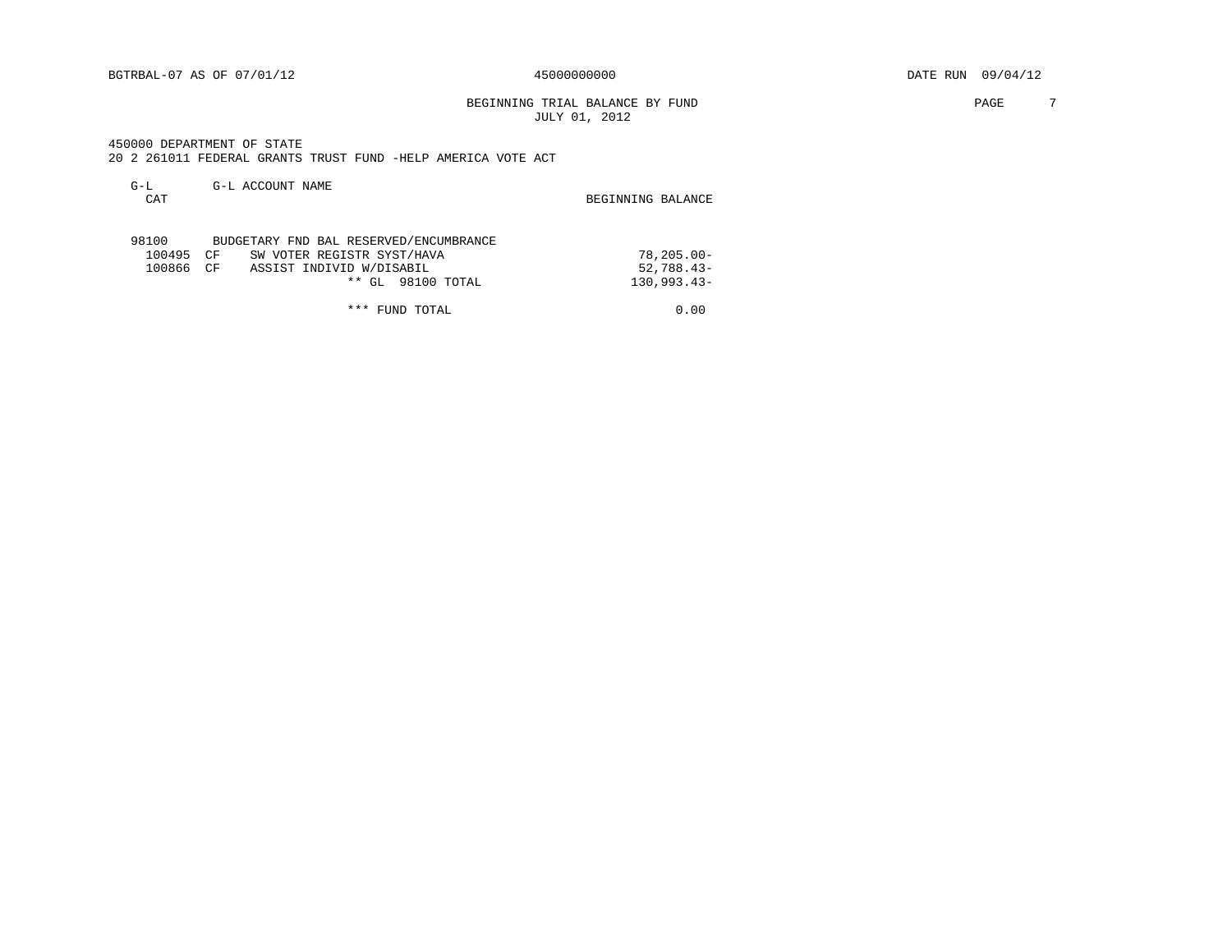BEGINNING TRIAL BALANCE BY FUND **PAGE** 7 JULY 01, 2012

 450000 DEPARTMENT OF STATE 20 2 261011 FEDERAL GRANTS TRUST FUND -HELP AMERICA VOTE ACT

| $G-L$  |    | G-L ACCOUNT NAME                       |                   |
|--------|----|----------------------------------------|-------------------|
| CAT    |    |                                        | BEGINNING BALANCE |
|        |    |                                        |                   |
|        |    |                                        |                   |
| 98100  |    | BUDGETARY FND BAL RESERVED/ENCUMBRANCE |                   |
| 100495 | CF | SW VOTER REGISTR SYST/HAVA             | $78, 205, 00 -$   |
| 100866 | CF | ASSIST INDIVID W/DISABIL               | $52,788.43-$      |
|        |    | 98100 TOTAL<br>$***$<br>GL             | $130.993.43-$     |

\*\*\* FUND TOTAL 0.00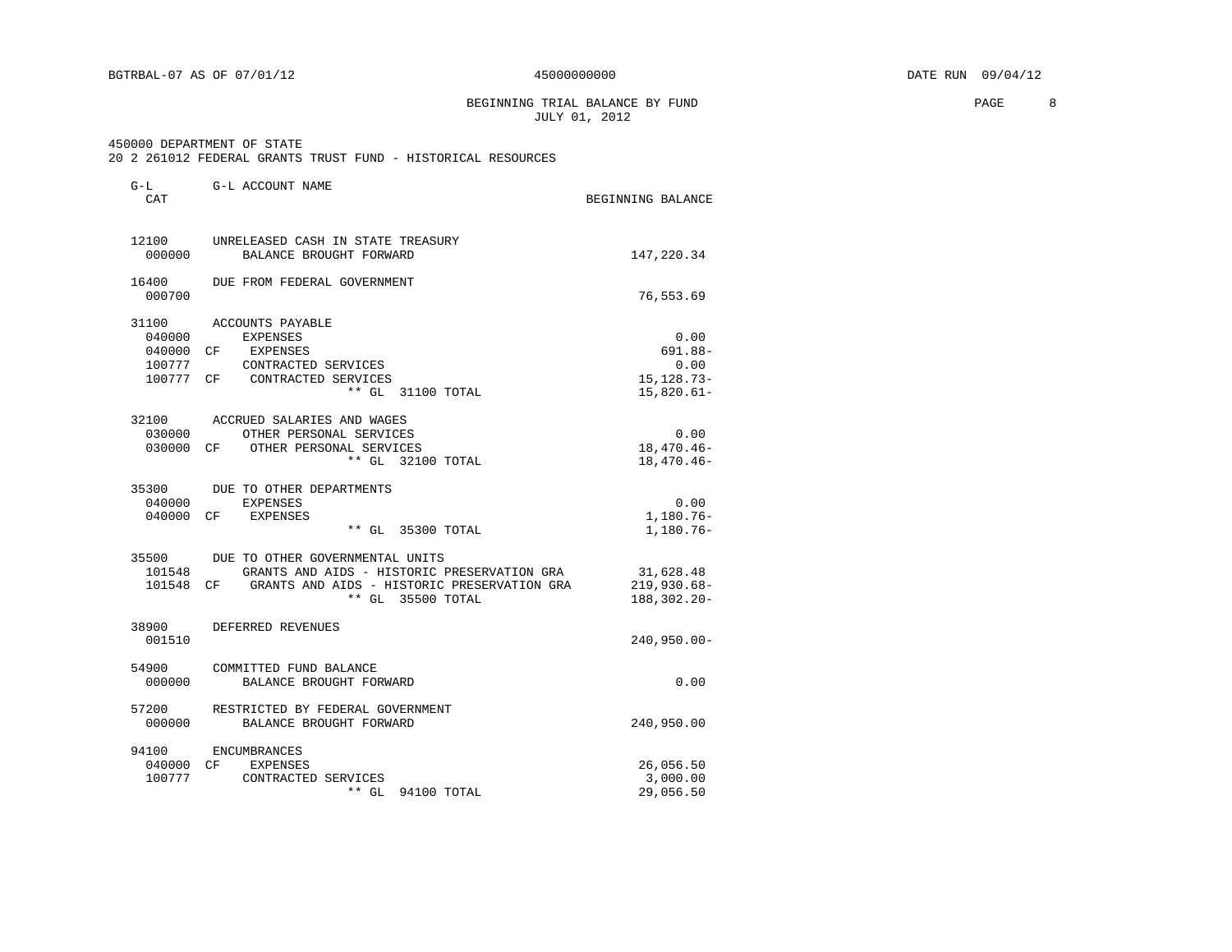#### BEGINNING TRIAL BALANCE BY FUND **PAGE** 8 JULY 01, 2012

450000 DEPARTMENT OF STATE

| G-L<br>CAT                | G-L ACCOUNT NAME                                                                                                                                                          | BEGINNING BALANCE                                          |
|---------------------------|---------------------------------------------------------------------------------------------------------------------------------------------------------------------------|------------------------------------------------------------|
| 12100<br>000000           | UNRELEASED CASH IN STATE TREASURY<br>BALANCE BROUGHT FORWARD                                                                                                              | 147,220.34                                                 |
| 16400<br>000700           | DUE FROM FEDERAL GOVERNMENT                                                                                                                                               | 76,553.69                                                  |
| 31100<br>040000           | ACCOUNTS PAYABLE<br><b>EXPENSES</b><br>040000 CF EXPENSES<br>100777 CONTRACTED SERVICES<br>100777 CF CONTRACTED SERVICES<br>** GL 31100 TOTAL                             | 0.00<br>$691.88 -$<br>0.00<br>15, 128. 73-<br>$15,820.61-$ |
| 030000<br>030000          | 32100 ACCRUED SALARIES AND WAGES<br>OTHER PERSONAL SERVICES<br>CF OTHER PERSONAL SERVICES<br>** GL 32100 TOTAL                                                            | 0.00<br>$18,470.46-$<br>$18,470.46-$                       |
| 040000<br>040000          | 35300 DUE TO OTHER DEPARTMENTS<br>EXPENSES<br>CF EXPENSES<br>** GL 35300 TOTAL                                                                                            | 0.00<br>$1,180.76 -$<br>1,180.76-                          |
|                           | 35500 DUE TO OTHER GOVERNMENTAL UNITS<br>101548 GRANTS AND AIDS - HISTORIC PRESERVATION GRA<br>101548 CF GRANTS AND AIDS - HISTORIC PRESERVATION GRA<br>** GL 35500 TOTAL | 31,628.48<br>219,930.68-<br>188,302.20-                    |
| 38900<br>001510           | DEFERRED REVENUES                                                                                                                                                         | 240,950.00-                                                |
| 54900<br>000000           | COMMITTED FUND BALANCE<br>BALANCE BROUGHT FORWARD                                                                                                                         | 0.00                                                       |
| 57200<br>000000           | RESTRICTED BY FEDERAL GOVERNMENT<br>BALANCE BROUGHT FORWARD                                                                                                               | 240,950.00                                                 |
| 94100<br>040000<br>100777 | ENCUMBRANCES<br>CF<br>EXPENSES<br>CONTRACTED SERVICES<br>** GL<br>94100 TOTAL                                                                                             | 26,056.50<br>3,000.00<br>29,056.50                         |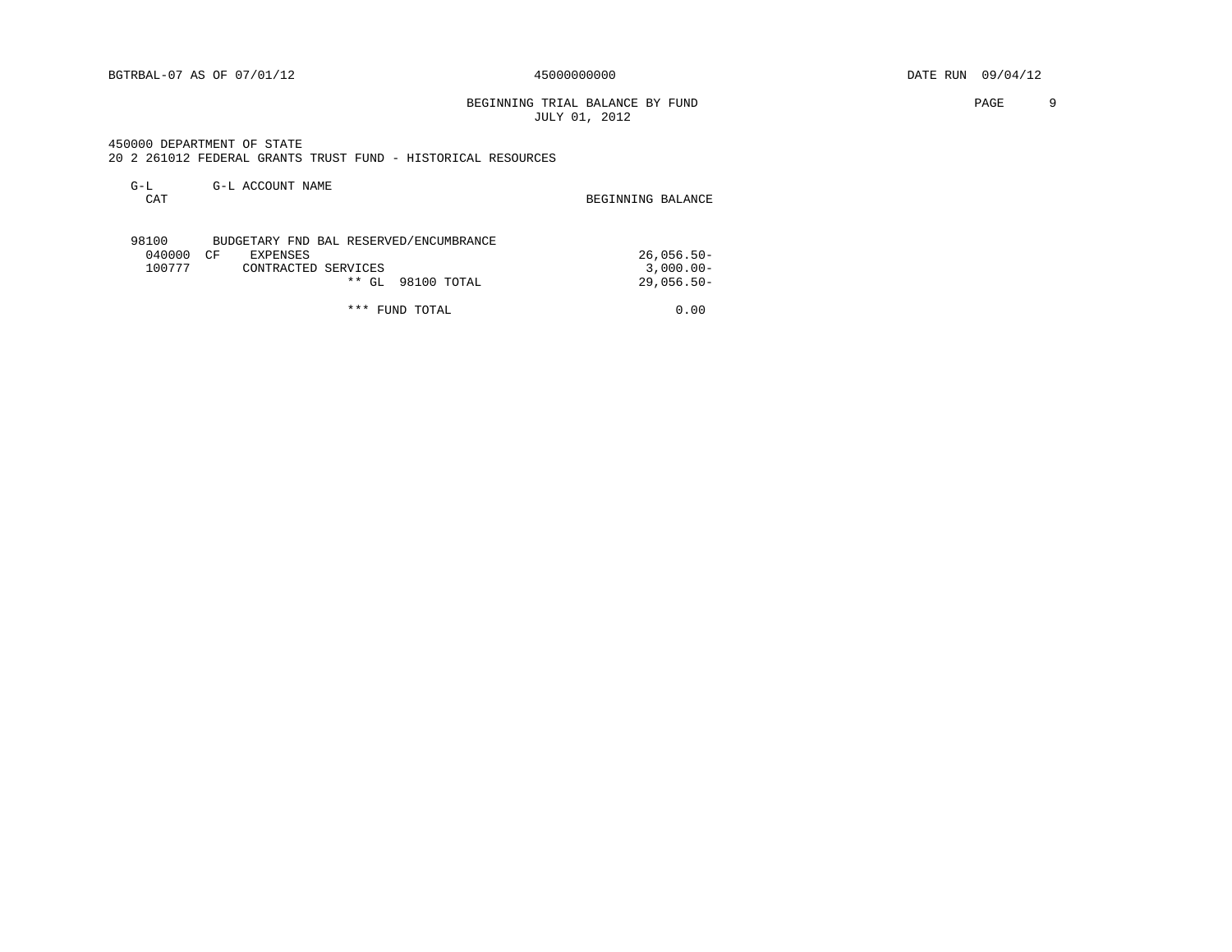BEGINNING TRIAL BALANCE BY FUND **PAGE** 9 JULY 01, 2012

 450000 DEPARTMENT OF STATE 20 2 261012 FEDERAL GRANTS TRUST FUND - HISTORICAL RESOURCES

| $G-L$<br>CAT | G-L ACCOUNT NAME                       | BEGINNING BALANCE |
|--------------|----------------------------------------|-------------------|
| 98100        | BUDGETARY FND BAL RESERVED/ENCUMBRANCE |                   |

|  | 040000 CF |  | EXPENSES            |  |                   |  | 26,056.50- |
|--|-----------|--|---------------------|--|-------------------|--|------------|
|  | 100777    |  | CONTRACTED SERVICES |  |                   |  | 3,000.00-  |
|  |           |  |                     |  | ** GL 98100 TOTAL |  | 29,056.50- |
|  |           |  |                     |  |                   |  |            |

\*\*\* FUND TOTAL 0.00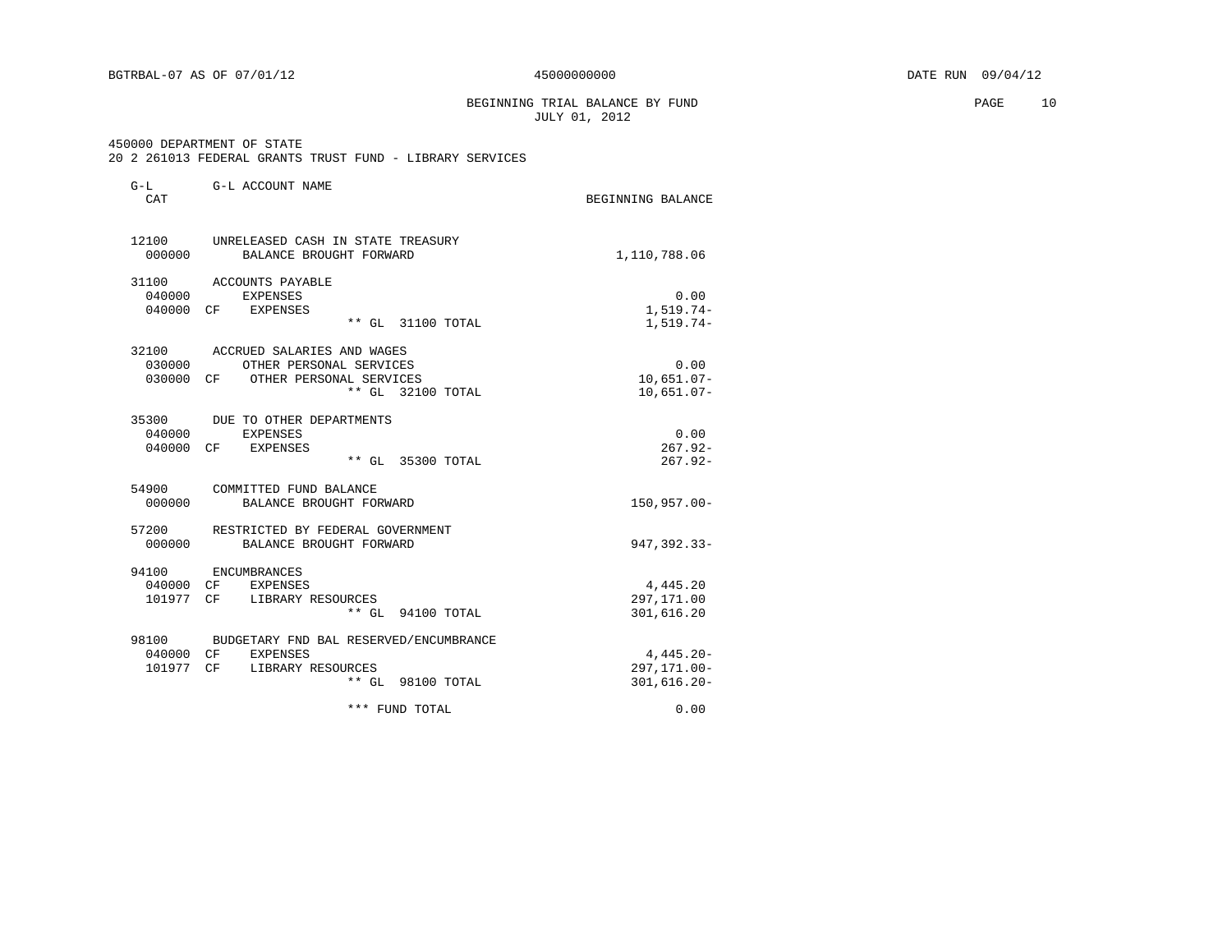BEGINNING TRIAL BALANCE BY FUND **PAGE** 10 JULY 01, 2012

 450000 DEPARTMENT OF STATE 20 2 261013 FEDERAL GRANTS TRUST FUND - LIBRARY SERVICES

| $G-L$<br><b>CAT</b>             | G-L ACCOUNT NAME                                                                                                | BEGINNING BALANCE                              |
|---------------------------------|-----------------------------------------------------------------------------------------------------------------|------------------------------------------------|
| 12100<br>000000                 | UNRELEASED CASH IN STATE TREASURY<br>BALANCE BROUGHT FORWARD                                                    | 1,110,788.06                                   |
| 31100<br>040000<br>040000 CF    | ACCOUNTS PAYABLE<br><b>EXPENSES</b><br>EXPENSES<br>** GL 31100 TOTAL                                            | 0.00<br>1,519.74-<br>$1,519.74-$               |
| 32100<br>030000                 | ACCRUED SALARIES AND WAGES<br>OTHER PERSONAL SERVICES<br>030000 CF OTHER PERSONAL SERVICES<br>** GL 32100 TOTAL | 0.00<br>$10,651.07-$<br>$10,651.07-$           |
| 35300<br>040000<br>040000 CF    | DUE TO OTHER DEPARTMENTS<br>EXPENSES<br>EXPENSES<br>** GL 35300 TOTAL                                           | 0.00<br>$267.92-$<br>$267.92-$                 |
| 54900<br>000000                 | COMMITTED FUND BALANCE<br>BALANCE BROUGHT FORWARD                                                               | $150, 957.00 -$                                |
| 57200<br>000000                 | RESTRICTED BY FEDERAL GOVERNMENT<br>BALANCE BROUGHT FORWARD                                                     | $947, 392.33 -$                                |
| 94100<br>040000 CF<br>101977 CF | ENCUMBRANCES<br>EXPENSES<br>LIBRARY RESOURCES<br>** GL 94100 TOTAL                                              | 4,445.20<br>297,171.00<br>301,616.20           |
| 98100<br>040000 CF              | BUDGETARY FND BAL RESERVED/ENCUMBRANCE<br>EXPENSES<br>101977 CF LIBRARY RESOURCES<br>** GL 98100 TOTAL          | $4,445.20 -$<br>297, 171.00-<br>$301,616.20 -$ |
|                                 | *** FUND TOTAL                                                                                                  | 0.00                                           |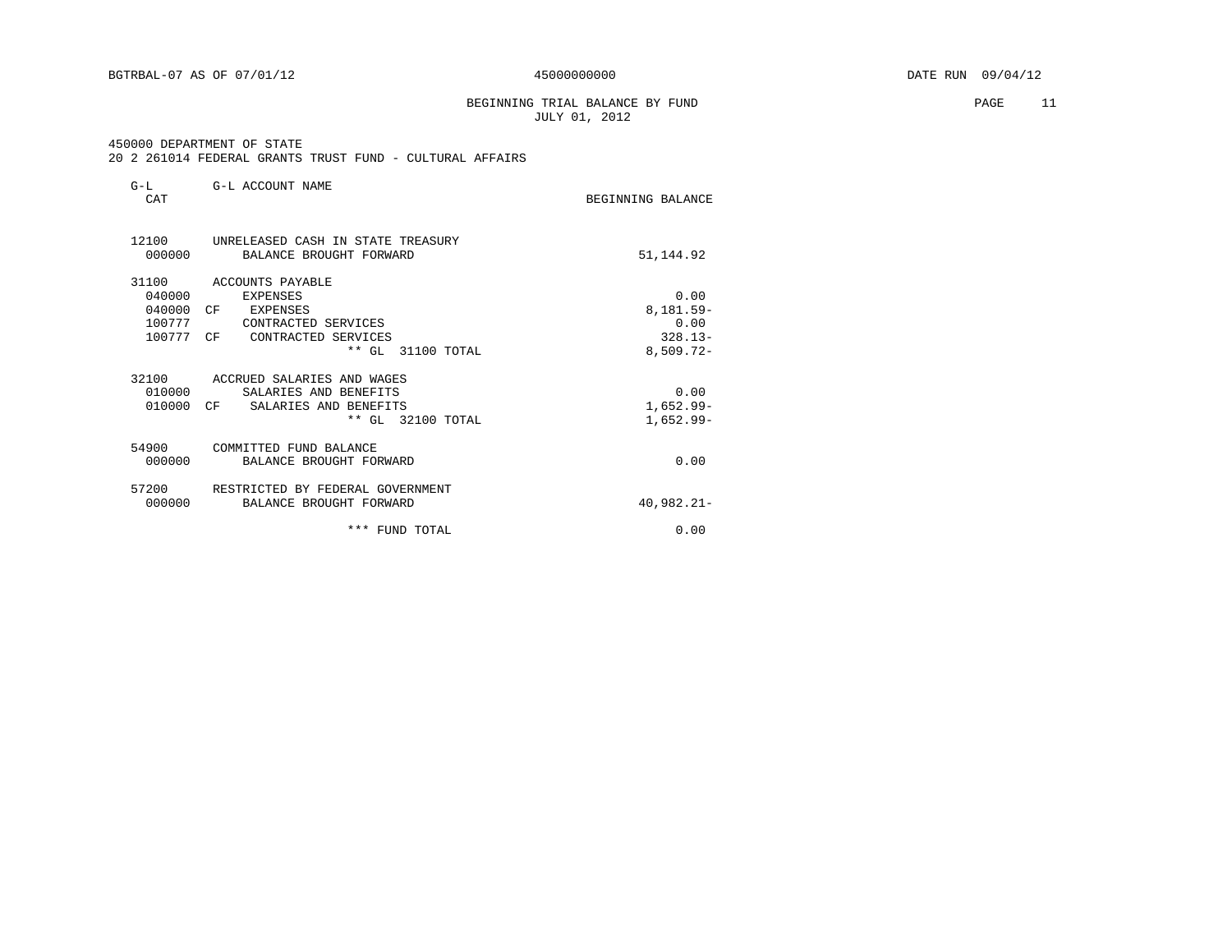BGTRBAL-07 AS OF 07/01/12  $450000000000$   $DATE$  RUN 09/04/12

 BEGINNING TRIAL BALANCE BY FUND PAGE 11 JULY 01, 2012

#### 450000 DEPARTMENT OF STATE 20 2 261014 FEDERAL GRANTS TRUST FUND - CULTURAL AFFAIRS

| $G-L$<br>CAT    | G-L ACCOUNT NAME                                             | BEGINNING BALANCE |
|-----------------|--------------------------------------------------------------|-------------------|
| 12100<br>000000 | UNRELEASED CASH IN STATE TREASURY<br>BALANCE BROUGHT FORWARD | 51,144.92         |
| 31100           | ACCOUNTS PAYABLE                                             |                   |
| 040000          | <b>EXPENSES</b>                                              | 0.00              |
| 040000          | CF<br>EXPENSES                                               | 8,181.59-         |
| 100777          | CONTRACTED SERVICES                                          | 0.00              |
| 100777          | CF<br>CONTRACTED SERVICES                                    | $328.13-$         |
|                 | $**$ GL<br>31100 TOTAL                                       | $8,509.72 -$      |
| 32100           | ACCRUED SALARIES AND WAGES                                   |                   |
| 010000          | SALARIES AND BENEFITS                                        | 0.00              |
| 010000          | CF<br>SALARIES AND BENEFITS                                  | $1,652.99-$       |
|                 | ** GL 32100 TOTAL                                            | $1,652.99-$       |
| 54900           | COMMITTED FUND BALANCE                                       |                   |
| 000000          | BALANCE BROUGHT FORWARD                                      | 0.00              |
| 57200           | RESTRICTED BY FEDERAL GOVERNMENT                             |                   |
| 000000          | BALANCE BROUGHT FORWARD                                      | 40,982.21-        |
|                 | *** FUND TOTAL                                               | 0.00              |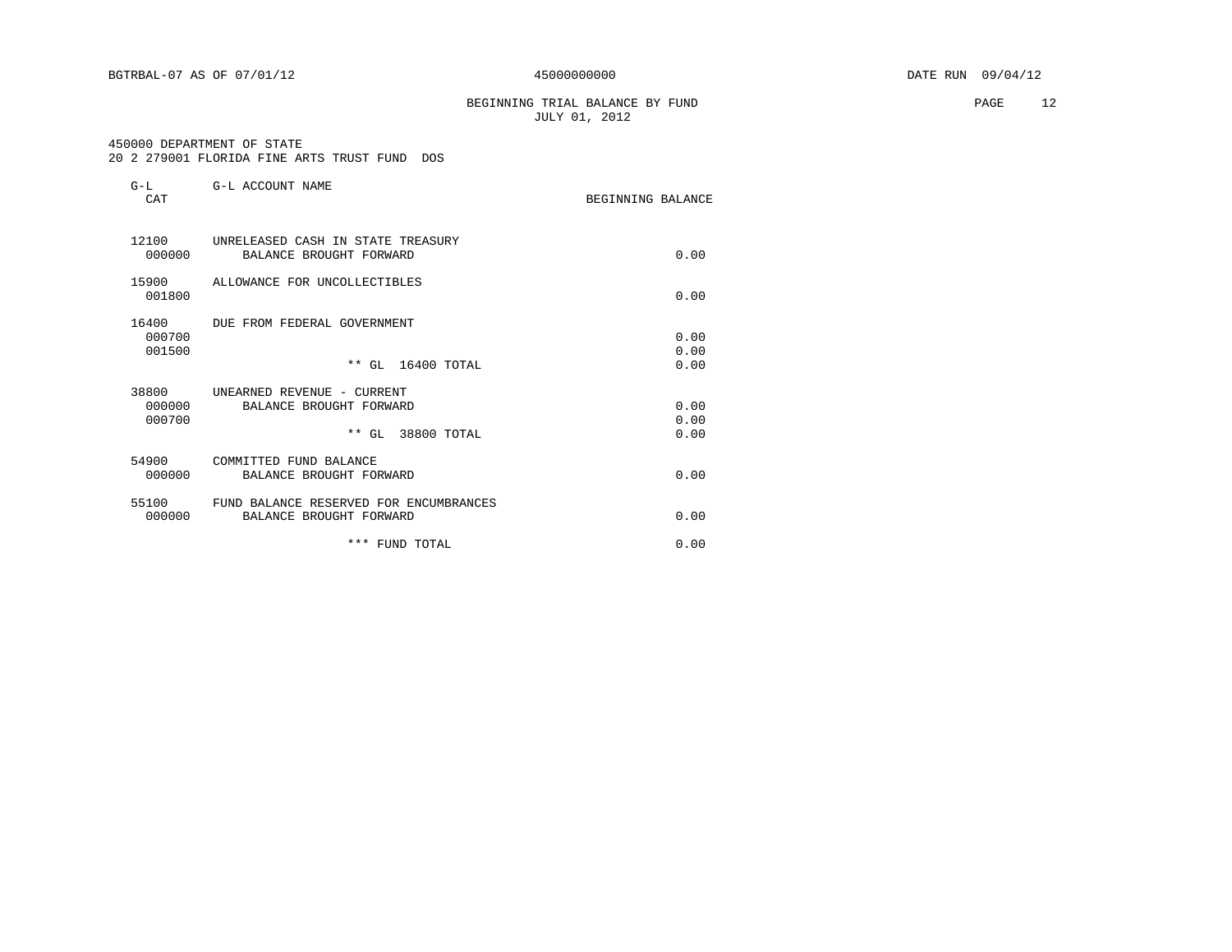BGTRBAL-07 AS OF 07/01/12  $450000000000$   $DATE$  RUN 09/04/12

\*\*\* FUND TOTAL 0.00

 BEGINNING TRIAL BALANCE BY FUND PAGE 12 JULY 01, 2012

#### 450000 DEPARTMENT OF STATE

|                           | 450000 DEPARTMENT OF STATE<br>20 2 279001 FLORIDA FINE ARTS TRUST FUND DOS |                   |                      |
|---------------------------|----------------------------------------------------------------------------|-------------------|----------------------|
| $G-L$<br><b>CAT</b>       | G-L ACCOUNT NAME                                                           | BEGINNING BALANCE |                      |
| 12100<br>000000           | UNRELEASED CASH IN STATE TREASURY<br>BALANCE BROUGHT FORWARD               |                   | 0.00                 |
| 15900<br>001800           | ALLOWANCE FOR UNCOLLECTIBLES                                               |                   | 0.00                 |
| 16400<br>000700<br>001500 | DUE FROM FEDERAL GOVERNMENT<br>** GL 16400 TOTAL                           |                   | 0.00<br>0.00<br>0.00 |
| 38800<br>000000<br>000700 | UNEARNED REVENUE - CURRENT<br>BALANCE BROUGHT FORWARD<br>** GL 38800 TOTAL |                   | 0.00<br>0.00<br>0.00 |
| 54900<br>000000           | COMMITTED FUND BALANCE<br>BALANCE BROUGHT FORWARD                          |                   | 0.00                 |
| 55100<br>000000           | FUND BALANCE RESERVED FOR ENCUMBRANCES<br>BALANCE BROUGHT FORWARD          |                   | 0.00                 |
|                           |                                                                            |                   |                      |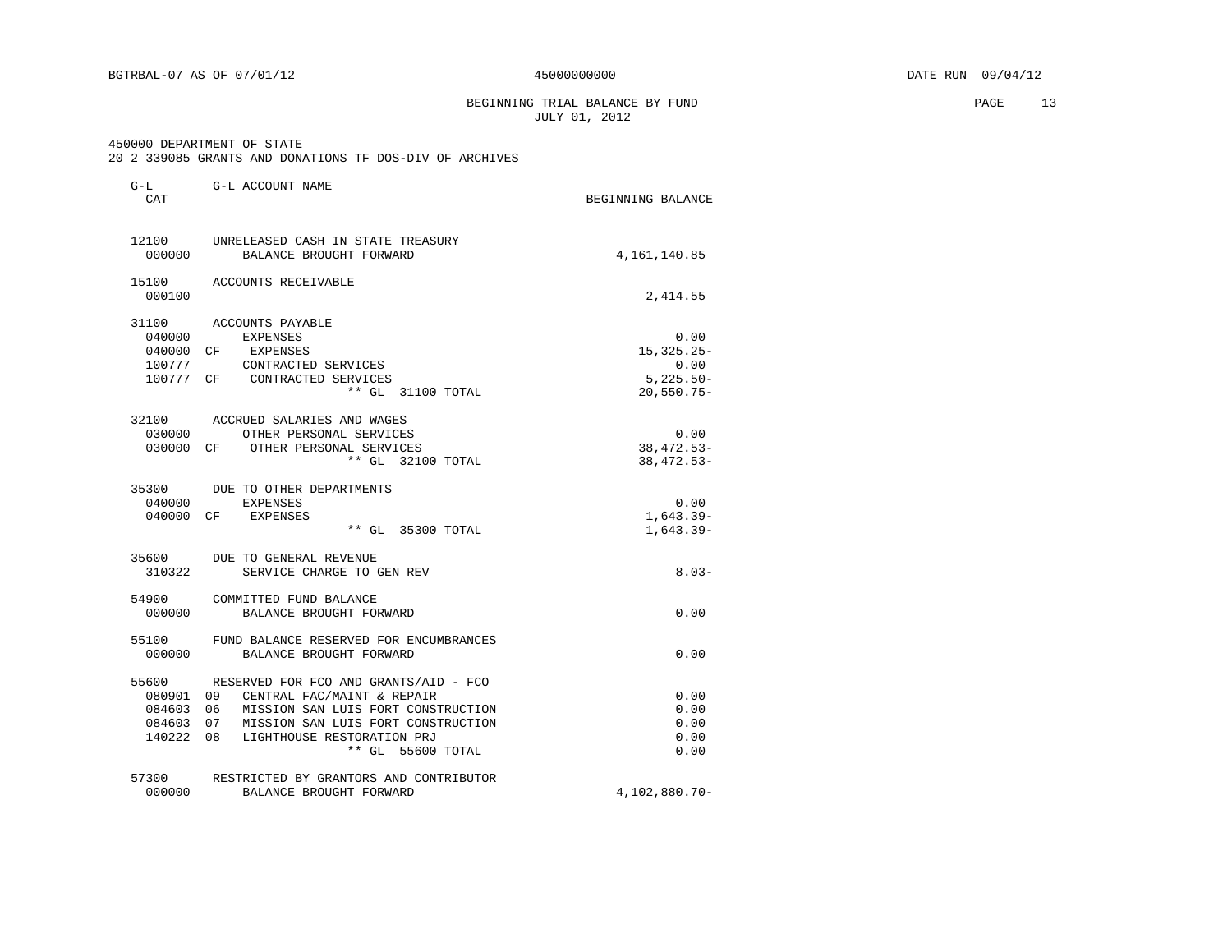BEGINNING TRIAL BALANCE BY FUND **PAGE** 13 JULY 01, 2012

#### 450000 DEPARTMENT OF STATE

#### 20 2 339085 GRANTS AND DONATIONS TF DOS-DIV OF ARCHIVES

| G-L<br>CAT                             | G-L ACCOUNT NAME                                                                                                                                                                                                                                 | BEGINNING BALANCE                            |
|----------------------------------------|--------------------------------------------------------------------------------------------------------------------------------------------------------------------------------------------------------------------------------------------------|----------------------------------------------|
| 12100<br>000000                        | UNRELEASED CASH IN STATE TREASURY<br>BALANCE BROUGHT FORWARD                                                                                                                                                                                     | 4,161,140.85                                 |
| 000100                                 | 15100 ACCOUNTS RECEIVABLE                                                                                                                                                                                                                        | 2,414.55                                     |
| 31100<br>040000<br>040000 CF<br>100777 | ACCOUNTS PAYABLE<br><b>EXPENSES</b><br>EXPENSES<br>CONTRACTED SERVICES<br>100777 CF CONTRACTED SERVICES                                                                                                                                          | 0.00<br>$15.325.25 -$<br>0.00<br>$5,225.50-$ |
|                                        | ** GL 31100 TOTAL                                                                                                                                                                                                                                | $20,550.75 -$                                |
| 030000                                 | 32100 ACCRUED SALARIES AND WAGES<br>OTHER PERSONAL SERVICES<br>030000 CF OTHER PERSONAL SERVICES<br>** GL 32100 TOTAL                                                                                                                            | 0.00<br>$38,472.53-$<br>$38,472.53-$         |
| 35300<br>040000                        | DUE TO OTHER DEPARTMENTS<br><b>EXPENSES</b><br>040000 CF EXPENSES<br>** GL 35300 TOTAL                                                                                                                                                           | 0.00<br>$1,643.39-$<br>$1,643.39-$           |
| 310322                                 | 35600 DUE TO GENERAL REVENUE<br>SERVICE CHARGE TO GEN REV                                                                                                                                                                                        | $8.03-$                                      |
| 54900<br>000000                        | COMMITTED FUND BALANCE<br>BALANCE BROUGHT FORWARD                                                                                                                                                                                                | 0.00                                         |
| 55100<br>000000                        | FUND BALANCE RESERVED FOR ENCUMBRANCES<br>BALANCE BROUGHT FORWARD                                                                                                                                                                                | 0.00                                         |
|                                        | 55600 RESERVED FOR FCO AND GRANTS/AID - FCO<br>080901 09 CENTRAL FAC/MAINT & REPAIR<br>084603 06 MISSION SAN LUIS FORT CONSTRUCTION<br>084603 07 MISSION SAN LUIS FORT CONSTRUCTION<br>140222 08 LIGHTHOUSE RESTORATION PRJ<br>** GL 55600 TOTAL | 0.00<br>0.00<br>0.00<br>0.00<br>0.00         |
| 57300<br>000000                        | RESTRICTED BY GRANTORS AND CONTRIBUTOR<br>BALANCE BROUGHT FORWARD                                                                                                                                                                                | 4,102,880.70-                                |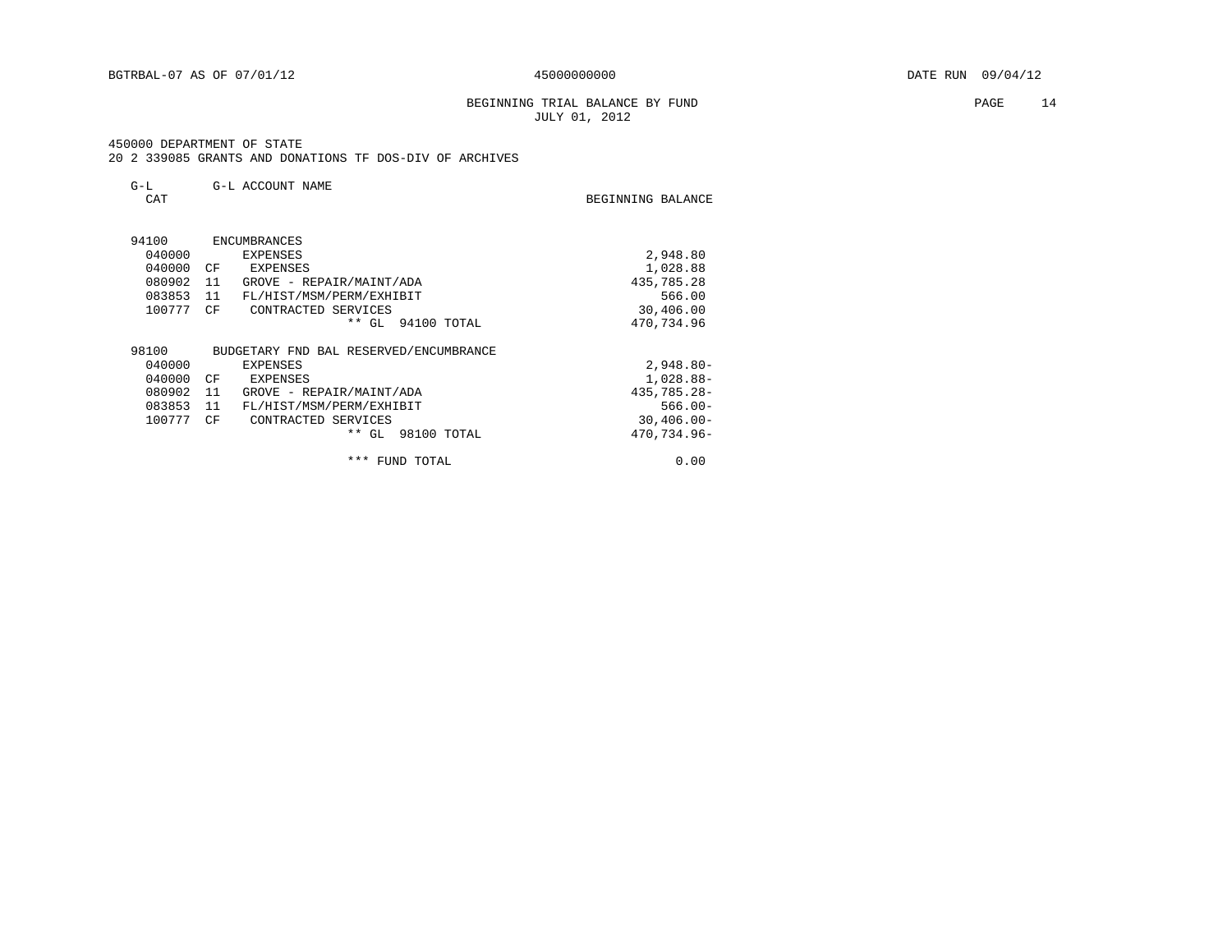BEGINNING TRIAL BALANCE BY FUND **PAGE** 14 JULY 01, 2012

#### 450000 DEPARTMENT OF STATE

20 2 339085 GRANTS AND DONATIONS TF DOS-DIV OF ARCHIVES

| CAT    |      |                                        | BEGINNING BALANCE |
|--------|------|----------------------------------------|-------------------|
| 94100  |      | <b>ENCUMBRANCES</b>                    |                   |
| 040000 |      | EXPENSES                               | 2,948.80          |
| 040000 | CF   | EXPENSES                               | 1,028.88          |
| 080902 | - 11 | GROVE - REPAIR/MAINT/ADA               | 435,785.28        |
| 083853 | 11   | FL/HIST/MSM/PERM/EXHIBIT               | 566.00            |
| 100777 | CF   | CONTRACTED SERVICES                    | 30,406.00         |
|        |      | * *<br>GL<br>94100 TOTAL               | 470,734.96        |
| 98100  |      | BUDGETARY FND BAL RESERVED/ENCUMBRANCE |                   |
| 040000 |      | EXPENSES                               | $2,948.80 -$      |
| 040000 | CF   | EXPENSES                               | 1,028.88-         |
| 080902 | 11   | GROVE - REPAIR/MAINT/ADA               | 435,785.28-       |
| 083853 | 11   | FL/HIST/MSM/PERM/EXHIBIT               | $566.00 -$        |
| 100777 | CF   | CONTRACTED SERVICES                    | $30,406.00 -$     |
|        |      | $**$ GL<br>98100 TOTAL                 | 470,734.96-       |
|        |      | ***<br>FUND TOTAL                      | 0.00              |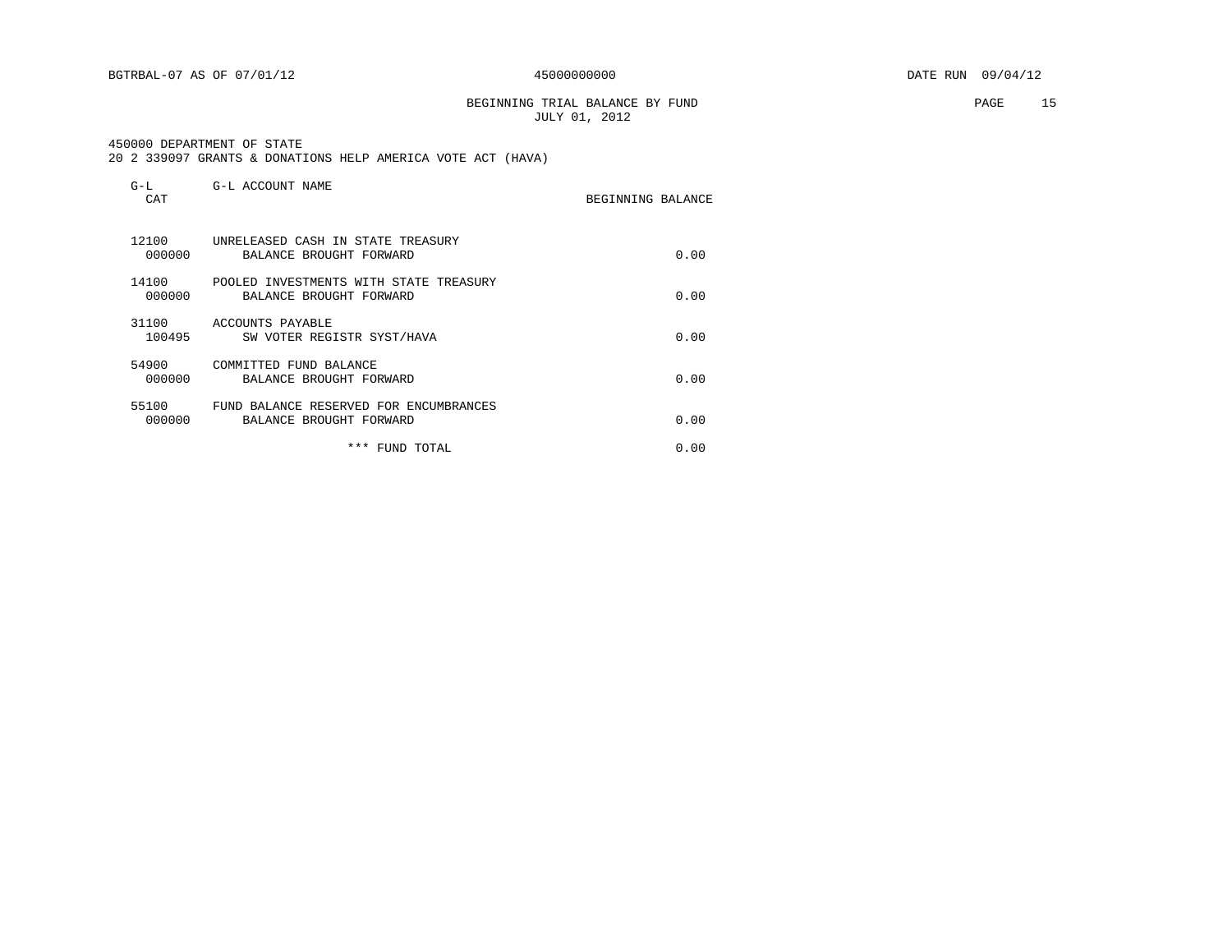BEGINNING TRIAL BALANCE BY FUND **PAGE** 15 JULY 01, 2012

450000 DEPARTMENT OF STATE

20 2 339097 GRANTS & DONATIONS HELP AMERICA VOTE ACT (HAVA)

| $G-L$<br>CAT    | G-L ACCOUNT NAME                                                  | BEGINNING BALANCE |      |
|-----------------|-------------------------------------------------------------------|-------------------|------|
| 12100<br>000000 | UNRELEASED CASH IN STATE TREASURY<br>BALANCE BROUGHT FORWARD      |                   | 0.00 |
| 14100<br>000000 | POOLED INVESTMENTS WITH STATE TREASURY<br>BALANCE BROUGHT FORWARD |                   | 0.00 |
| 31100<br>100495 | ACCOUNTS PAYABLE<br>SW VOTER REGISTR SYST/HAVA                    |                   | 0.00 |
| 54900<br>000000 | COMMITTED FUND BALANCE<br>BALANCE BROUGHT FORWARD                 |                   | 0.00 |
| 55100<br>000000 | FUND BALANCE RESERVED FOR ENCUMBRANCES<br>BALANCE BROUGHT FORWARD |                   | 0.00 |
|                 | ***<br>FUND TOTAL                                                 |                   | 0.00 |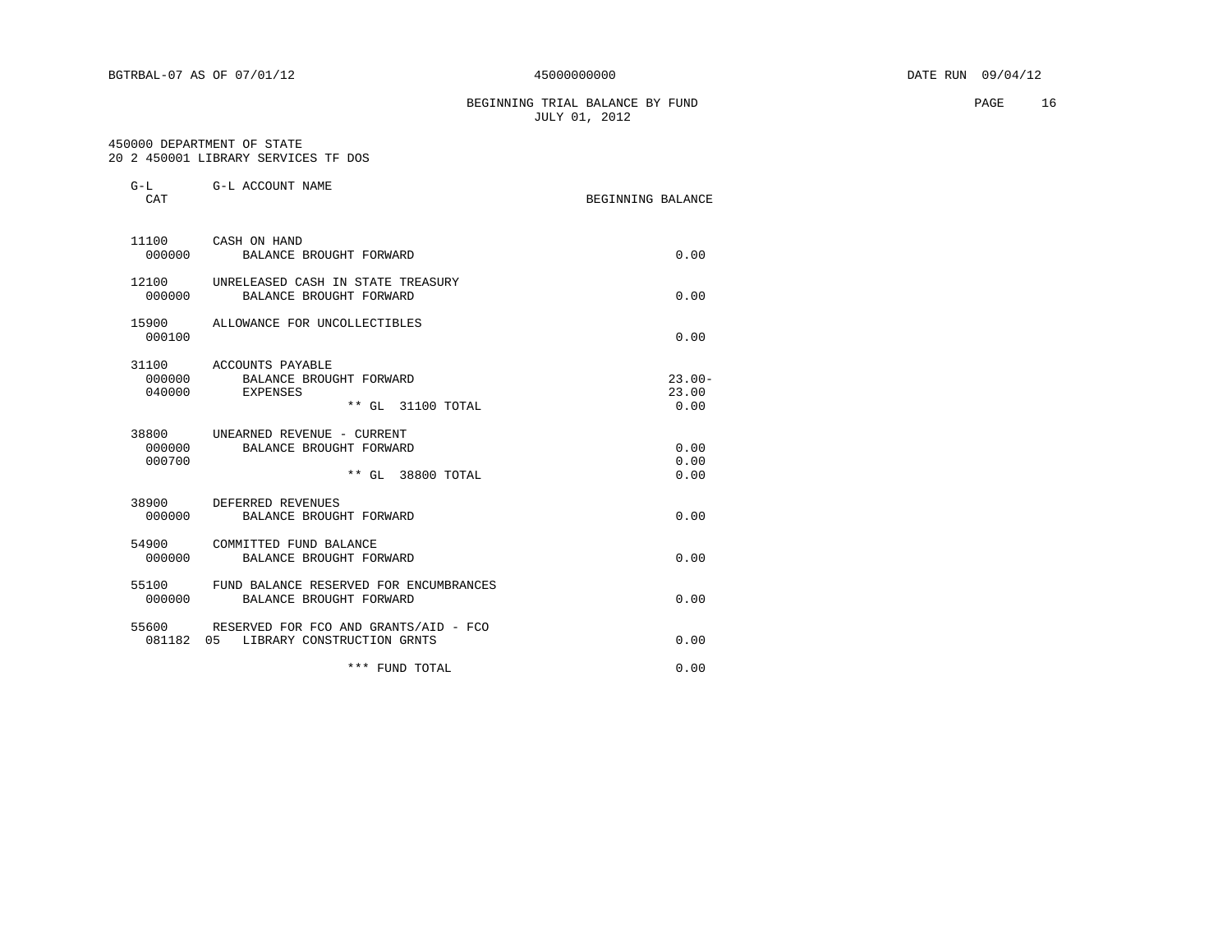BEGINNING TRIAL BALANCE BY FUND **PAGE** 16 JULY 01, 2012

# 450000 DEPARTMENT OF STATE

20 2 450001 LIBRARY SERVICES TF DOS

| $G-L$<br>CAT     | G-L ACCOUNT NAME                                                                      | BEGINNING BALANCE          |
|------------------|---------------------------------------------------------------------------------------|----------------------------|
|                  | 11100 CASH ON HAND<br>000000 BALANCE BROUGHT FORWARD                                  | 0.00                       |
|                  | 12100 UNRELEASED CASH IN STATE TREASURY<br>000000 BALANCE BROUGHT FORWARD             | 0.00                       |
| 000100           | 15900 ALLOWANCE FOR UNCOLLECTIBLES                                                    | 0.00                       |
| 000000<br>040000 | 31100 ACCOUNTS PAYABLE<br>BALANCE BROUGHT FORWARD<br>EXPENSES<br>** GL 31100 TOTAL    | $23.00 -$<br>23.00<br>0.00 |
| 000000<br>000700 | 38800 UNEARNED REVENUE - CURRENT<br>BALANCE BROUGHT FORWARD<br>** GL 38800 TOTAL      | 0.00<br>0.00<br>0.00       |
| 000000           | 38900 DEFERRED REVENUES<br>BALANCE BROUGHT FORWARD                                    | 0.00                       |
| 000000           | 54900 COMMITTED FUND BALANCE<br>BALANCE BROUGHT FORWARD                               | 0.00                       |
| 000000           | 55100 FUND BALANCE RESERVED FOR ENCUMBRANCES<br>BALANCE BROUGHT FORWARD               | 0.00                       |
|                  | 55600 RESERVED FOR FCO AND GRANTS/AID - FCO<br>081182  05  LIBRARY CONSTRUCTION GRNTS | 0.00                       |
|                  | *** FUND TOTAL                                                                        | 0.00                       |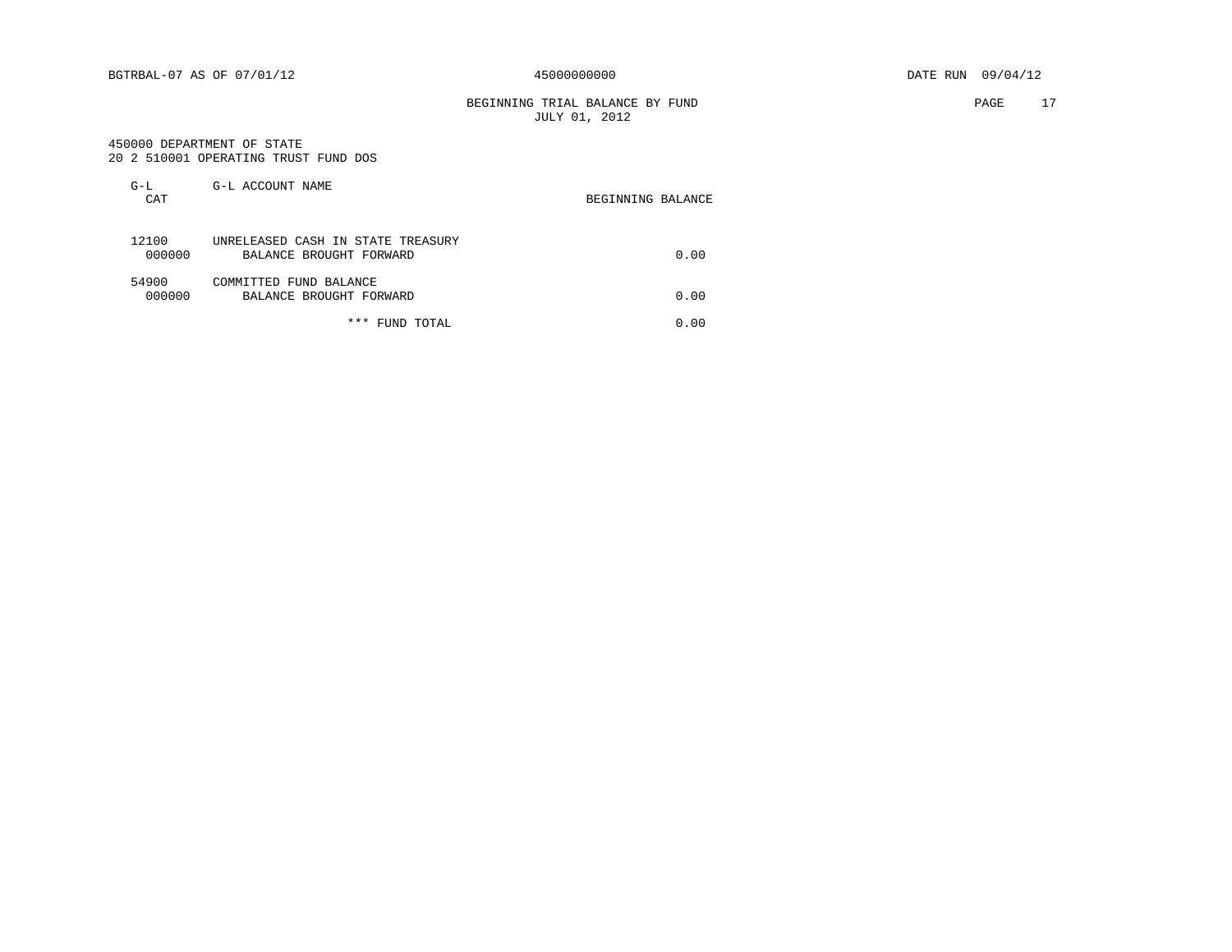BEGINNING TRIAL BALANCE BY FUND **PAGE** 17 JULY 01, 2012

#### 450000 DEPARTMENT OF STATE 20 2 510001 OPERATING TRUST FUND DOS

|  | 20 2 510001 OPERATING IRUST FUND DOS |  |  |
|--|--------------------------------------|--|--|
|  |                                      |  |  |

| $G-L$<br>CAT    | G-L ACCOUNT NAME                                             | BEGINNING BALANCE |
|-----------------|--------------------------------------------------------------|-------------------|
| 12100<br>000000 | UNRELEASED CASH IN STATE TREASURY<br>BALANCE BROUGHT FORWARD | 0.00              |
| 54900<br>000000 | COMMITTED FUND BALANCE<br>BALANCE BROUGHT FORWARD            | 0.00              |
|                 | * * *<br>FUND TOTAL                                          | 0.00              |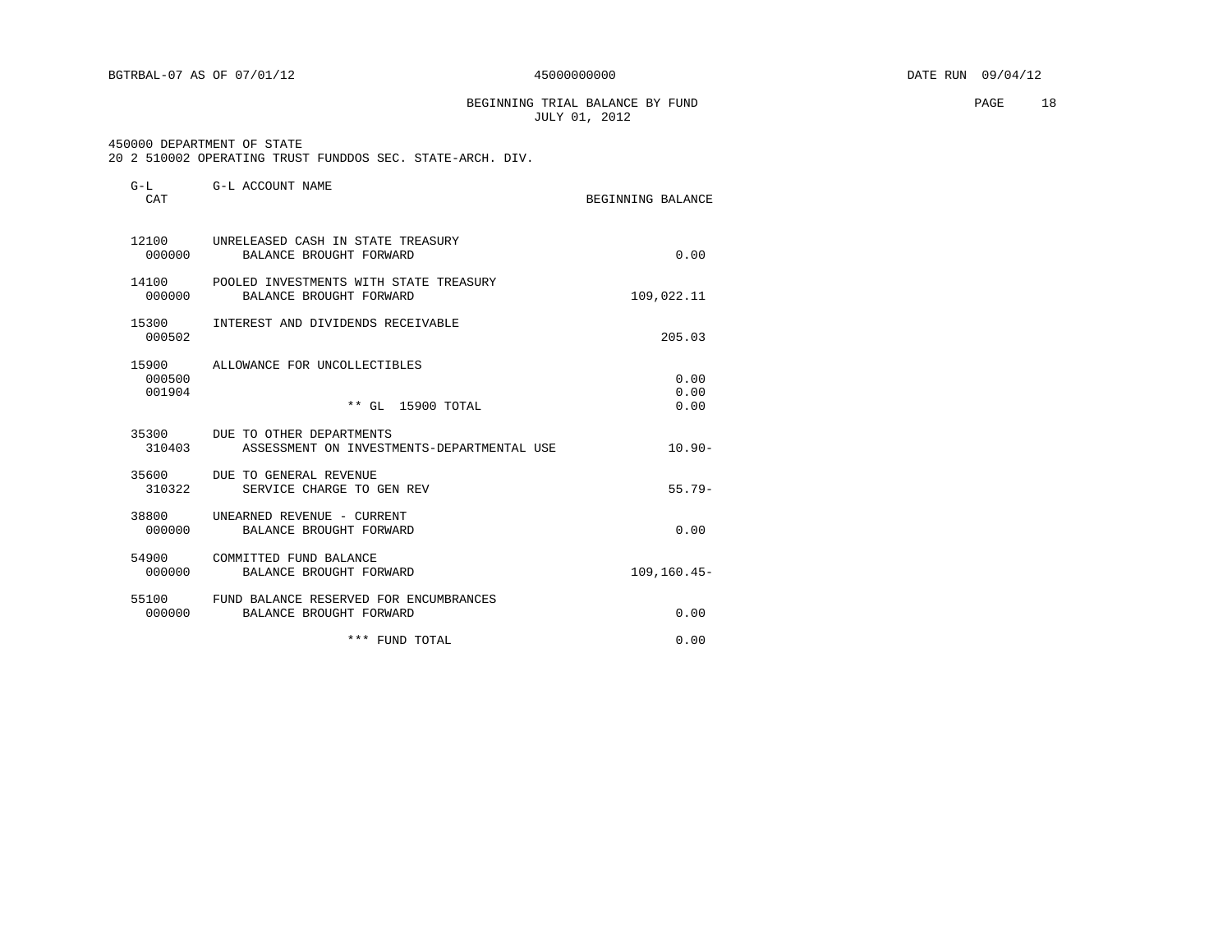BEGINNING TRIAL BALANCE BY FUND **PAGE** 18 JULY 01, 2012

#### 450000 DEPARTMENT OF STATE

20 2 510002 OPERATING TRUST FUNDDOS SEC. STATE-ARCH. DIV.

| $G-L$<br>CAT              | G-L ACCOUNT NAME                                                             | BEGINNING BALANCE    |
|---------------------------|------------------------------------------------------------------------------|----------------------|
| 12100<br>000000           | UNRELEASED CASH IN STATE TREASURY<br>BALANCE BROUGHT FORWARD                 | 0.00                 |
| 000000                    | 14100 POOLED INVESTMENTS WITH STATE TREASURY<br>BALANCE BROUGHT FORWARD      | 109,022.11           |
| 15300<br>000502           | INTEREST AND DIVIDENDS RECEIVABLE                                            | 205.03               |
| 15900<br>000500<br>001904 | ALLOWANCE FOR UNCOLLECTIBLES<br>** GL 15900 TOTAL                            | 0.00<br>0.00<br>0.00 |
| 310403                    | 35300 DUE TO OTHER DEPARTMENTS<br>ASSESSMENT ON INVESTMENTS-DEPARTMENTAL USE | $10.90 -$            |
| 35600<br>310322           | DUE TO GENERAL REVENUE<br>SERVICE CHARGE TO GEN REV                          | $55.79-$             |
| 38800<br>000000           | UNEARNED REVENUE - CURRENT<br>BALANCE BROUGHT FORWARD                        | 0.00                 |
| 54900<br>000000           | COMMITTED FUND BALANCE<br>BALANCE BROUGHT FORWARD                            | $109, 160.45 -$      |
| 55100<br>000000           | FUND BALANCE RESERVED FOR ENCUMBRANCES<br>BALANCE BROUGHT FORWARD            | 0.00                 |
|                           | *** FUND TOTAL                                                               | 0.00                 |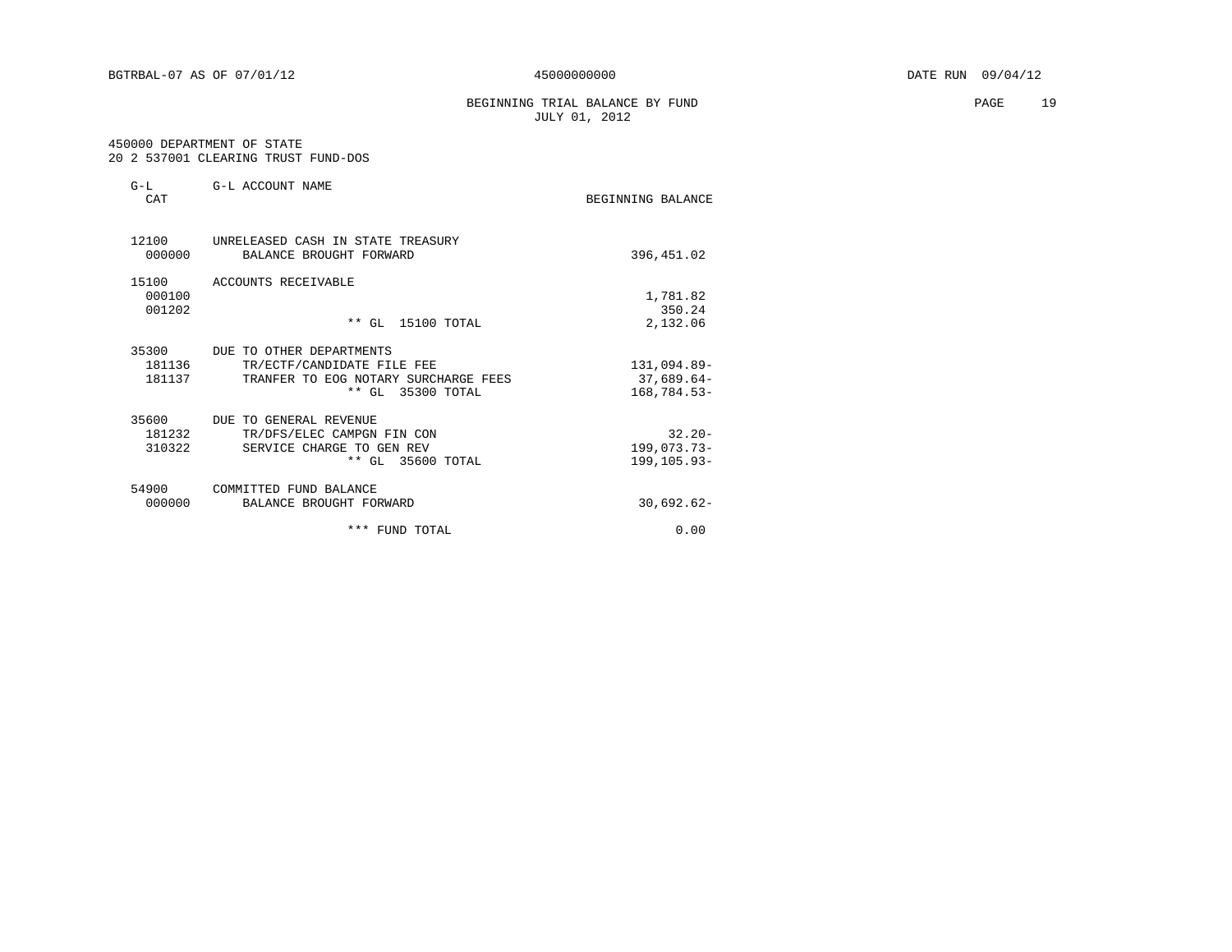#### BEGINNING TRIAL BALANCE BY FUND **PAGE** 19 JULY 01, 2012

#### 450000 DEPARTMENT OF STATE 20 2 537001 CLEARING TRUST FUND-DOS

| $G-L$<br>CAT              | G-L ACCOUNT NAME                                                                                                    | BEGINNING BALANCE                             |
|---------------------------|---------------------------------------------------------------------------------------------------------------------|-----------------------------------------------|
| 12100<br>000000           | UNRELEASED CASH IN STATE TREASURY<br>BALANCE BROUGHT FORWARD                                                        | 396,451.02                                    |
| 15100<br>000100<br>001202 | ACCOUNTS RECEIVABLE<br>** GL 15100 TOTAL                                                                            | 1,781.82<br>350.24<br>2,132.06                |
| 35300<br>181136<br>181137 | DUE TO OTHER DEPARTMENTS<br>TR/ECTF/CANDIDATE FILE FEE<br>TRANFER TO EOG NOTARY SURCHARGE FEES<br>** GL 35300 TOTAL | 131,094.89-<br>$37,689.64-$<br>$168,784.53-$  |
| 35600<br>181232<br>310322 | DUE TO GENERAL REVENUE<br>TR/DFS/ELEC CAMPGN FIN CON<br>SERVICE CHARGE TO GEN REV<br>** GL 35600 TOTAL              | $32.20 -$<br>$199,073.73-$<br>$199, 105.93 -$ |
| 54900<br>000000           | COMMITTED FUND BALANCE<br>BALANCE BROUGHT FORWARD                                                                   | $30,692.62-$                                  |
|                           | *** FUND TOTAL                                                                                                      | 0.00                                          |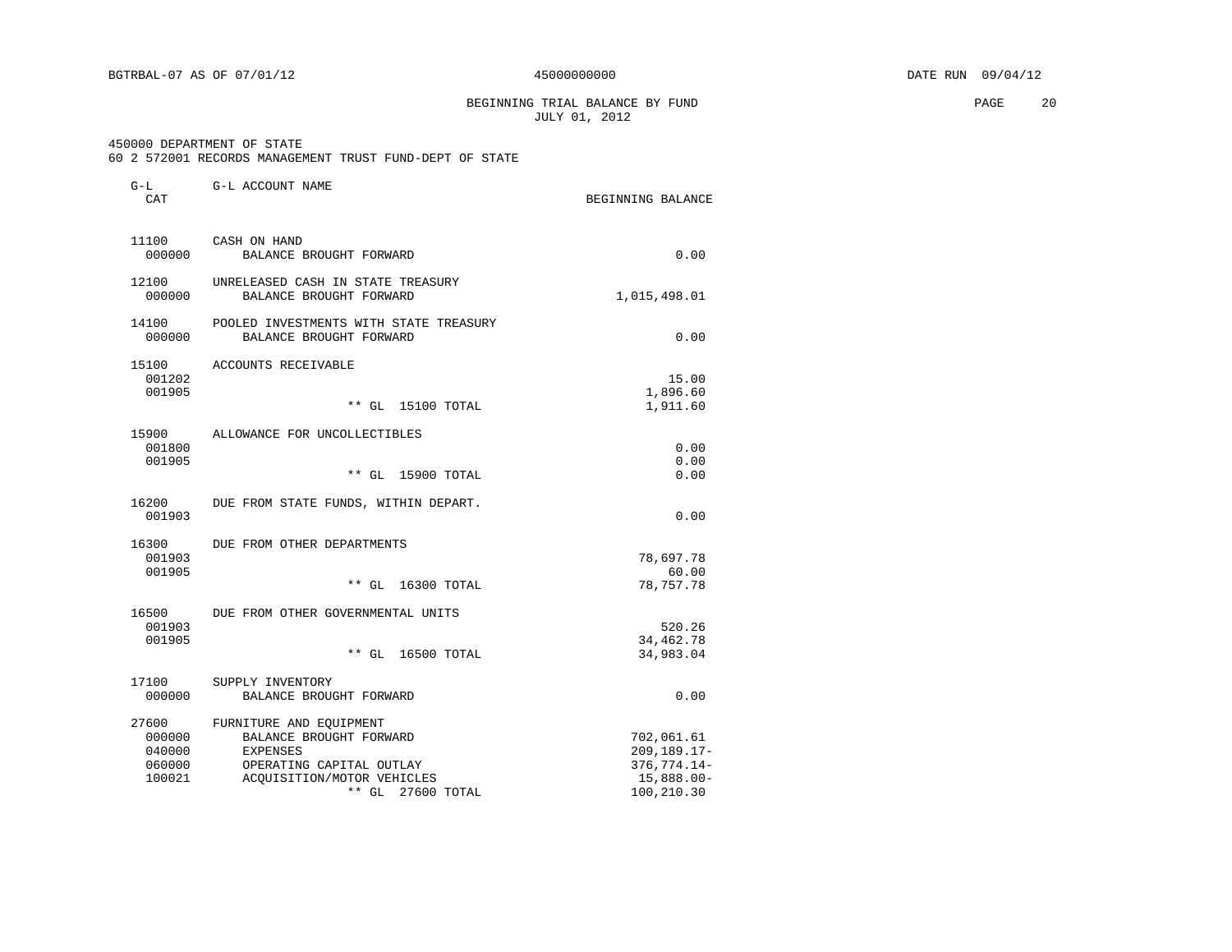BEGINNING TRIAL BALANCE BY FUND **PAGE** 20 JULY 01, 2012

#### 450000 DEPARTMENT OF STATE

60 2 572001 RECORDS MANAGEMENT TRUST FUND-DEPT OF STATE

| G-L<br>CAT                                    | G-L ACCOUNT NAME                                                                                                                                   | BEGINNING BALANCE                                                           |
|-----------------------------------------------|----------------------------------------------------------------------------------------------------------------------------------------------------|-----------------------------------------------------------------------------|
| 11100<br>000000                               | CASH ON HAND<br>BALANCE BROUGHT FORWARD                                                                                                            | 0.00                                                                        |
| 12100<br>000000                               | UNRELEASED CASH IN STATE TREASURY<br>BALANCE BROUGHT FORWARD                                                                                       | 1,015,498.01                                                                |
| 14100<br>000000                               | POOLED INVESTMENTS WITH STATE TREASURY<br>BALANCE BROUGHT FORWARD                                                                                  | 0.00                                                                        |
| 15100<br>001202<br>001905                     | ACCOUNTS RECEIVABLE<br>** GL 15100 TOTAL                                                                                                           | 15.00<br>1,896.60<br>1,911.60                                               |
| 15900<br>001800<br>001905                     | ALLOWANCE FOR UNCOLLECTIBLES<br>** GL 15900 TOTAL                                                                                                  | 0.00<br>0.00<br>0.00                                                        |
| 16200<br>001903                               | DUE FROM STATE FUNDS, WITHIN DEPART.                                                                                                               | 0.00                                                                        |
| 16300<br>001903<br>001905                     | DUE FROM OTHER DEPARTMENTS<br>** GL 16300 TOTAL                                                                                                    | 78,697.78<br>60.00<br>78,757.78                                             |
| 16500<br>001903<br>001905                     | DUE FROM OTHER GOVERNMENTAL UNITS<br>** GL 16500 TOTAL                                                                                             | 520.26<br>34, 462. 78<br>34,983.04                                          |
| 17100<br>000000                               | SUPPLY INVENTORY<br>BALANCE BROUGHT FORWARD                                                                                                        | 0.00                                                                        |
| 27600<br>000000<br>040000<br>060000<br>100021 | FURNITURE AND EQUIPMENT<br>BALANCE BROUGHT FORWARD<br>EXPENSES<br>OPERATING CAPITAL OUTLAY<br>ACOUISITION/MOTOR VEHICLES<br>$**$ GL<br>27600 TOTAL | 702,061.61<br>209, 189. 17-<br>376, 774. 14-<br>$15,888.00 -$<br>100,210.30 |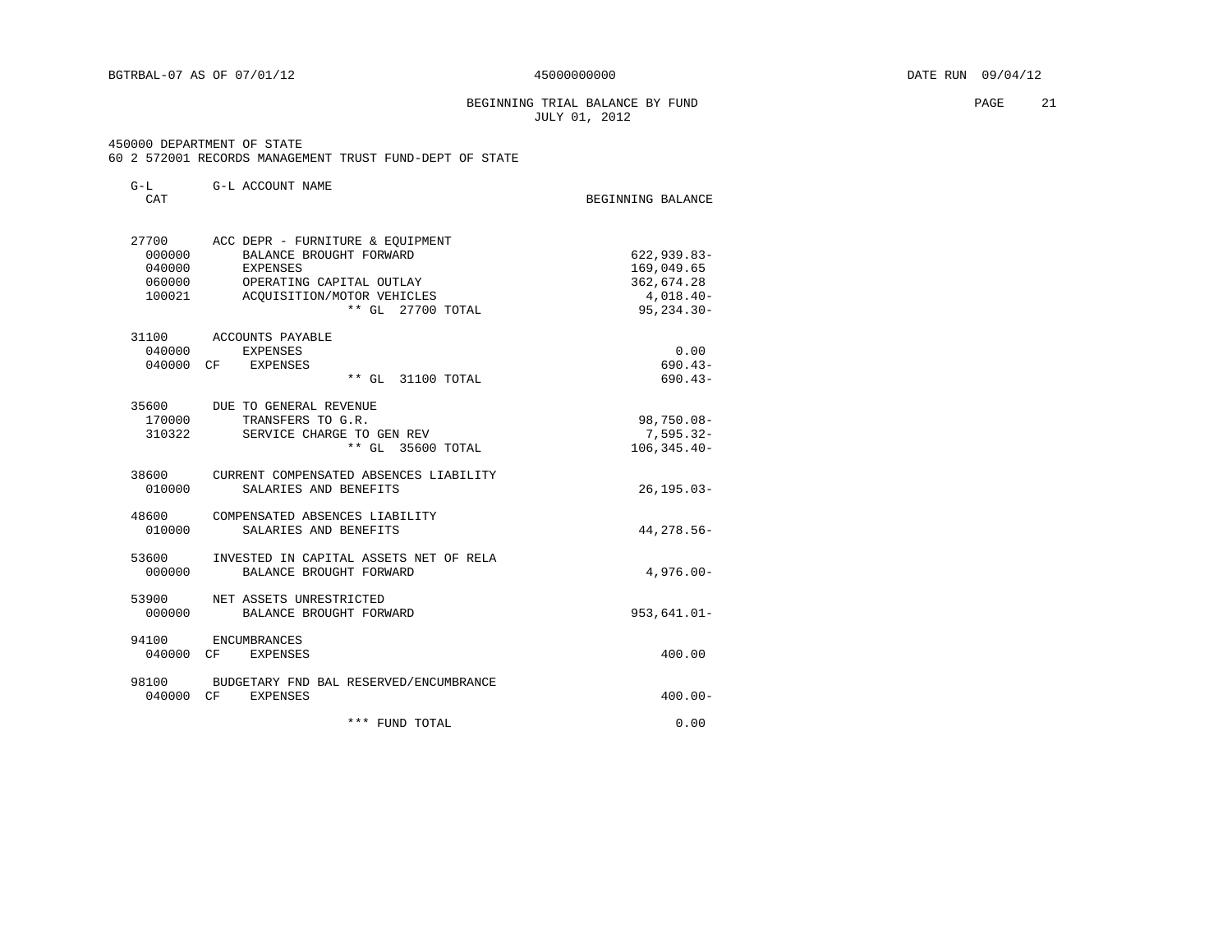BEGINNING TRIAL BALANCE BY FUND **PAGE** 21 JULY 01, 2012

#### 450000 DEPARTMENT OF STATE

60 2 572001 RECORDS MANAGEMENT TRUST FUND-DEPT OF STATE

| $G-L$<br>CAT                                  | G-L ACCOUNT NAME                                                                                                                                              | BEGINNING BALANCE                                                            |
|-----------------------------------------------|---------------------------------------------------------------------------------------------------------------------------------------------------------------|------------------------------------------------------------------------------|
| 27700<br>000000<br>040000<br>060000<br>100021 | ACC DEPR - FURNITURE & EOUIPMENT<br>BALANCE BROUGHT FORWARD<br><b>EXPENSES</b><br>OPERATING CAPITAL OUTLAY<br>ACQUISITION/MOTOR VEHICLES<br>** GL 27700 TOTAL | $622, 939.83 -$<br>169,049.65<br>362,674.28<br>$4,018.40-$<br>$95, 234.30 -$ |
| 31100<br>040000                               | ACCOUNTS PAYABLE<br>EXPENSES<br>040000 CF EXPENSES<br>** GL 31100 TOTAL                                                                                       | 0.00<br>$690.43-$<br>$690.43-$                                               |
| 170000<br>310322                              | 35600 DUE TO GENERAL REVENUE<br>TRANSFERS TO G.R.<br>SERVICE CHARGE TO GEN REV<br>** GL 35600 TOTAL                                                           | 98,750.08-<br>$7,595.32-$<br>$106, 345.40 -$                                 |
| 38600<br>010000                               | CURRENT COMPENSATED ABSENCES LIABILITY<br>SALARIES AND BENEFITS                                                                                               | $26, 195.03 -$                                                               |
| 48600<br>010000                               | COMPENSATED ABSENCES LIABILITY<br>SALARIES AND BENEFITS                                                                                                       | 44, 278.56-                                                                  |
| 53600<br>000000                               | INVESTED IN CAPITAL ASSETS NET OF RELA<br>BALANCE BROUGHT FORWARD                                                                                             | $4,976.00 -$                                                                 |
| 53900<br>000000                               | NET ASSETS UNRESTRICTED<br>BALANCE BROUGHT FORWARD                                                                                                            | $953,641.01 -$                                                               |
| 94100                                         | ENCUMBRANCES<br>040000 CF EXPENSES                                                                                                                            | 400.00                                                                       |
| 98100<br>040000 CF                            | BUDGETARY FND BAL RESERVED/ENCUMBRANCE<br><b>EXPENSES</b>                                                                                                     | $400.00 -$                                                                   |
|                                               | *** FUND TOTAL                                                                                                                                                | 0.00                                                                         |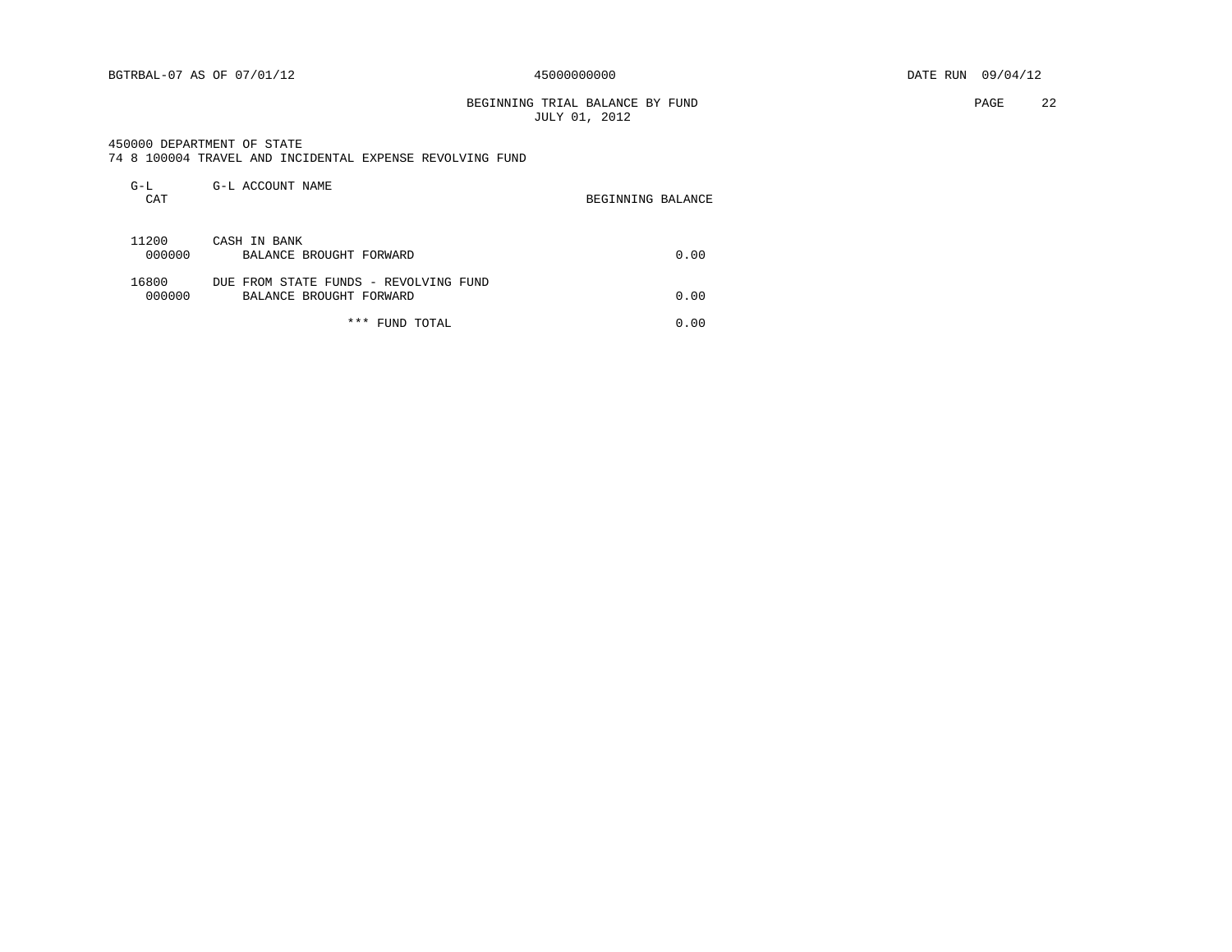#### BEGINNING TRIAL BALANCE BY FUND **PAGE** 22 JULY 01, 2012

#### 450000 DEPARTMENT OF STATE

|  |  |  |  |  | 74 8 100004 TRAVEL AND INCIDENTAL EXPENSE REVOLVING FUND |  |  |  |
|--|--|--|--|--|----------------------------------------------------------|--|--|--|
|--|--|--|--|--|----------------------------------------------------------|--|--|--|

| $G-L$<br>CAT    | G-L ACCOUNT NAME                                                 | BEGINNING BALANCE |
|-----------------|------------------------------------------------------------------|-------------------|
| 11200<br>000000 | CASH IN BANK<br>BALANCE BROUGHT FORWARD                          | 0.00              |
| 16800<br>000000 | DUE FROM STATE FUNDS - REVOLVING FUND<br>BALANCE BROUGHT FORWARD | 0.00              |
|                 | *** FUND TOTAL                                                   | 0.00              |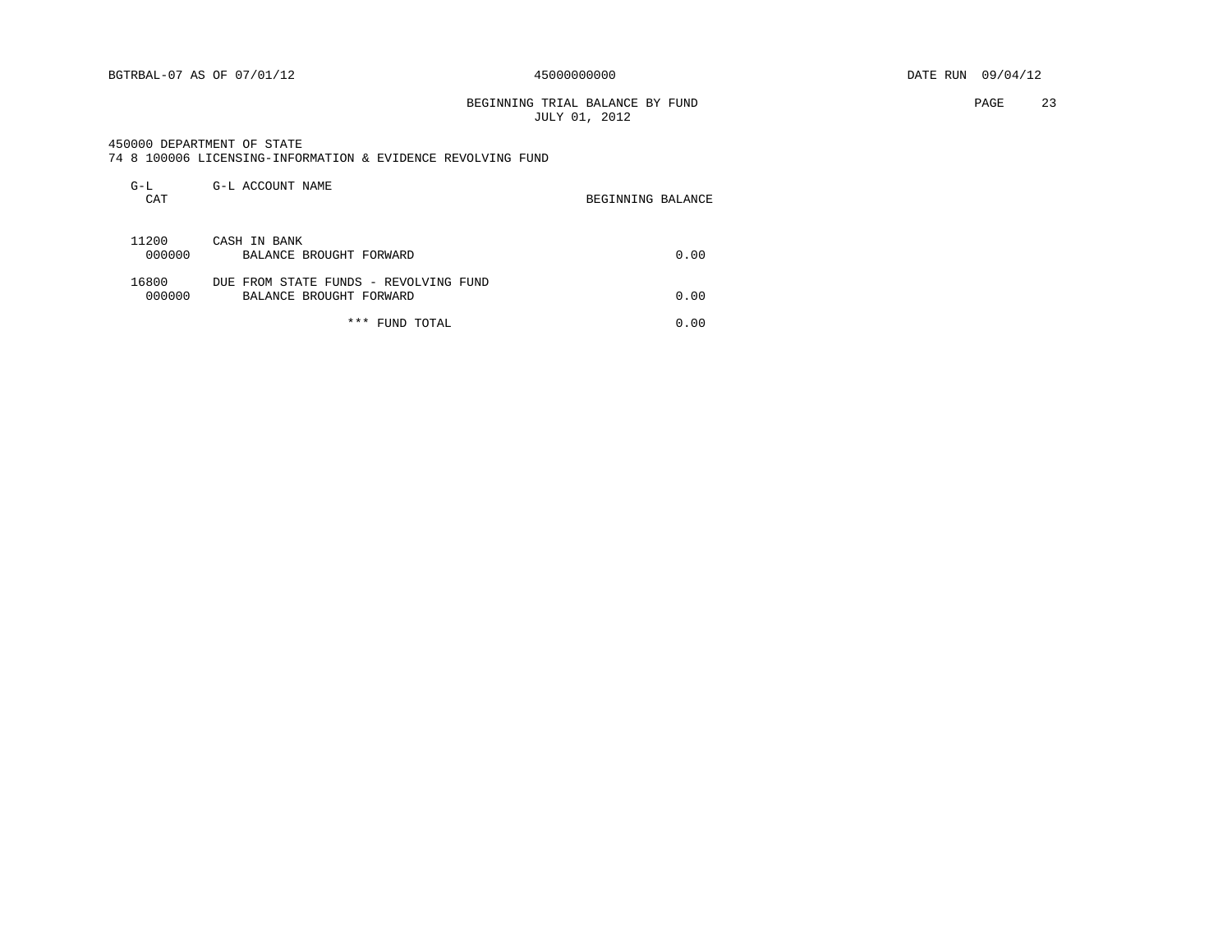#### BEGINNING TRIAL BALANCE BY FUND **PAGE** 23 JULY 01, 2012

450000 DEPARTMENT OF STATE

|  |  | 74 8 100006 LICENSING-INFORMATION & EVIDENCE REVOLVING FUND |  |  |  |  |
|--|--|-------------------------------------------------------------|--|--|--|--|
|--|--|-------------------------------------------------------------|--|--|--|--|

| $G-L$<br>CAT    | G-L ACCOUNT NAME                                                 | BEGINNING BALANCE |
|-----------------|------------------------------------------------------------------|-------------------|
| 11200<br>000000 | CASH IN BANK<br>BALANCE BROUGHT FORWARD                          | 0.00              |
| 16800<br>000000 | DUE FROM STATE FUNDS - REVOLVING FUND<br>BALANCE BROUGHT FORWARD | 0.00              |
|                 | * * *<br>FUND TOTAL                                              | 0.00              |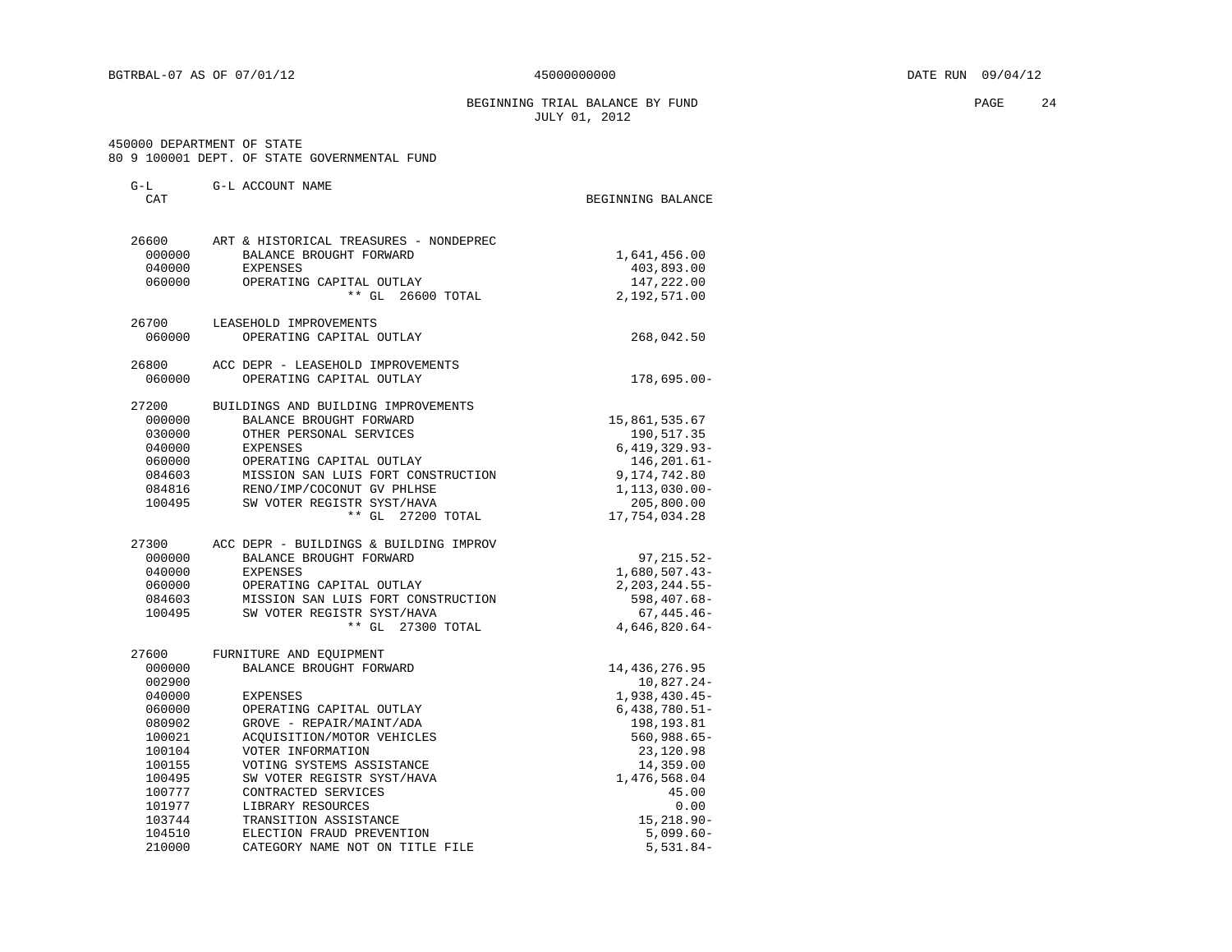BEGINNING TRIAL BALANCE BY FUND **PAGE** 24 JULY 01, 2012

 450000 DEPARTMENT OF STATE 80 9 100001 DEPT. OF STATE GOVERNMENTAL FUND

| $G-L$<br>CAT                                                                                                                            | G-L ACCOUNT NAME                                                                                                                                                                                                                                                                                                                              | BEGINNING BALANCE                                                                                                                                                                        |
|-----------------------------------------------------------------------------------------------------------------------------------------|-----------------------------------------------------------------------------------------------------------------------------------------------------------------------------------------------------------------------------------------------------------------------------------------------------------------------------------------------|------------------------------------------------------------------------------------------------------------------------------------------------------------------------------------------|
| 26600<br>000000<br>040000<br>060000                                                                                                     | ART & HISTORICAL TREASURES - NONDEPREC<br>BALANCE BROUGHT FORWARD<br>EXPENSES<br>OPERATING CAPITAL OUTLAY<br>** GL 26600 TOTAL                                                                                                                                                                                                                | 1,641,456.00<br>403,893.00<br>147,222.00<br>2,192,571.00                                                                                                                                 |
| 26700<br>060000                                                                                                                         | LEASEHOLD IMPROVEMENTS<br>OPERATING CAPITAL OUTLAY                                                                                                                                                                                                                                                                                            | 268,042.50                                                                                                                                                                               |
| 26800<br>060000                                                                                                                         | ACC DEPR - LEASEHOLD IMPROVEMENTS<br>OPERATING CAPITAL OUTLAY                                                                                                                                                                                                                                                                                 | 178,695.00-                                                                                                                                                                              |
| 27200<br>000000<br>030000<br>040000<br>060000<br>084603<br>084816<br>100495                                                             | BUILDINGS AND BUILDING IMPROVEMENTS<br>BALANCE BROUGHT FORWARD<br>OTHER PERSONAL SERVICES<br>EXPENSES<br>OPERATING CAPITAL OUTLAY<br>MISSION SAN LUIS FORT CONSTRUCTION<br>RENO/IMP/COCONUT GV PHLHSE<br>SW VOTER REGISTR SYST/HAVA<br>** GL 27200 TOTAL                                                                                      | 15,861,535.67<br>190,517.35<br>$6,419,329.93 -$<br>146, 201.61-<br>9,174,742.80<br>1,113,030.00-<br>205,800.00<br>17,754,034.28                                                          |
| 27300<br>000000<br>040000<br>060000<br>084603<br>100495                                                                                 | ACC DEPR - BUILDINGS & BUILDING IMPROV<br>BALANCE BROUGHT FORWARD<br><b>EXPENSES</b><br>OPERATING CAPITAL OUTLAY<br>MISSION SAN LUIS FORT CONSTRUCTION<br>SW VOTER REGISTR SYST/HAVA<br>** GL 27300 TOTAL                                                                                                                                     | $97, 215.52 -$<br>$1,680,507.43-$<br>$2,203,244.55-$<br>598,407.68-<br>$67,445.46-$<br>4,646,820.64-                                                                                     |
| 27600<br>000000<br>002900<br>040000<br>060000<br>080902<br>100021<br>100104<br>100155<br>100495<br>100777<br>101977<br>103744<br>104510 | FURNITURE AND EQUIPMENT<br>BALANCE BROUGHT FORWARD<br><b>EXPENSES</b><br>OPERATING CAPITAL OUTLAY<br>GROVE - REPAIR/MAINT/ADA<br>ACQUISITION/MOTOR VEHICLES<br>VOTER INFORMATION<br>VOTING SYSTEMS ASSISTANCE<br>SW VOTER REGISTR SYST/HAVA<br>CONTRACTED SERVICES<br>LIBRARY RESOURCES<br>TRANSITION ASSISTANCE<br>ELECTION FRAUD PREVENTION | 14, 436, 276.95<br>10,827.24-<br>$1,938,430.45-$<br>$6,438,780.51-$<br>198,193.81<br>560,988.65-<br>23,120.98<br>14,359.00<br>1,476,568.04<br>45.00<br>0.00<br>15,218.90-<br>$5,099.60-$ |
| 210000                                                                                                                                  | CATEGORY NAME NOT ON TITLE FILE                                                                                                                                                                                                                                                                                                               | $5,531.84-$                                                                                                                                                                              |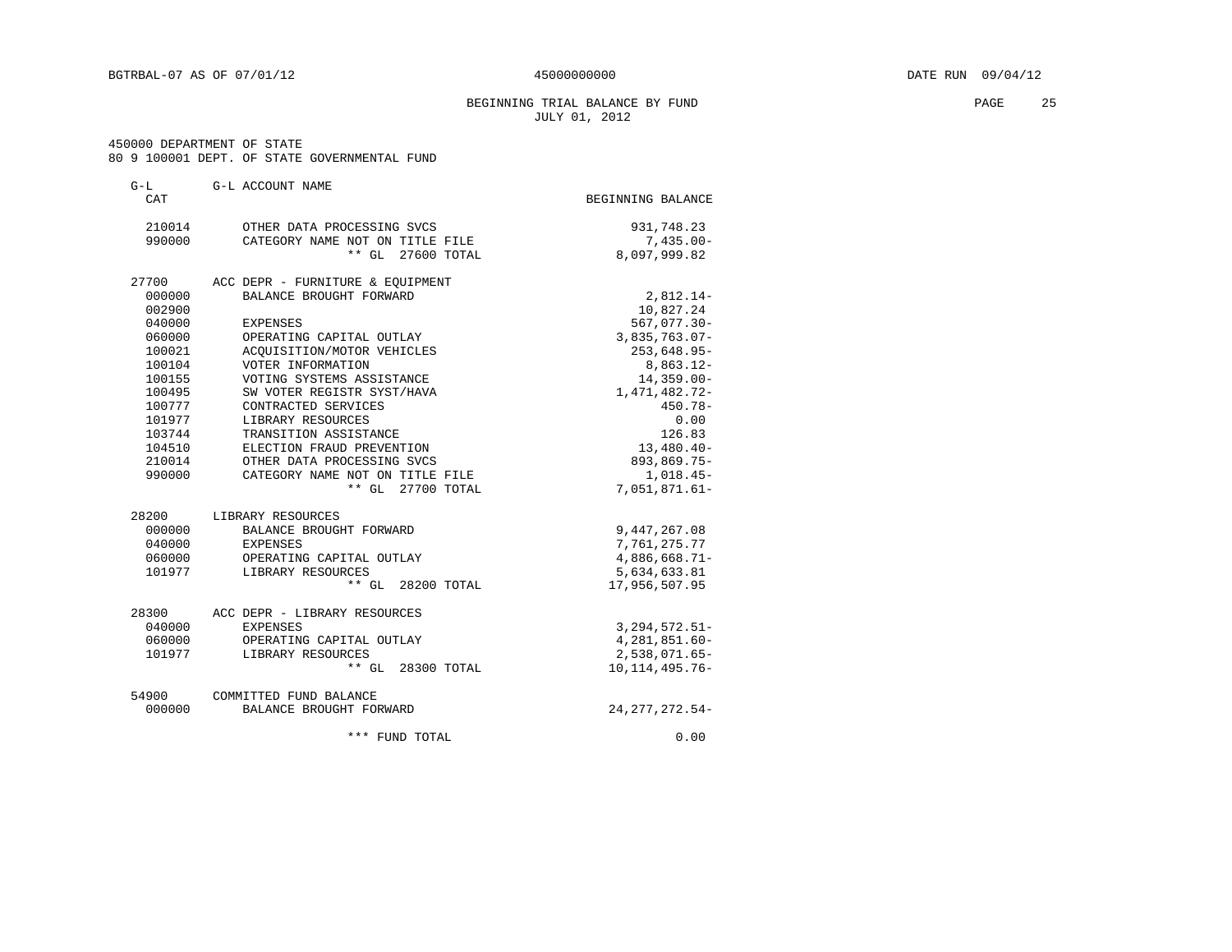#### BEGINNING TRIAL BALANCE BY FUND **EXAMPLE 25** PAGE 25 JULY 01, 2012

450000 DEPARTMENT OF STATE

| 80 9 100001 DEPT. OF STATE GOVERNMENTAL FUND |  |  |  |  |  |  |  |  |  |
|----------------------------------------------|--|--|--|--|--|--|--|--|--|
|----------------------------------------------|--|--|--|--|--|--|--|--|--|

| $G-L$  | G-L ACCOUNT NAME                 |                    |
|--------|----------------------------------|--------------------|
| CAT    |                                  | BEGINNING BALANCE  |
| 210014 | OTHER DATA PROCESSING SVCS       | 931,748.23         |
| 990000 | CATEGORY NAME NOT ON TITLE FILE  | $7,435.00 -$       |
|        | $***$ GL<br>27600 TOTAL          | 8,097,999.82       |
| 27700  | ACC DEPR - FURNITURE & EQUIPMENT |                    |
| 000000 | BALANCE BROUGHT FORWARD          | $2,812.14-$        |
| 002900 |                                  | 10,827.24          |
| 040000 | <b>EXPENSES</b>                  | $567,077.30 -$     |
| 060000 | OPERATING CAPITAL OUTLAY         | 3,835,763.07-      |
| 100021 | ACOUISITION/MOTOR VEHICLES       | 253,648.95-        |
| 100104 | VOTER INFORMATION                | 8,863.12-          |
| 100155 | VOTING SYSTEMS ASSISTANCE        | $14, 359.00 -$     |
| 100495 | SW VOTER REGISTR SYST/HAVA       | 1,471,482.72-      |
| 100777 | CONTRACTED SERVICES              | $450.78 -$         |
| 101977 | LIBRARY RESOURCES                | 0.00               |
| 103744 | TRANSITION ASSISTANCE            | 126.83             |
| 104510 | ELECTION FRAUD PREVENTION        | $13,480.40-$       |
| 210014 | OTHER DATA PROCESSING SVCS       | 893,869.75-        |
| 990000 | CATEGORY NAME NOT ON TITLE FILE  | $1,018.45-$        |
|        | ** GL 27700 TOTAL                | 7,051,871.61-      |
| 28200  | LIBRARY RESOURCES                |                    |
| 000000 | BALANCE BROUGHT FORWARD          | 9,447,267.08       |
| 040000 | EXPENSES                         | 7,761,275.77       |
| 060000 | OPERATING CAPITAL OUTLAY         | $4,886,668.71-$    |
| 101977 | LIBRARY RESOURCES                | 5,634,633.81       |
|        | ** GL 28200 TOTAL                | 17,956,507.95      |
| 28300  | ACC DEPR - LIBRARY RESOURCES     |                    |
| 040000 | EXPENSES                         | $3, 294, 572.51 -$ |
| 060000 | OPERATING CAPITAL OUTLAY         | $4,281,851.60-$    |
| 101977 | LIBRARY RESOURCES                | 2,538,071.65-      |
|        | ** GL 28300 TOTAL                | 10, 114, 495. 76-  |
| 54900  | COMMITTED FUND BALANCE           |                    |
| 000000 | BALANCE BROUGHT FORWARD          | 24, 277, 272.54-   |
|        | *** FUND TOTAL                   | 0.00               |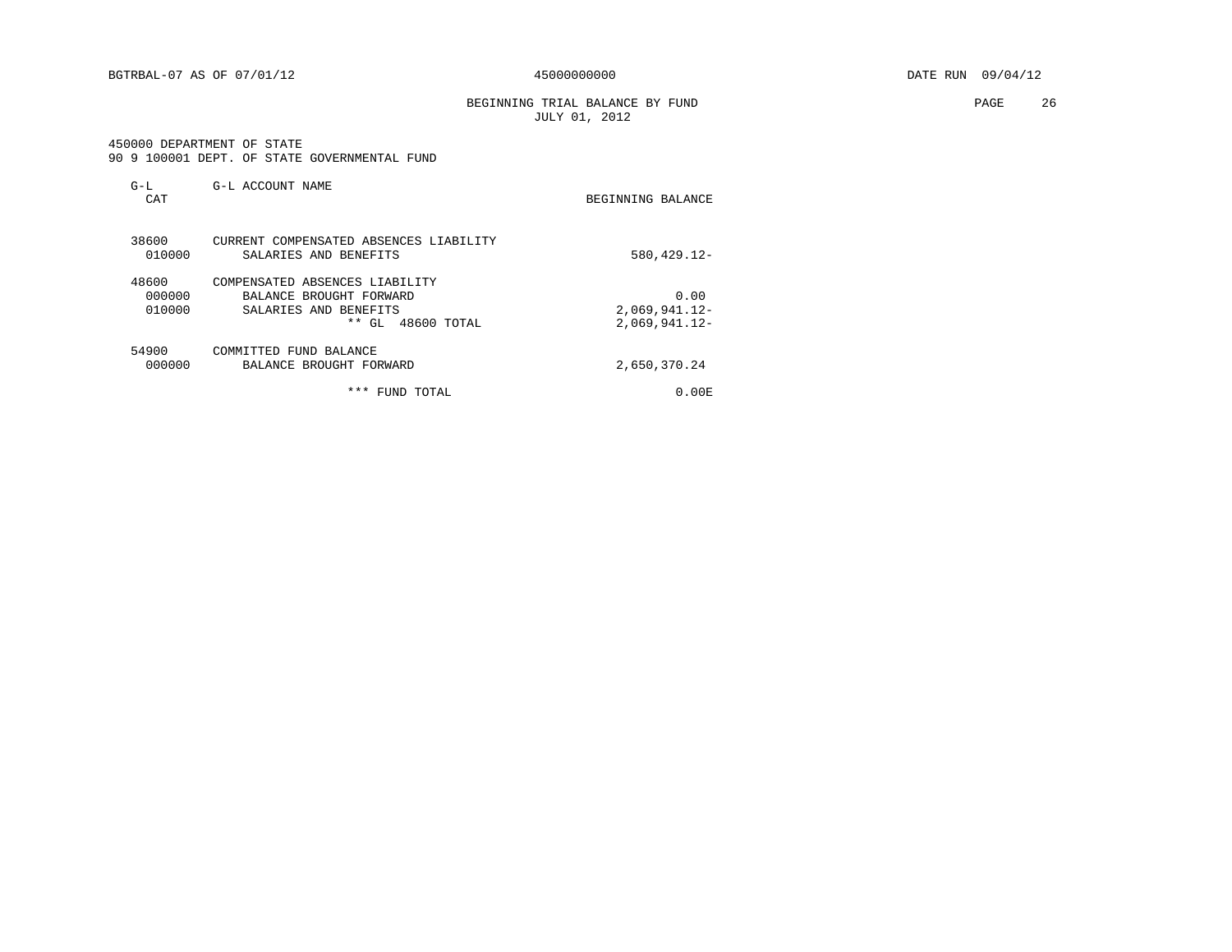BGTRBAL-07 AS OF 07/01/12  $450000000000$   $DATE$  RUN 09/04/12

BEGINNING TRIAL BALANCE BY FUND **PAGE** 26 JULY 01, 2012

 450000 DEPARTMENT OF STATE 90 9 100001 DEPT. OF STATE GOVERNMENTAL FUND

| $G-L$<br>CAT              | G-L ACCOUNT NAME                                                                                               | BEGINNING BALANCE                          |
|---------------------------|----------------------------------------------------------------------------------------------------------------|--------------------------------------------|
| 38600<br>010000           | CURRENT COMPENSATED ABSENCES LIABILITY<br>SALARIES AND BENEFITS                                                | 580, 429. 12-                              |
| 48600<br>000000<br>010000 | COMPENSATED ABSENCES LIABILITY<br>BALANCE BROUGHT FORWARD<br>SALARIES AND BENEFITS<br>* *<br>48600 TOTAL<br>GL | 0.00<br>$2,069,941.12-$<br>$2,069,941.12-$ |
| 54900<br>000000           | COMMITTED FUND BALANCE<br>BALANCE BROUGHT FORWARD                                                              | 2,650,370.24                               |
|                           | ***<br>FUND<br>TOTAL                                                                                           | $0.00$ E                                   |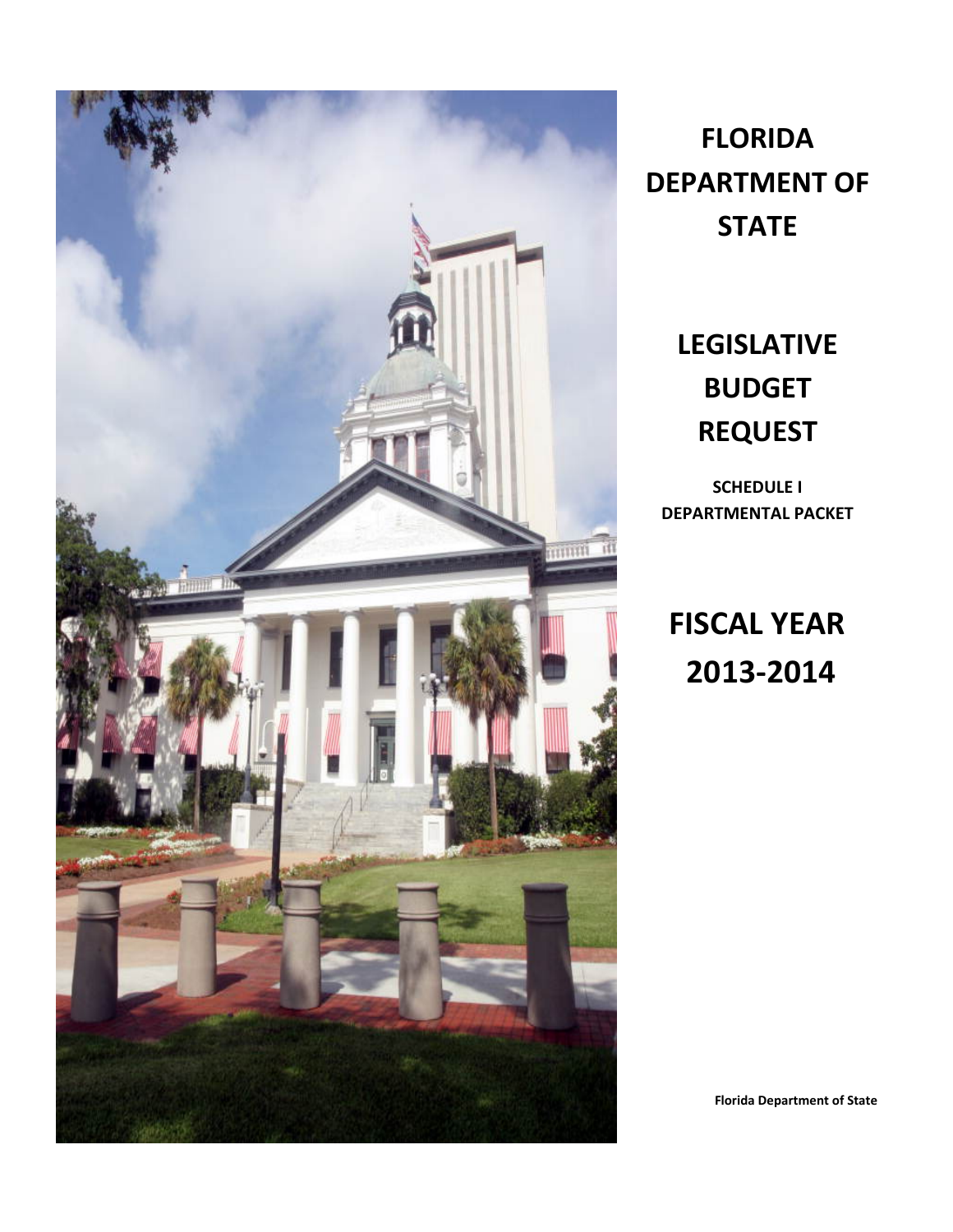

**FLORIDA DEPARTMENT OF STATE**

# **LEGISLATIVE BUDGET REQUEST**

**SCHEDULE I DEPARTMENTAL PACKET**

**FISCAL YEAR 2013-2014**

**Florida Department of State**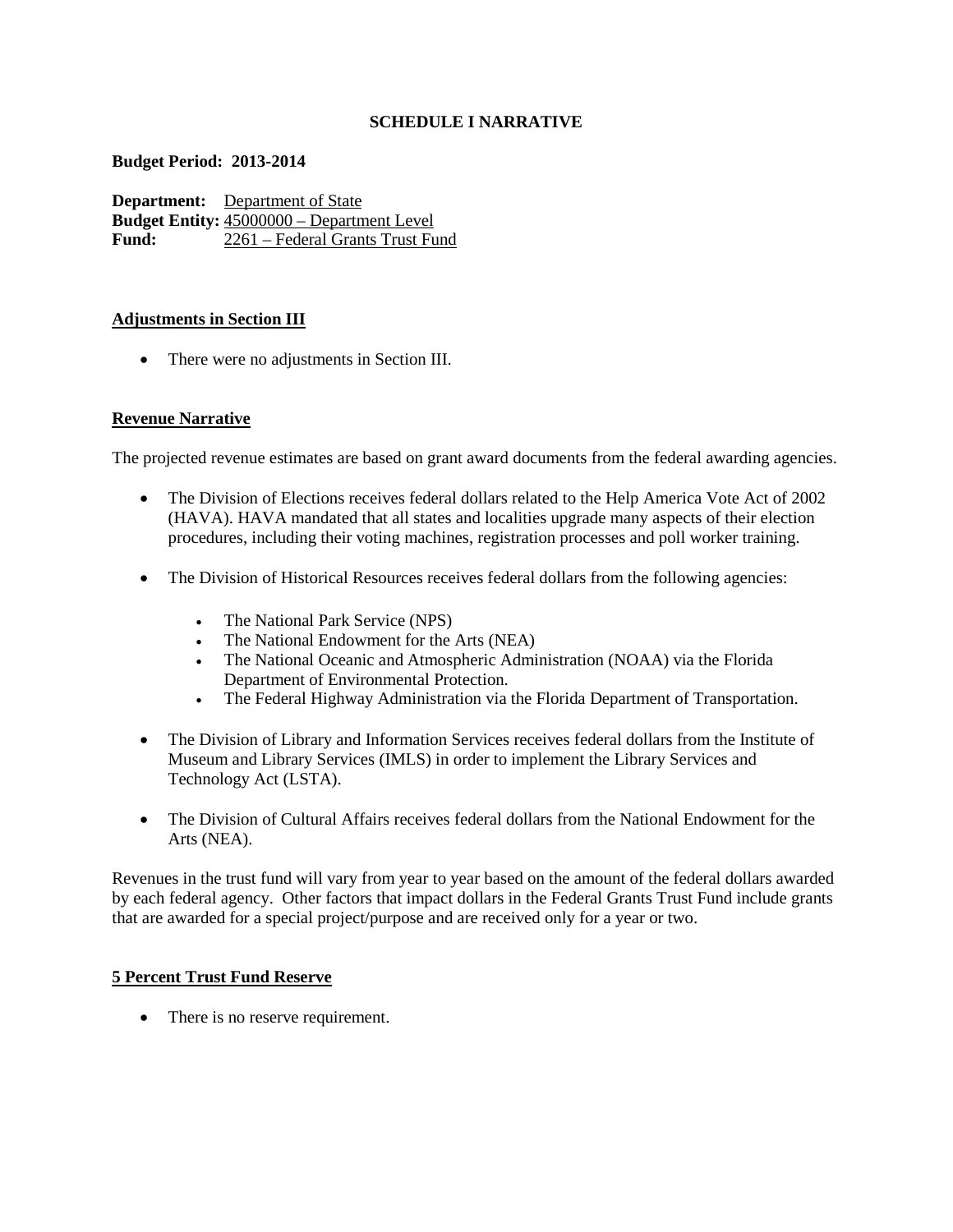## **SCHEDULE I NARRATIVE**

#### **Budget Period: 2013-2014**

**Department:** Department of State **Budget Entity:** 45000000 – Department Level<br>Fund: 2261 – Federal Grants Trust Fu **Fund:** 2261 – Federal Grants Trust Fund

#### **Adjustments in Section III**

• There were no adjustments in Section III.

## **Revenue Narrative**

The projected revenue estimates are based on grant award documents from the federal awarding agencies.

- The Division of Elections receives federal dollars related to the Help America Vote Act of 2002 (HAVA). HAVA mandated that all states and localities upgrade many aspects of their election procedures, including their voting machines, registration processes and poll worker training.
- The Division of Historical Resources receives federal dollars from the following agencies:
	- The National Park Service (NPS)
	- The National Endowment for the Arts (NEA)
	- The National Oceanic and Atmospheric Administration (NOAA) via the Florida Department of Environmental Protection.
	- The Federal Highway Administration via the Florida Department of Transportation.
- The Division of Library and Information Services receives federal dollars from the Institute of Museum and Library Services (IMLS) in order to implement the Library Services and Technology Act (LSTA).
- The Division of Cultural Affairs receives federal dollars from the National Endowment for the Arts (NEA).

Revenues in the trust fund will vary from year to year based on the amount of the federal dollars awarded by each federal agency. Other factors that impact dollars in the Federal Grants Trust Fund include grants that are awarded for a special project/purpose and are received only for a year or two.

## **5 Percent Trust Fund Reserve**

• There is no reserve requirement.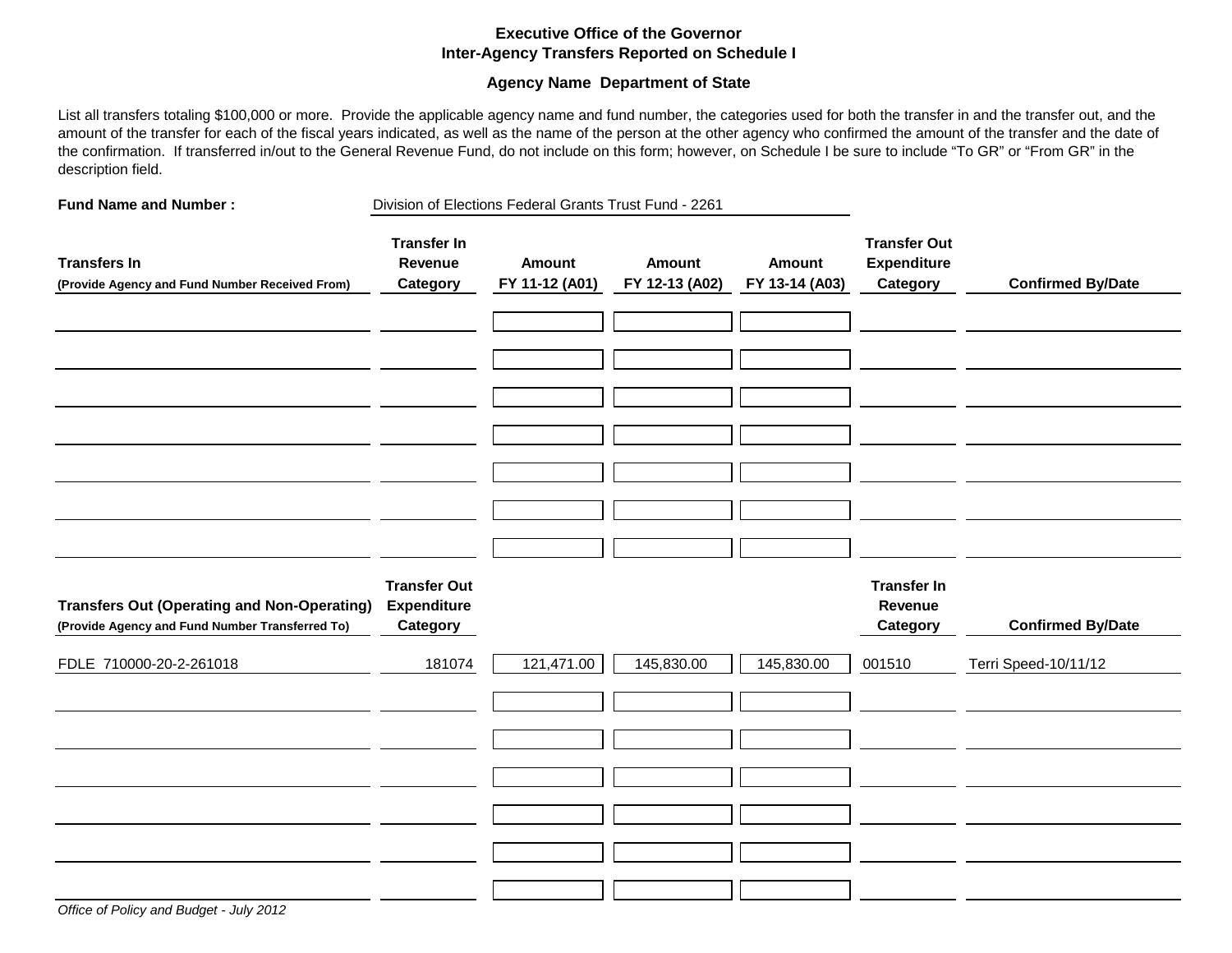## **Executive Office of the Governor Inter-Agency Transfers Reported on Schedule I**

#### **Agency Name Department of State**

List all transfers totaling \$100,000 or more. Provide the applicable agency name and fund number, the categories used for both the transfer in and the transfer out, and the amount of the transfer for each of the fiscal years indicated, as well as the name of the person at the other agency who confirmed the amount of the transfer and the date of the confirmation. If transferred in/out to the General Revenue Fund, do not include on this form; however, on Schedule I be sure to include "To GR" or "From GR" in the description field.

| <b>Fund Name and Number:</b>                                                                          |                                                       | Division of Elections Federal Grants Trust Fund - 2261 |                                 |                                 |                                                       |                          |
|-------------------------------------------------------------------------------------------------------|-------------------------------------------------------|--------------------------------------------------------|---------------------------------|---------------------------------|-------------------------------------------------------|--------------------------|
| <b>Transfers In</b><br>(Provide Agency and Fund Number Received From)                                 | <b>Transfer In</b><br>Revenue<br>Category             | Amount<br>FY 11-12 (A01)                               | <b>Amount</b><br>FY 12-13 (A02) | <b>Amount</b><br>FY 13-14 (A03) | <b>Transfer Out</b><br><b>Expenditure</b><br>Category | <b>Confirmed By/Date</b> |
|                                                                                                       |                                                       |                                                        |                                 |                                 |                                                       |                          |
|                                                                                                       |                                                       |                                                        |                                 |                                 |                                                       |                          |
|                                                                                                       |                                                       |                                                        |                                 |                                 |                                                       |                          |
|                                                                                                       |                                                       |                                                        |                                 |                                 |                                                       |                          |
|                                                                                                       |                                                       |                                                        |                                 |                                 |                                                       |                          |
|                                                                                                       |                                                       |                                                        |                                 |                                 |                                                       |                          |
| <b>Transfers Out (Operating and Non-Operating)</b><br>(Provide Agency and Fund Number Transferred To) | <b>Transfer Out</b><br><b>Expenditure</b><br>Category |                                                        |                                 |                                 | <b>Transfer In</b><br>Revenue<br>Category             | <b>Confirmed By/Date</b> |
| FDLE 710000-20-2-261018                                                                               | 181074                                                | 121,471.00                                             | 145,830.00                      | 145,830.00                      | 001510                                                | Terri Speed-10/11/12     |
|                                                                                                       |                                                       |                                                        |                                 |                                 |                                                       |                          |
|                                                                                                       |                                                       |                                                        |                                 |                                 |                                                       |                          |
|                                                                                                       |                                                       |                                                        |                                 |                                 |                                                       |                          |
|                                                                                                       |                                                       |                                                        |                                 |                                 |                                                       |                          |
|                                                                                                       |                                                       |                                                        |                                 |                                 |                                                       |                          |
|                                                                                                       |                                                       |                                                        |                                 |                                 |                                                       |                          |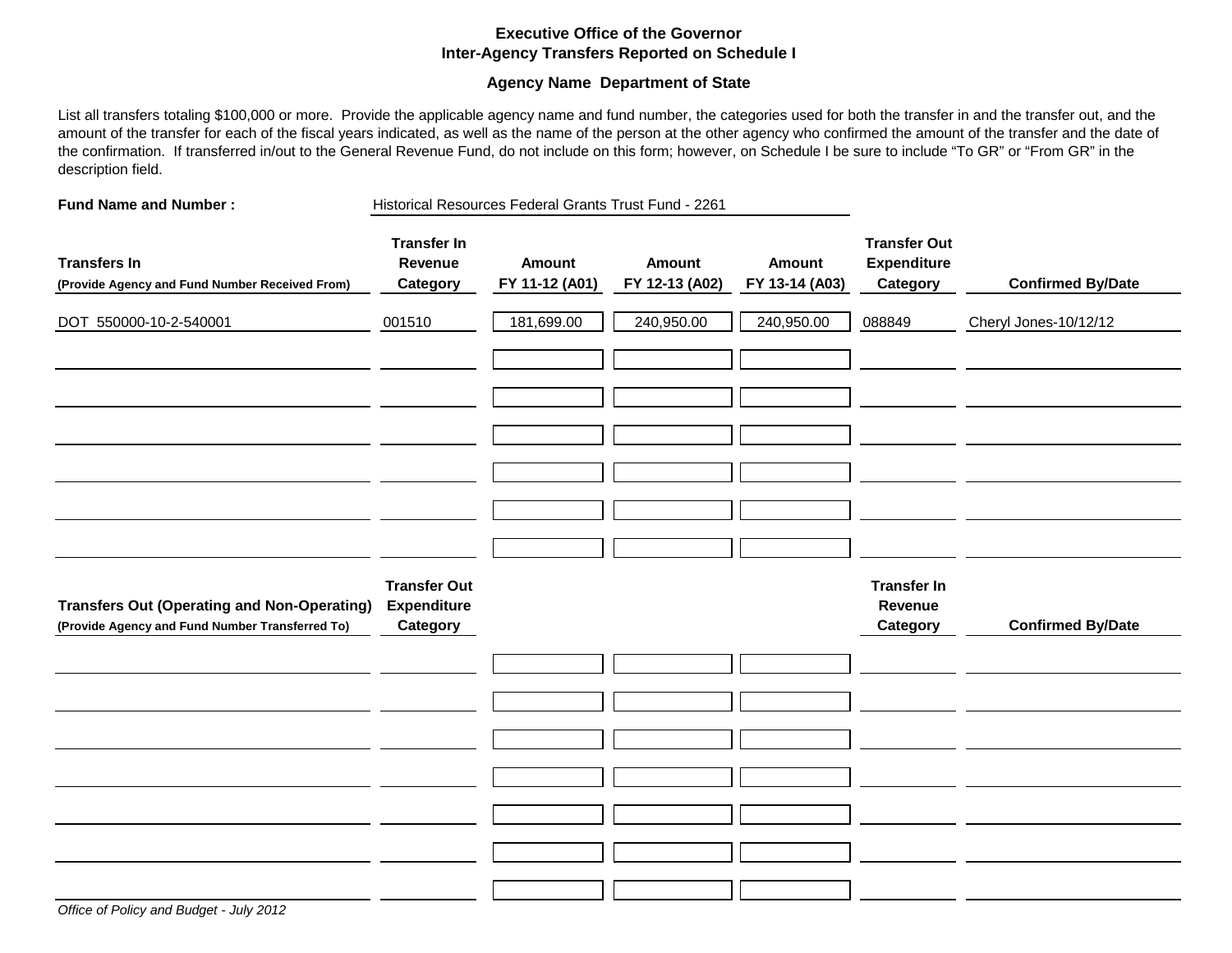#### **Executive Office of the Governor Inter-Agency Transfers Reported on Schedule I**

#### **Agency Name Department of State**

List all transfers totaling \$100,000 or more. Provide the applicable agency name and fund number, the categories used for both the transfer in and the transfer out, and the amount of the transfer for each of the fiscal years indicated, as well as the name of the person at the other agency who confirmed the amount of the transfer and the date of the confirmation. If transferred in/out to the General Revenue Fund, do not include on this form; however, on Schedule I be sure to include "To GR" or "From GR" in the description field.

**Fund Name and Number :** Historical Resources Federal Grants Trust Fund - 2261

| <b>Transfers In</b><br>(Provide Agency and Fund Number Received From)                                 | <b>Transfer In</b><br>Revenue<br>Category             | <b>Amount</b><br>FY 11-12 (A01) | <b>Amount</b><br>FY 12-13 (A02) | <b>Amount</b><br>FY 13-14 (A03) | <b>Transfer Out</b><br><b>Expenditure</b><br>Category | <b>Confirmed By/Date</b> |
|-------------------------------------------------------------------------------------------------------|-------------------------------------------------------|---------------------------------|---------------------------------|---------------------------------|-------------------------------------------------------|--------------------------|
| DOT 550000-10-2-540001                                                                                | 001510                                                | 181,699.00                      | 240,950.00                      | 240,950.00                      | 088849                                                | Cheryl Jones-10/12/12    |
|                                                                                                       |                                                       |                                 |                                 |                                 |                                                       |                          |
|                                                                                                       |                                                       |                                 |                                 |                                 |                                                       |                          |
|                                                                                                       |                                                       |                                 |                                 |                                 |                                                       |                          |
|                                                                                                       |                                                       |                                 |                                 |                                 |                                                       |                          |
|                                                                                                       |                                                       |                                 |                                 |                                 |                                                       |                          |
|                                                                                                       |                                                       |                                 |                                 |                                 |                                                       |                          |
| <b>Transfers Out (Operating and Non-Operating)</b><br>(Provide Agency and Fund Number Transferred To) | <b>Transfer Out</b><br><b>Expenditure</b><br>Category |                                 |                                 |                                 | <b>Transfer In</b><br>Revenue<br>Category             | <b>Confirmed By/Date</b> |
|                                                                                                       |                                                       |                                 |                                 |                                 |                                                       |                          |
|                                                                                                       |                                                       |                                 |                                 |                                 |                                                       |                          |
|                                                                                                       |                                                       |                                 |                                 |                                 |                                                       |                          |
|                                                                                                       |                                                       |                                 |                                 |                                 |                                                       |                          |
|                                                                                                       |                                                       |                                 |                                 |                                 |                                                       |                          |
|                                                                                                       |                                                       |                                 |                                 |                                 |                                                       |                          |
| Office of Policy and Budget - July 2012                                                               |                                                       |                                 |                                 |                                 |                                                       |                          |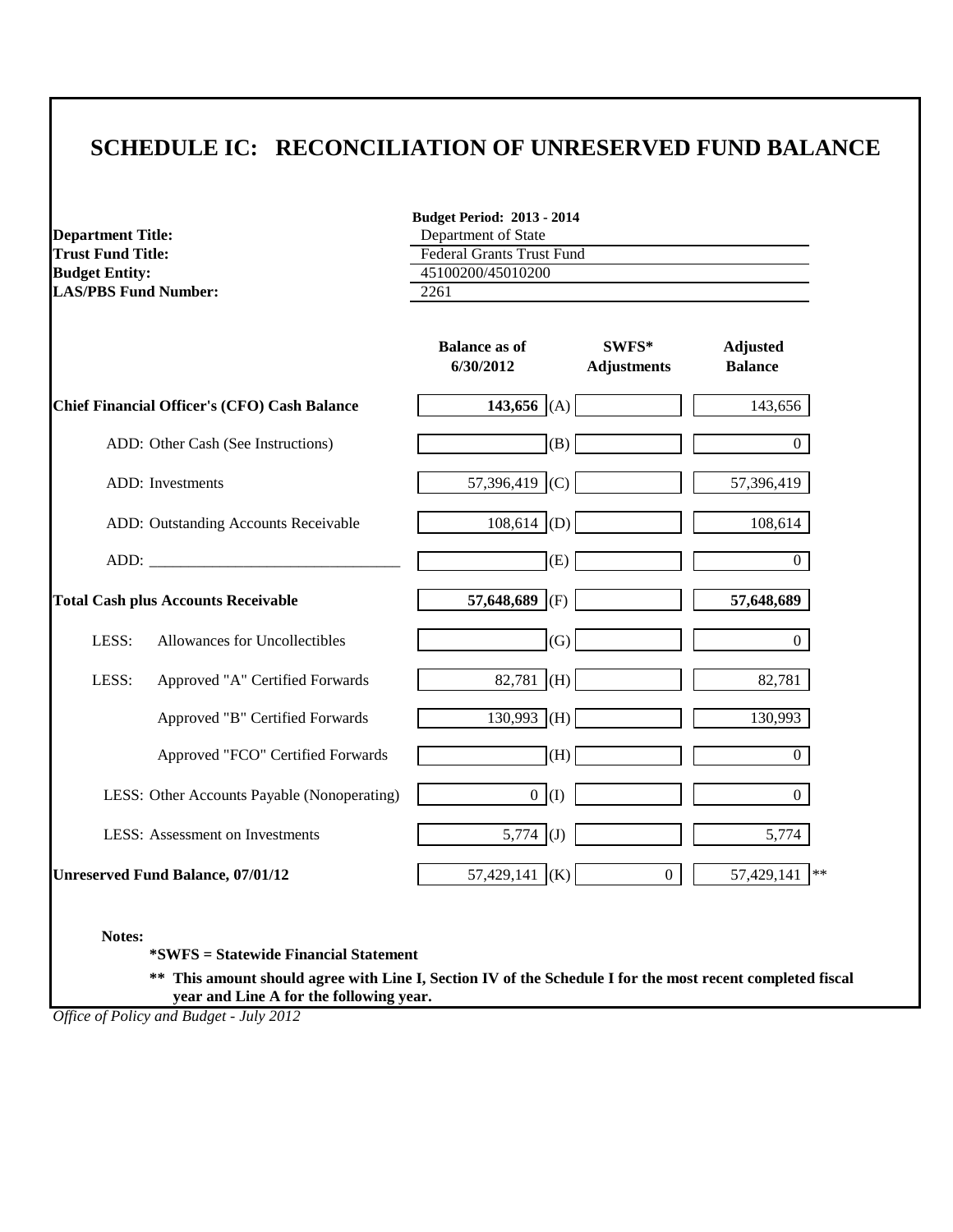| <b>Department Title:</b><br><b>Trust Fund Title:</b><br><b>Budget Entity:</b><br><b>LAS/PBS Fund Number:</b> |                                                                                                                                                                                                                                | <b>Budget Period: 2013 - 2014</b><br>Department of State      |                             |                                   |  |
|--------------------------------------------------------------------------------------------------------------|--------------------------------------------------------------------------------------------------------------------------------------------------------------------------------------------------------------------------------|---------------------------------------------------------------|-----------------------------|-----------------------------------|--|
|                                                                                                              |                                                                                                                                                                                                                                | <b>Federal Grants Trust Fund</b><br>45100200/45010200<br>2261 |                             |                                   |  |
|                                                                                                              |                                                                                                                                                                                                                                | <b>Balance as of</b><br>6/30/2012                             | SWFS*<br><b>Adjustments</b> | <b>Adjusted</b><br><b>Balance</b> |  |
|                                                                                                              | <b>Chief Financial Officer's (CFO) Cash Balance</b>                                                                                                                                                                            | 143,656 (A)                                                   |                             | 143,656                           |  |
|                                                                                                              | ADD: Other Cash (See Instructions)                                                                                                                                                                                             | (B)                                                           |                             | $\overline{0}$                    |  |
|                                                                                                              | ADD: Investments                                                                                                                                                                                                               | 57,396,419 (C)                                                |                             | 57,396,419                        |  |
|                                                                                                              | ADD: Outstanding Accounts Receivable                                                                                                                                                                                           | $108,614$ (D)                                                 |                             | 108,614                           |  |
|                                                                                                              | ADD: the contract of the contract of the contract of the contract of the contract of the contract of the contract of the contract of the contract of the contract of the contract of the contract of the contract of the contr | (E)                                                           |                             | $\overline{0}$                    |  |
|                                                                                                              | <b>Total Cash plus Accounts Receivable</b>                                                                                                                                                                                     | 57,648,689<br>(F)                                             |                             | 57,648,689                        |  |
| LESS:                                                                                                        | Allowances for Uncollectibles                                                                                                                                                                                                  | (G)                                                           |                             | $\overline{0}$                    |  |
| LESS:                                                                                                        | Approved "A" Certified Forwards                                                                                                                                                                                                | 82,781 (H)                                                    |                             | 82,781                            |  |
|                                                                                                              | Approved "B" Certified Forwards                                                                                                                                                                                                | $130,993$ (H)                                                 |                             | 130,993                           |  |
|                                                                                                              | Approved "FCO" Certified Forwards                                                                                                                                                                                              | (H)                                                           |                             | $\overline{0}$                    |  |
|                                                                                                              | LESS: Other Accounts Payable (Nonoperating)                                                                                                                                                                                    | $0$ (I)                                                       |                             | $\overline{0}$                    |  |
|                                                                                                              | <b>LESS:</b> Assessment on Investments                                                                                                                                                                                         | 5,774 (J)                                                     |                             | 5,774                             |  |
|                                                                                                              | <b>Unreserved Fund Balance, 07/01/12</b>                                                                                                                                                                                       | 57,429,141 (K)                                                | $\overline{0}$              | 57,429,141 **                     |  |

**\*SWFS = Statewide Financial Statement** 

**\*\* This amount should agree with Line I, Section IV of the Schedule I for the most recent completed fiscal year and Line A for the following year.**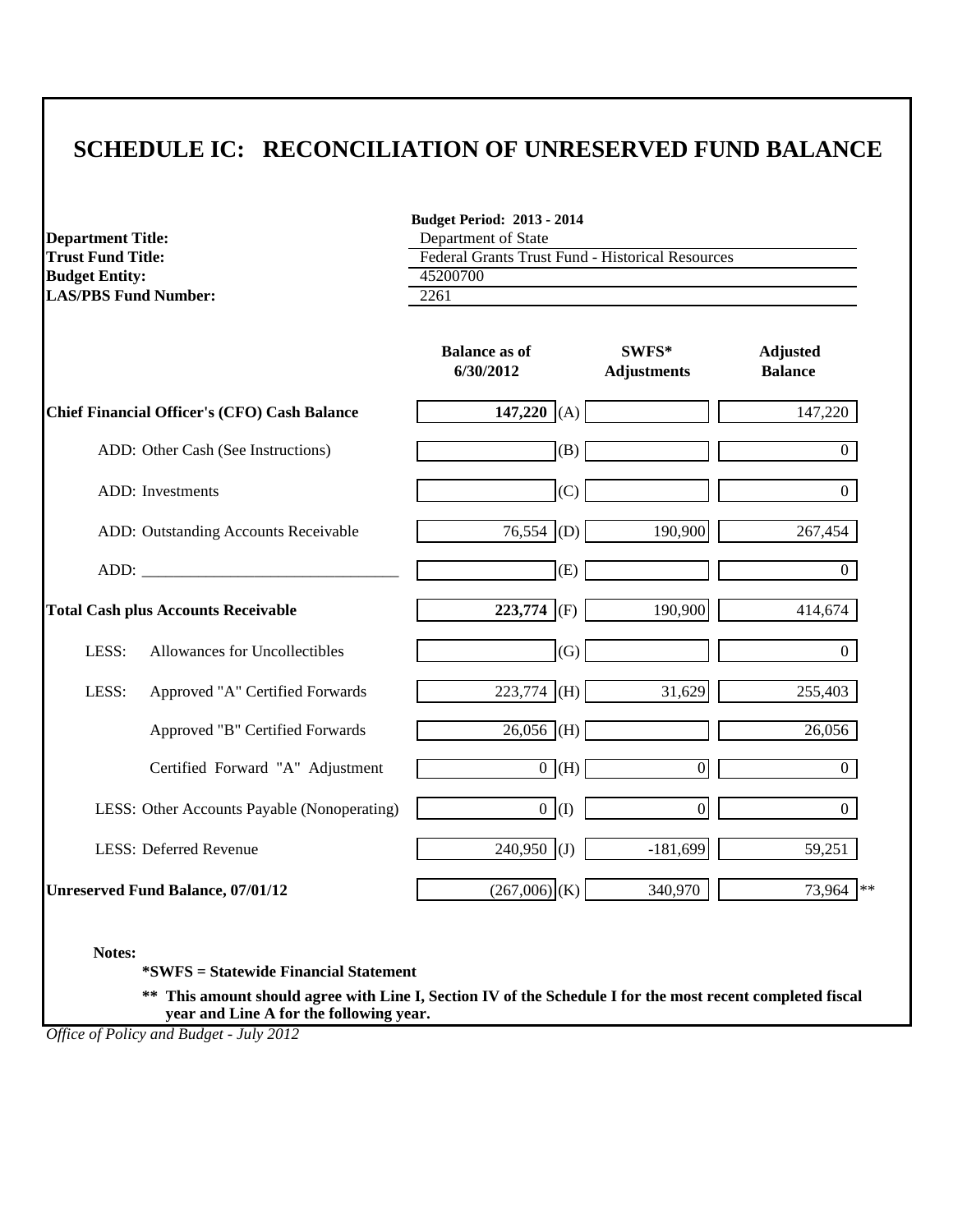| <b>Department Title:</b><br><b>Trust Fund Title:</b><br><b>Budget Entity:</b><br><b>LAS/PBS Fund Number:</b>                                                                                                                   | <b>Budget Period: 2013 - 2014</b><br>Department of State<br><b>Federal Grants Trust Fund - Historical Resources</b><br>45200700<br>2261 |                             |                                   |  |  |
|--------------------------------------------------------------------------------------------------------------------------------------------------------------------------------------------------------------------------------|-----------------------------------------------------------------------------------------------------------------------------------------|-----------------------------|-----------------------------------|--|--|
|                                                                                                                                                                                                                                | <b>Balance as of</b><br>6/30/2012                                                                                                       | SWFS*<br><b>Adjustments</b> | <b>Adjusted</b><br><b>Balance</b> |  |  |
| Chief Financial Officer's (CFO) Cash Balance                                                                                                                                                                                   | 147,220 (A)                                                                                                                             |                             | 147,220                           |  |  |
| ADD: Other Cash (See Instructions)                                                                                                                                                                                             | (B)                                                                                                                                     |                             | 0                                 |  |  |
| ADD: Investments                                                                                                                                                                                                               | (C)                                                                                                                                     |                             | $\overline{0}$                    |  |  |
| ADD: Outstanding Accounts Receivable                                                                                                                                                                                           | $76,554$ (D)                                                                                                                            | 190,900                     | 267,454                           |  |  |
| ADD: the contract of the contract of the contract of the contract of the contract of the contract of the contract of the contract of the contract of the contract of the contract of the contract of the contract of the contr | (E)                                                                                                                                     |                             | $\Omega$                          |  |  |
| <b>Total Cash plus Accounts Receivable</b>                                                                                                                                                                                     | 223,774 (F)                                                                                                                             | 190,900                     | 414,674                           |  |  |
| Allowances for Uncollectibles<br>LESS:                                                                                                                                                                                         | (G)                                                                                                                                     |                             | $\overline{0}$                    |  |  |
| LESS:<br>Approved "A" Certified Forwards                                                                                                                                                                                       | $223,774$ (H)                                                                                                                           | 31,629                      | 255,403                           |  |  |
| Approved "B" Certified Forwards                                                                                                                                                                                                | $26,056$ (H)                                                                                                                            |                             | 26,056                            |  |  |
| Certified Forward "A" Adjustment                                                                                                                                                                                               | $\overline{0}$ (H)                                                                                                                      | $\overline{0}$              | $\overline{0}$                    |  |  |
| LESS: Other Accounts Payable (Nonoperating)                                                                                                                                                                                    | 0(1)                                                                                                                                    | $\overline{0}$              | $\Omega$                          |  |  |
| <b>LESS: Deferred Revenue</b>                                                                                                                                                                                                  | 240,950 (J)                                                                                                                             | $-181,699$                  | 59,251                            |  |  |
| <b>Unreserved Fund Balance, 07/01/12</b>                                                                                                                                                                                       | $(267,006)$ (K)                                                                                                                         | 340,970                     | 73,964<br>$**$                    |  |  |

**Notes:**

**\*SWFS = Statewide Financial Statement** 

**\*\* This amount should agree with Line I, Section IV of the Schedule I for the most recent completed fiscal year and Line A for the following year.**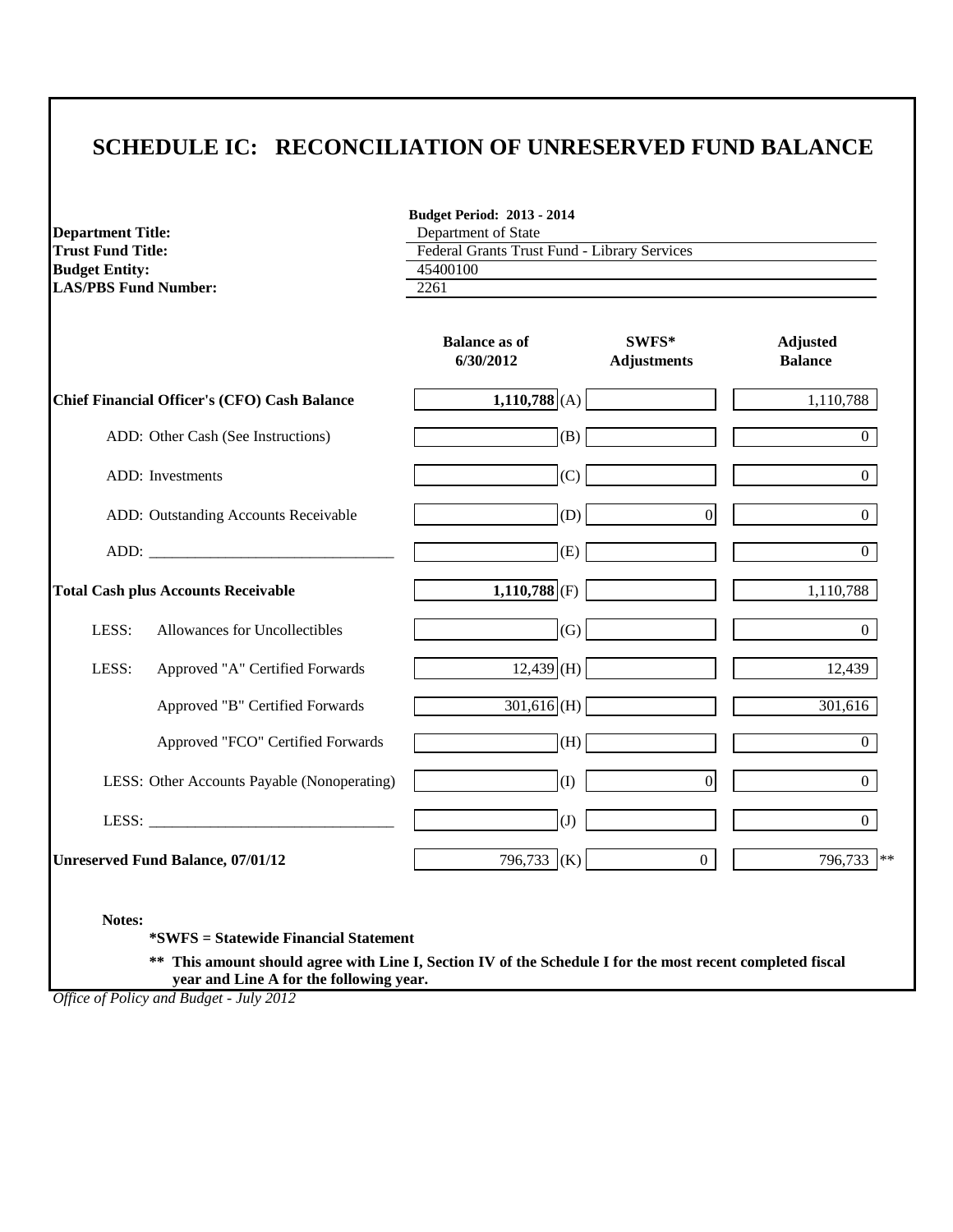**Budget Period: 2013 - 2014**

| <b>Department Title:</b>    |                                                     | Department of State                                      |                                |                                   |  |  |
|-----------------------------|-----------------------------------------------------|----------------------------------------------------------|--------------------------------|-----------------------------------|--|--|
| <b>Trust Fund Title:</b>    |                                                     | Federal Grants Trust Fund - Library Services<br>45400100 |                                |                                   |  |  |
| <b>Budget Entity:</b>       |                                                     |                                                          |                                |                                   |  |  |
| <b>LAS/PBS Fund Number:</b> |                                                     | 2261                                                     |                                |                                   |  |  |
|                             |                                                     | <b>Balance as of</b><br>6/30/2012                        | $SWFS^*$<br><b>Adjustments</b> | <b>Adjusted</b><br><b>Balance</b> |  |  |
|                             | <b>Chief Financial Officer's (CFO) Cash Balance</b> | $1,110,788$ (A)                                          |                                | 1,110,788                         |  |  |
|                             | ADD: Other Cash (See Instructions)                  | (B)                                                      |                                | $\overline{0}$                    |  |  |
|                             | ADD: Investments                                    | (C)                                                      |                                | $\Omega$                          |  |  |
|                             | ADD: Outstanding Accounts Receivable                | (D)                                                      | $\overline{0}$                 | $\Omega$                          |  |  |
|                             |                                                     | (E)                                                      |                                | $\Omega$                          |  |  |
|                             | <b>Total Cash plus Accounts Receivable</b>          | $1,110,788$ <sub>(F)</sub>                               |                                | 1,110,788                         |  |  |
| LESS:                       | Allowances for Uncollectibles                       | (G)                                                      |                                | $\Omega$                          |  |  |
| LESS:                       | Approved "A" Certified Forwards                     | $12,439$ (H)                                             |                                | 12,439                            |  |  |
|                             | Approved "B" Certified Forwards                     | $301,616$ (H)                                            |                                | 301,616                           |  |  |
|                             | Approved "FCO" Certified Forwards                   | (H)                                                      |                                | $\overline{0}$                    |  |  |
|                             | LESS: Other Accounts Payable (Nonoperating)         | (1)                                                      | $\overline{0}$                 | $\overline{0}$                    |  |  |
|                             | LESS:                                               | (J)                                                      |                                | $\overline{0}$                    |  |  |
|                             | <b>Unreserved Fund Balance, 07/01/12</b>            | 796,733 (K)                                              | $\overline{0}$                 | 796,733                           |  |  |

**Notes:**

**\*SWFS = Statewide Financial Statement** 

**\*\* This amount should agree with Line I, Section IV of the Schedule I for the most recent completed fiscal year and Line A for the following year.**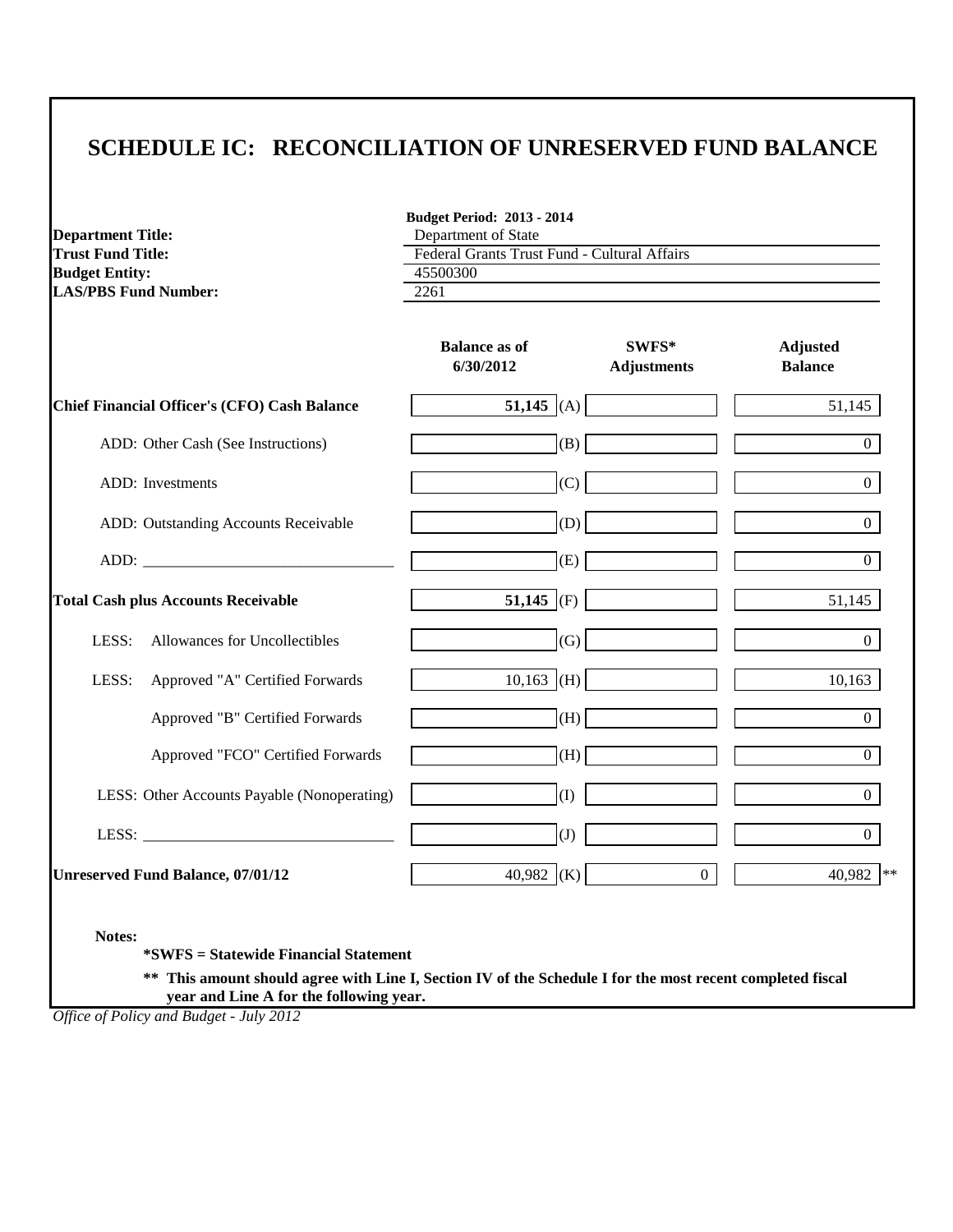**Budget Period: 2013 - 2014**

| <b>Department Title:</b><br><b>Trust Fund Title:</b><br><b>Budget Entity:</b><br><b>LAS/PBS Fund Number:</b> | Department of State<br>Federal Grants Trust Fund - Cultural Affairs<br>45500300<br>2261 |                             |                                   |  |  |
|--------------------------------------------------------------------------------------------------------------|-----------------------------------------------------------------------------------------|-----------------------------|-----------------------------------|--|--|
|                                                                                                              | <b>Balance as of</b><br>6/30/2012                                                       | SWFS*<br><b>Adjustments</b> | <b>Adjusted</b><br><b>Balance</b> |  |  |
| <b>Chief Financial Officer's (CFO) Cash Balance</b>                                                          | 51,145 (A)                                                                              |                             | 51,145                            |  |  |
| ADD: Other Cash (See Instructions)                                                                           | (B)                                                                                     |                             | $\Omega$                          |  |  |
| ADD: Investments                                                                                             | (C)                                                                                     |                             | $\Omega$                          |  |  |
| ADD: Outstanding Accounts Receivable                                                                         | (D)                                                                                     |                             | $\Omega$                          |  |  |
|                                                                                                              | (E)                                                                                     |                             | $\Omega$                          |  |  |
| <b>Total Cash plus Accounts Receivable</b>                                                                   | 51,145 (F)                                                                              |                             | 51,145                            |  |  |
| LESS:<br>Allowances for Uncollectibles                                                                       | (G)                                                                                     |                             | $\Omega$                          |  |  |
| LESS:<br>Approved "A" Certified Forwards                                                                     | $10,163$ (H)                                                                            |                             | 10,163                            |  |  |
| Approved "B" Certified Forwards                                                                              | (H)                                                                                     |                             | $\overline{0}$                    |  |  |
| Approved "FCO" Certified Forwards                                                                            | (H)                                                                                     |                             | $\overline{0}$                    |  |  |
| LESS: Other Accounts Payable (Nonoperating)                                                                  | (1)                                                                                     |                             | $\overline{0}$                    |  |  |
|                                                                                                              | (J)                                                                                     |                             | $\overline{0}$                    |  |  |
| <b>Unreserved Fund Balance, 07/01/12</b>                                                                     | $\overline{40,}982$ (K)                                                                 | $\overline{0}$              | 40,982 **                         |  |  |
| Notes:<br><i>*SWFS</i> = Statewide Financial Statement                                                       |                                                                                         |                             |                                   |  |  |

**\*\* This amount should agree with Line I, Section IV of the Schedule I for the most recent completed fiscal year and Line A for the following year.**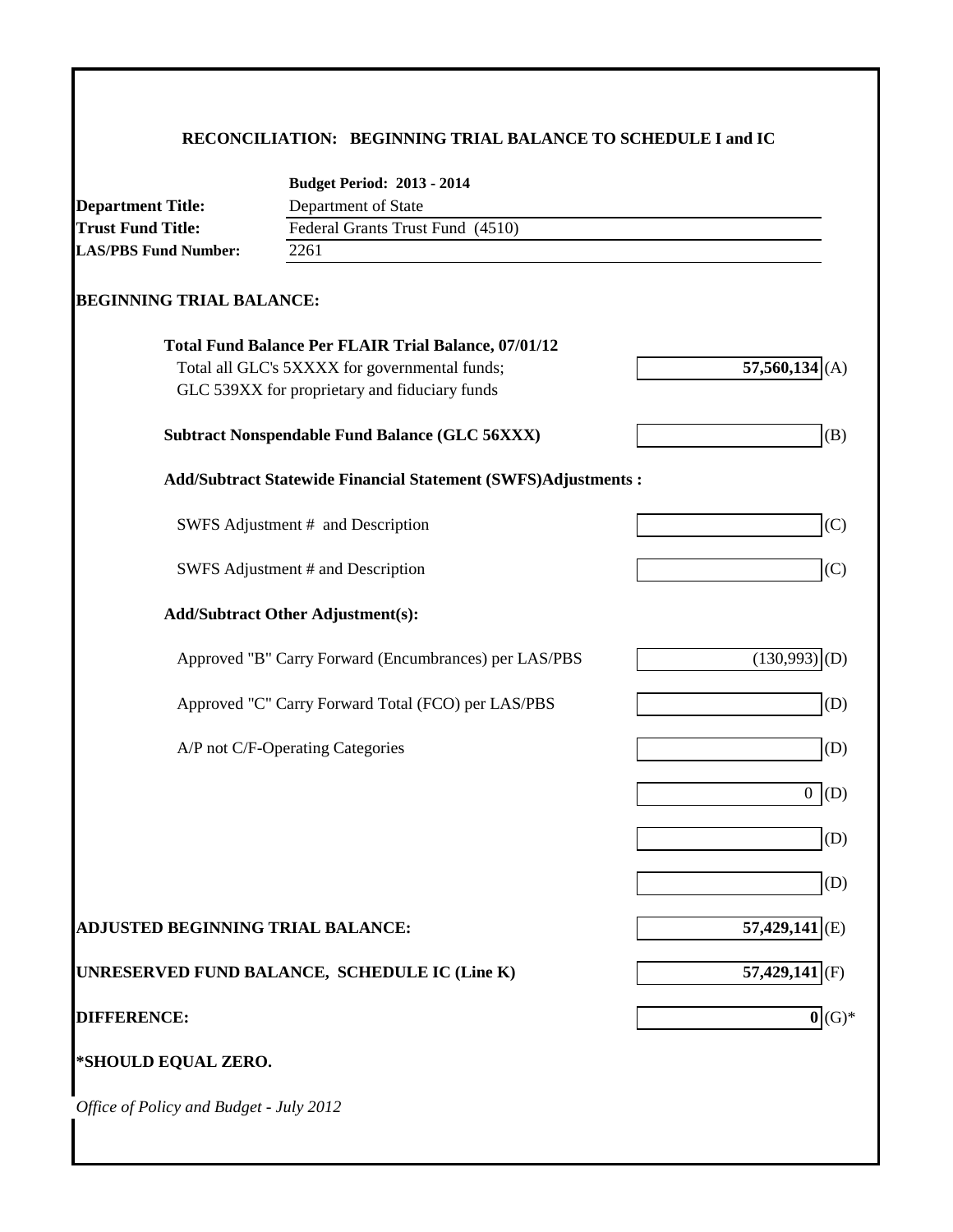# **RECONCILIATION: BEGINNING TRIAL BALANCE TO SCHEDULE I and IC**

|                                         | <b>Budget Period: 2013 - 2014</b>                              |                             |
|-----------------------------------------|----------------------------------------------------------------|-----------------------------|
| <b>Department Title:</b>                | Department of State                                            |                             |
| <b>Trust Fund Title:</b>                | Federal Grants Trust Fund (4510)                               |                             |
| <b>LAS/PBS Fund Number:</b>             | 2261                                                           |                             |
| <b>BEGINNING TRIAL BALANCE:</b>         |                                                                |                             |
|                                         | <b>Total Fund Balance Per FLAIR Trial Balance, 07/01/12</b>    |                             |
|                                         | Total all GLC's 5XXXX for governmental funds;                  | $57,560,134$ <sub>(A)</sub> |
|                                         | GLC 539XX for proprietary and fiduciary funds                  |                             |
|                                         | <b>Subtract Nonspendable Fund Balance (GLC 56XXX)</b>          | (B)                         |
|                                         | Add/Subtract Statewide Financial Statement (SWFS)Adjustments : |                             |
|                                         | SWFS Adjustment # and Description                              | (C)                         |
|                                         | SWFS Adjustment # and Description                              | (C)                         |
|                                         | <b>Add/Subtract Other Adjustment(s):</b>                       |                             |
|                                         | Approved "B" Carry Forward (Encumbrances) per LAS/PBS          | (130,993)<br>(D)            |
|                                         | Approved "C" Carry Forward Total (FCO) per LAS/PBS             | (D)                         |
|                                         | A/P not C/F-Operating Categories                               | (D)                         |
|                                         |                                                                | 0(                          |
|                                         |                                                                | (D)                         |
|                                         |                                                                | (D)                         |
| ADJUSTED BEGINNING TRIAL BALANCE:       |                                                                | $57,429,141$ <sup>(E)</sup> |
|                                         | UNRESERVED FUND BALANCE, SCHEDULE IC (Line K)                  | $57,429,141$ <sup>(F)</sup> |
| <b>DIFFERENCE:</b>                      |                                                                | $0(G)^*$                    |
| *SHOULD EQUAL ZERO.                     |                                                                |                             |
| Office of Policy and Budget - July 2012 |                                                                |                             |
|                                         |                                                                |                             |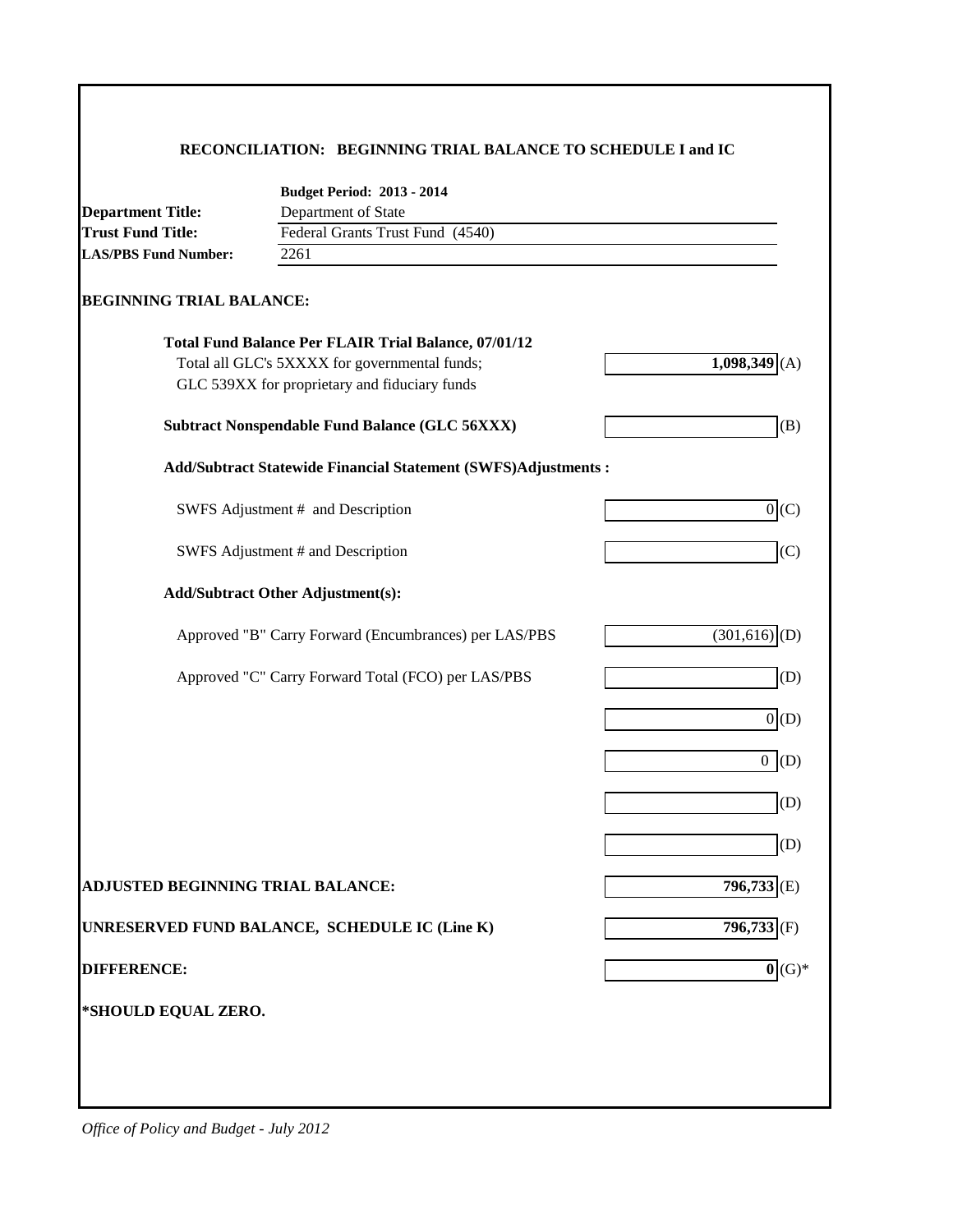#### **RECONCILIATION: BEGINNING TRIAL BALANCE TO SCHEDULE I and IC**

|                                   | <b>Budget Period: 2013 - 2014</b>                                    |                              |
|-----------------------------------|----------------------------------------------------------------------|------------------------------|
| <b>Department Title:</b>          | Department of State                                                  |                              |
| <b>Trust Fund Title:</b>          | Federal Grants Trust Fund (4540)                                     |                              |
| <b>LAS/PBS Fund Number:</b>       | 2261                                                                 |                              |
| <b>BEGINNING TRIAL BALANCE:</b>   |                                                                      |                              |
|                                   | <b>Total Fund Balance Per FLAIR Trial Balance, 07/01/12</b>          |                              |
|                                   | Total all GLC's 5XXXX for governmental funds;                        | 1,098,349                    |
|                                   | GLC 539XX for proprietary and fiduciary funds                        |                              |
|                                   | <b>Subtract Nonspendable Fund Balance (GLC 56XXX)</b>                | (B)                          |
|                                   | <b>Add/Subtract Statewide Financial Statement (SWFS)Adjustments:</b> |                              |
|                                   | SWFS Adjustment # and Description                                    | 0(C)                         |
|                                   | SWFS Adjustment # and Description                                    | (C)                          |
|                                   | <b>Add/Subtract Other Adjustment(s):</b>                             |                              |
|                                   | Approved "B" Carry Forward (Encumbrances) per LAS/PBS                | $(301, 616)$ (D)             |
|                                   | Approved "C" Carry Forward Total (FCO) per LAS/PBS                   | (D)                          |
|                                   |                                                                      | 0(D)                         |
|                                   |                                                                      | $0$ (D)                      |
|                                   |                                                                      | (D)                          |
|                                   |                                                                      | (D)                          |
| ADJUSTED BEGINNING TRIAL BALANCE: |                                                                      | $796,733$ <sub>(E)</sub>     |
|                                   | UNRESERVED FUND BALANCE, SCHEDULE IC (Line K)                        | $796,733$ <sub>(F)</sub>     |
| <b>DIFFERENCE:</b>                |                                                                      | $\overline{\mathbf{0}}(G)^*$ |
| *SHOULD EQUAL ZERO.               |                                                                      |                              |
|                                   |                                                                      |                              |
|                                   |                                                                      |                              |
|                                   |                                                                      |                              |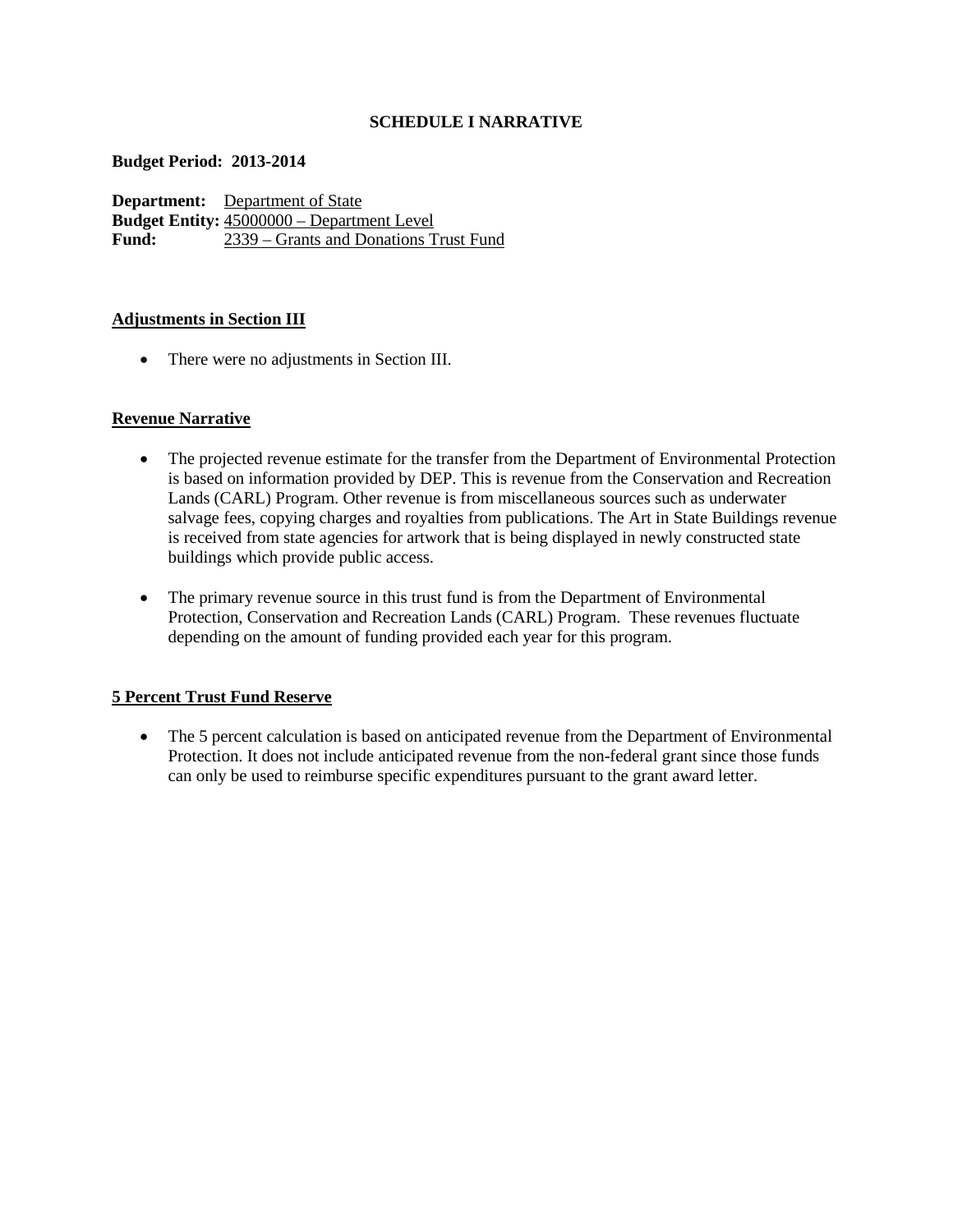## **SCHEDULE I NARRATIVE**

#### **Budget Period: 2013-2014**

**Department:** Department of State **Budget Entity:**  $\frac{45000000 - \text{Department Level}}{2339 - \text{Grants and Donations}}$ **Fund:** 2339 – Grants and Donations Trust Fund

## **Adjustments in Section III**

• There were no adjustments in Section III.

# **Revenue Narrative**

- The projected revenue estimate for the transfer from the Department of Environmental Protection is based on information provided by DEP. This is revenue from the Conservation and Recreation Lands (CARL) Program. Other revenue is from miscellaneous sources such as underwater salvage fees, copying charges and royalties from publications. The Art in State Buildings revenue is received from state agencies for artwork that is being displayed in newly constructed state buildings which provide public access.
- The primary revenue source in this trust fund is from the Department of Environmental Protection, Conservation and Recreation Lands (CARL) Program. These revenues fluctuate depending on the amount of funding provided each year for this program.

## **5 Percent Trust Fund Reserve**

• The 5 percent calculation is based on anticipated revenue from the Department of Environmental Protection. It does not include anticipated revenue from the non-federal grant since those funds can only be used to reimburse specific expenditures pursuant to the grant award letter.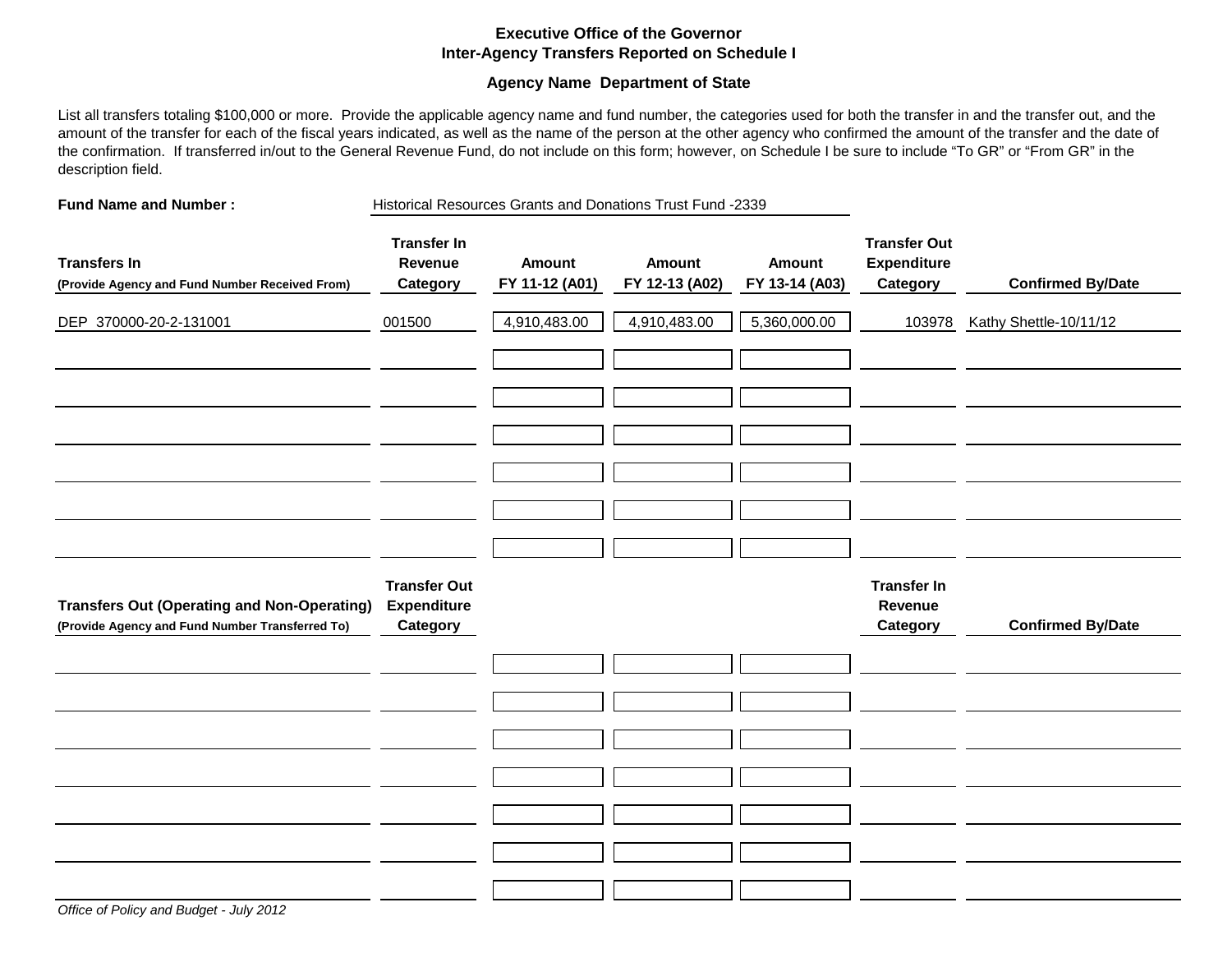#### **Executive Office of the Governor Inter-Agency Transfers Reported on Schedule I**

#### **Agency Name Department of State**

List all transfers totaling \$100,000 or more. Provide the applicable agency name and fund number, the categories used for both the transfer in and the transfer out, and the amount of the transfer for each of the fiscal years indicated, as well as the name of the person at the other agency who confirmed the amount of the transfer and the date of the confirmation. If transferred in/out to the General Revenue Fund, do not include on this form; however, on Schedule I be sure to include "To GR" or "From GR" in the description field.

**Fund Name and Number :** Historical Resources Grants and Donations Trust Fund -2339

| <b>Transfers In</b><br>(Provide Agency and Fund Number Received From)                                 | <b>Transfer In</b><br>Revenue<br>Category             | Amount<br>FY 11-12 (A01) | <b>Amount</b><br>FY 12-13 (A02) | <b>Amount</b><br>FY 13-14 (A03) | <b>Transfer Out</b><br><b>Expenditure</b><br>Category | <b>Confirmed By/Date</b> |
|-------------------------------------------------------------------------------------------------------|-------------------------------------------------------|--------------------------|---------------------------------|---------------------------------|-------------------------------------------------------|--------------------------|
| DEP 370000-20-2-131001                                                                                | 001500                                                | 4,910,483.00             | 4,910,483.00                    | 5,360,000.00                    | 103978                                                | Kathy Shettle-10/11/12   |
|                                                                                                       |                                                       |                          |                                 |                                 |                                                       |                          |
|                                                                                                       |                                                       |                          |                                 |                                 |                                                       |                          |
|                                                                                                       |                                                       |                          |                                 |                                 |                                                       |                          |
|                                                                                                       |                                                       |                          |                                 |                                 |                                                       |                          |
|                                                                                                       |                                                       |                          |                                 |                                 |                                                       |                          |
|                                                                                                       |                                                       |                          |                                 |                                 |                                                       |                          |
| <b>Transfers Out (Operating and Non-Operating)</b><br>(Provide Agency and Fund Number Transferred To) | <b>Transfer Out</b><br><b>Expenditure</b><br>Category |                          |                                 |                                 | <b>Transfer In</b><br>Revenue<br>Category             | <b>Confirmed By/Date</b> |
|                                                                                                       |                                                       |                          |                                 |                                 |                                                       |                          |
|                                                                                                       |                                                       |                          |                                 |                                 |                                                       |                          |
|                                                                                                       |                                                       |                          |                                 |                                 |                                                       |                          |
|                                                                                                       |                                                       |                          |                                 |                                 |                                                       |                          |
|                                                                                                       |                                                       |                          |                                 |                                 |                                                       |                          |
|                                                                                                       |                                                       |                          |                                 |                                 |                                                       |                          |
|                                                                                                       |                                                       |                          |                                 |                                 |                                                       |                          |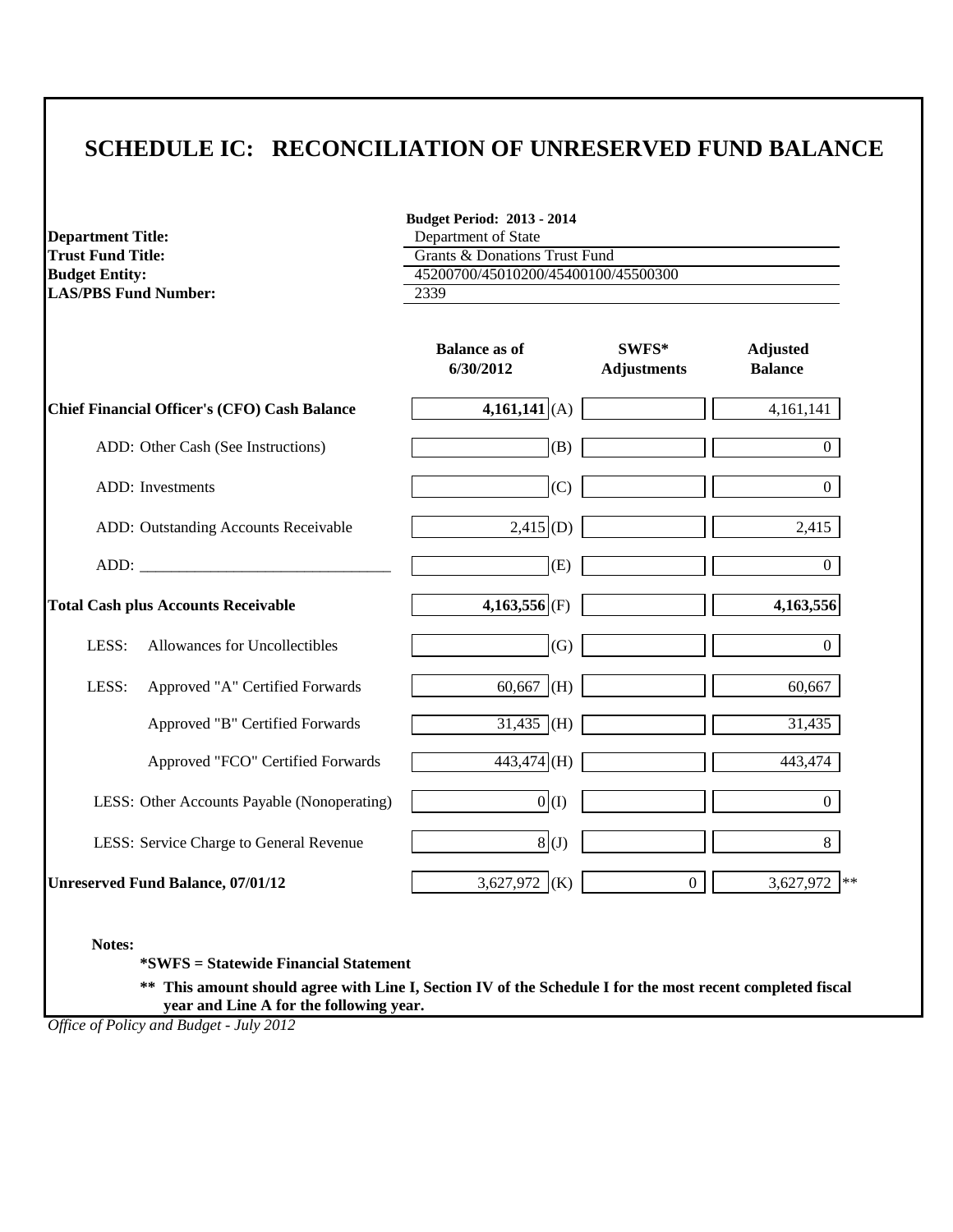| <b>Department Title:</b>                                                                                                                                                                                                       | <b>Budget Period: 2013 - 2014</b><br>Department of State |                             |                                   |
|--------------------------------------------------------------------------------------------------------------------------------------------------------------------------------------------------------------------------------|----------------------------------------------------------|-----------------------------|-----------------------------------|
| <b>Trust Fund Title:</b>                                                                                                                                                                                                       | <b>Grants &amp; Donations Trust Fund</b>                 |                             |                                   |
| <b>Budget Entity:</b>                                                                                                                                                                                                          | 45200700/45010200/45400100/45500300                      |                             |                                   |
| <b>LAS/PBS Fund Number:</b>                                                                                                                                                                                                    | 2339                                                     |                             |                                   |
|                                                                                                                                                                                                                                | <b>Balance as of</b><br>6/30/2012                        | SWFS*<br><b>Adjustments</b> | <b>Adjusted</b><br><b>Balance</b> |
| <b>Chief Financial Officer's (CFO) Cash Balance</b>                                                                                                                                                                            | $4,161,141$ (A)                                          |                             | 4,161,141                         |
| ADD: Other Cash (See Instructions)                                                                                                                                                                                             | (B)                                                      |                             | $\overline{0}$                    |
| ADD: Investments                                                                                                                                                                                                               | (C)                                                      |                             | $\overline{0}$                    |
| ADD: Outstanding Accounts Receivable                                                                                                                                                                                           | $2,415$ (D)                                              |                             | 2,415                             |
| ADD: the contract of the contract of the contract of the contract of the contract of the contract of the contract of the contract of the contract of the contract of the contract of the contract of the contract of the contr | (E)                                                      |                             | $\overline{0}$                    |
| <b>Total Cash plus Accounts Receivable</b>                                                                                                                                                                                     | $4,163,556$ (F)                                          |                             | 4,163,556                         |
| LESS:<br>Allowances for Uncollectibles                                                                                                                                                                                         | (G)                                                      |                             | $\overline{0}$                    |
| LESS:<br>Approved "A" Certified Forwards                                                                                                                                                                                       | 60,667 (H)                                               |                             | 60,667                            |
| Approved "B" Certified Forwards                                                                                                                                                                                                | $31,435$ (H)                                             |                             | 31,435                            |
| Approved "FCO" Certified Forwards                                                                                                                                                                                              | $443,474$ (H)                                            |                             | 443,474                           |
| LESS: Other Accounts Payable (Nonoperating)                                                                                                                                                                                    | 0(1)                                                     |                             | $\overline{0}$                    |
| LESS: Service Charge to General Revenue                                                                                                                                                                                        | 8(1)                                                     |                             | 8                                 |
| <b>Unreserved Fund Balance, 07/01/12</b>                                                                                                                                                                                       | 3,627,972 (K)                                            | $\overline{0}$              | 3,627,972<br>$**$                 |

**Notes:**

**\*SWFS = Statewide Financial Statement** 

**\*\* This amount should agree with Line I, Section IV of the Schedule I for the most recent completed fiscal year and Line A for the following year.**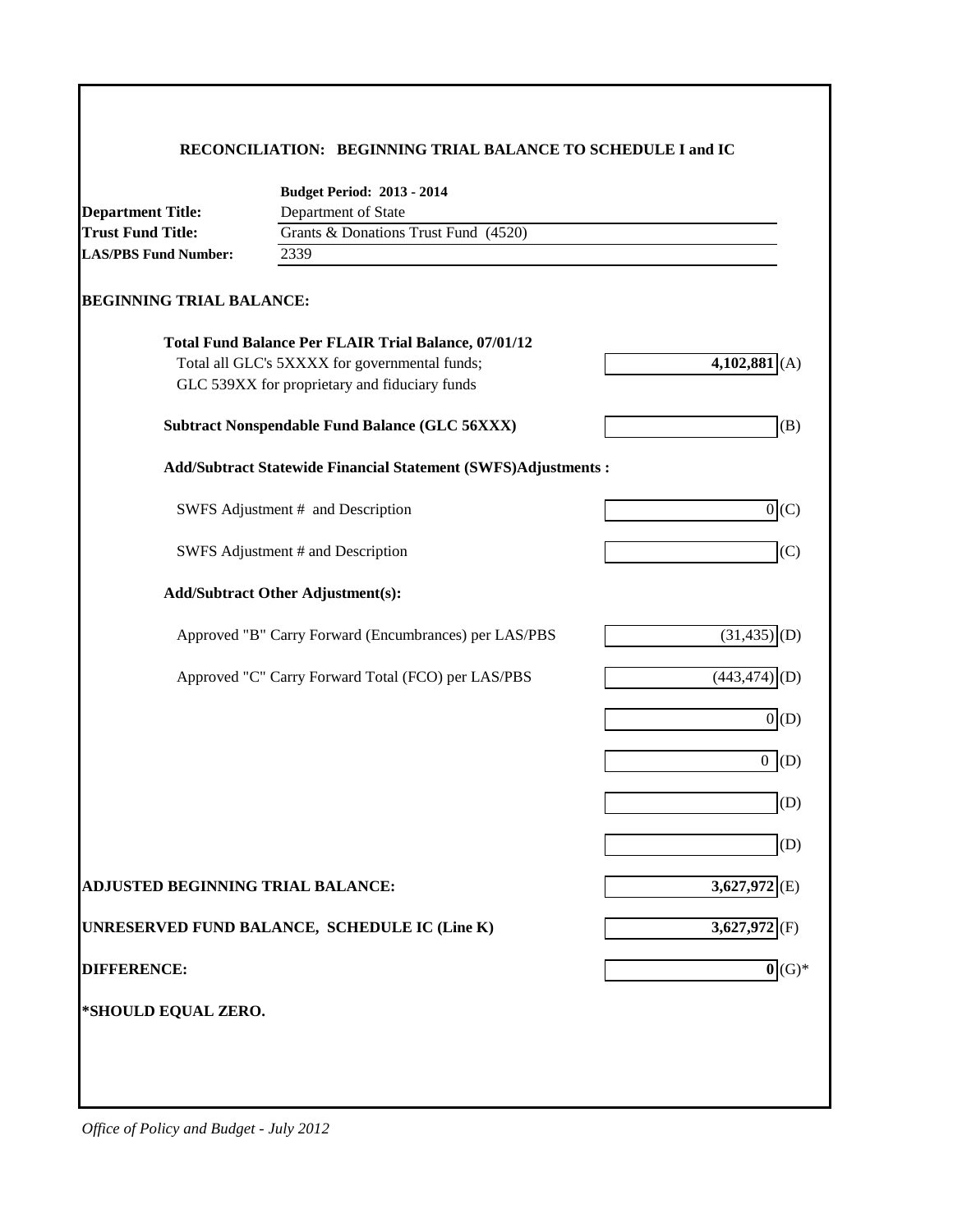#### **RECONCILIATION: BEGINNING TRIAL BALANCE TO SCHEDULE I and IC**

|                                   | <b>Budget Period: 2013 - 2014</b>                              |                              |
|-----------------------------------|----------------------------------------------------------------|------------------------------|
| <b>Department Title:</b>          | Department of State                                            |                              |
| <b>Trust Fund Title:</b>          | Grants & Donations Trust Fund (4520)                           |                              |
| <b>LAS/PBS Fund Number:</b>       | 2339                                                           |                              |
| <b>BEGINNING TRIAL BALANCE:</b>   |                                                                |                              |
|                                   | <b>Total Fund Balance Per FLAIR Trial Balance, 07/01/12</b>    |                              |
|                                   | Total all GLC's 5XXXX for governmental funds;                  | $4,102,881$ (A)              |
|                                   | GLC 539XX for proprietary and fiduciary funds                  |                              |
|                                   | Subtract Nonspendable Fund Balance (GLC 56XXX)                 | (B)                          |
|                                   | Add/Subtract Statewide Financial Statement (SWFS)Adjustments : |                              |
|                                   | SWFS Adjustment # and Description                              | $0($ $C)$                    |
|                                   | SWFS Adjustment # and Description                              | (C)                          |
|                                   | <b>Add/Subtract Other Adjustment(s):</b>                       |                              |
|                                   | Approved "B" Carry Forward (Encumbrances) per LAS/PBS          | (31, 435)<br>(D)             |
|                                   | Approved "C" Carry Forward Total (FCO) per LAS/PBS             | (443, 474)                   |
|                                   |                                                                | 0(D)                         |
|                                   |                                                                | $0($ D)                      |
|                                   |                                                                | (D)                          |
|                                   |                                                                | (D)                          |
| ADJUSTED BEGINNING TRIAL BALANCE: |                                                                | 3,627,972                    |
|                                   | UNRESERVED FUND BALANCE, SCHEDULE IC (Line K)                  | $3,627,972$ <sub>(F)</sub>   |
| <b>DIFFERENCE:</b>                |                                                                | $\overline{\mathbf{0}}(G)^*$ |
| *SHOULD EQUAL ZERO.               |                                                                |                              |
|                                   |                                                                |                              |
|                                   |                                                                |                              |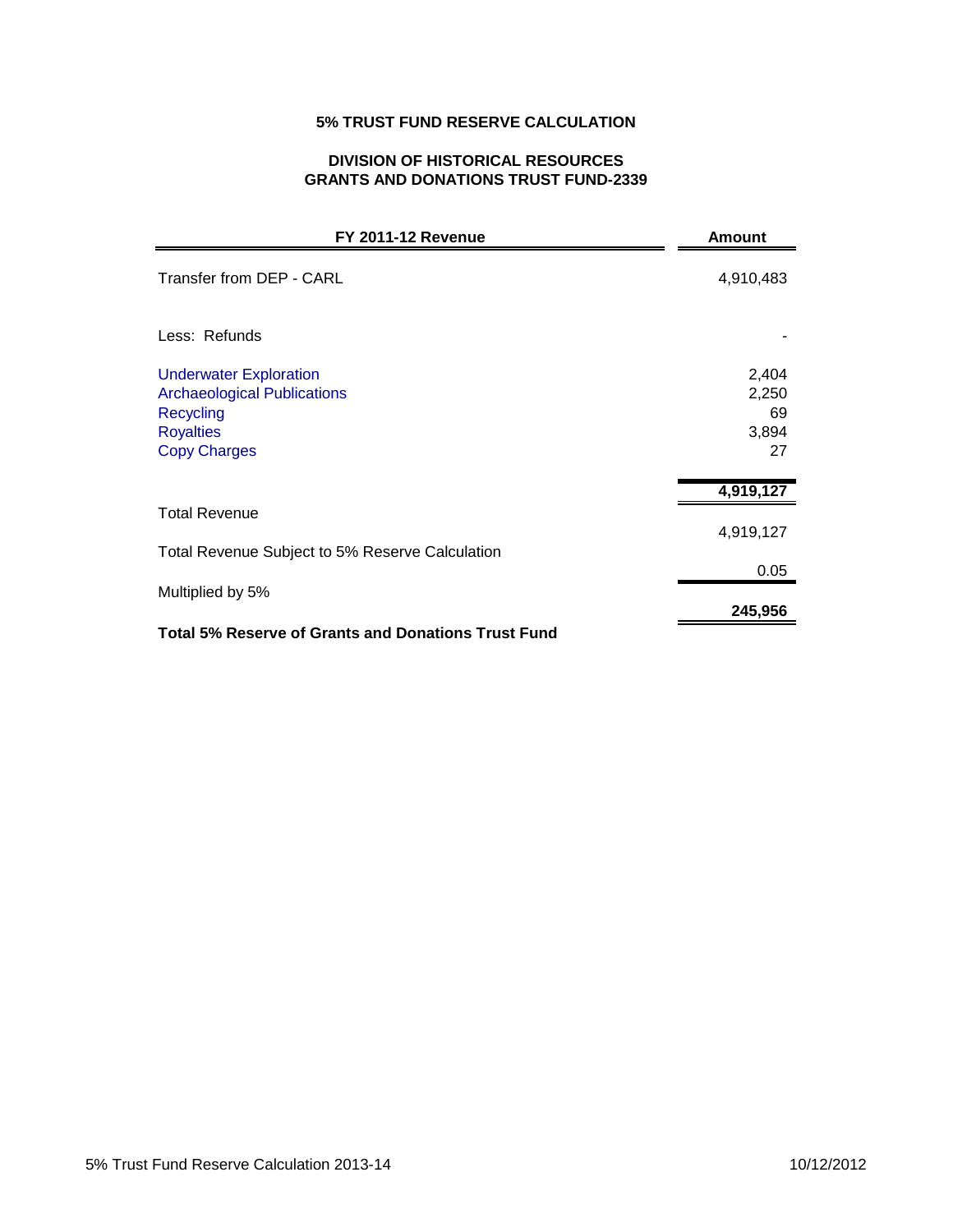# **5% TRUST FUND RESERVE CALCULATION**

# **DIVISION OF HISTORICAL RESOURCES GRANTS AND DONATIONS TRUST FUND-2339**

| <b>FY 2011-12 Revenue</b>                                                                                                   | <b>Amount</b>                       |
|-----------------------------------------------------------------------------------------------------------------------------|-------------------------------------|
| Transfer from DEP - CARL                                                                                                    | 4,910,483                           |
| Less: Refunds                                                                                                               |                                     |
| <b>Underwater Exploration</b><br><b>Archaeological Publications</b><br>Recycling<br><b>Royalties</b><br><b>Copy Charges</b> | 2,404<br>2,250<br>69<br>3,894<br>27 |
|                                                                                                                             | 4,919,127                           |
| <b>Total Revenue</b>                                                                                                        | 4,919,127                           |
| Total Revenue Subject to 5% Reserve Calculation                                                                             | 0.05                                |
| Multiplied by 5%                                                                                                            |                                     |
|                                                                                                                             | 245,956                             |
| <b>Total 5% Reserve of Grants and Donations Trust Fund</b>                                                                  |                                     |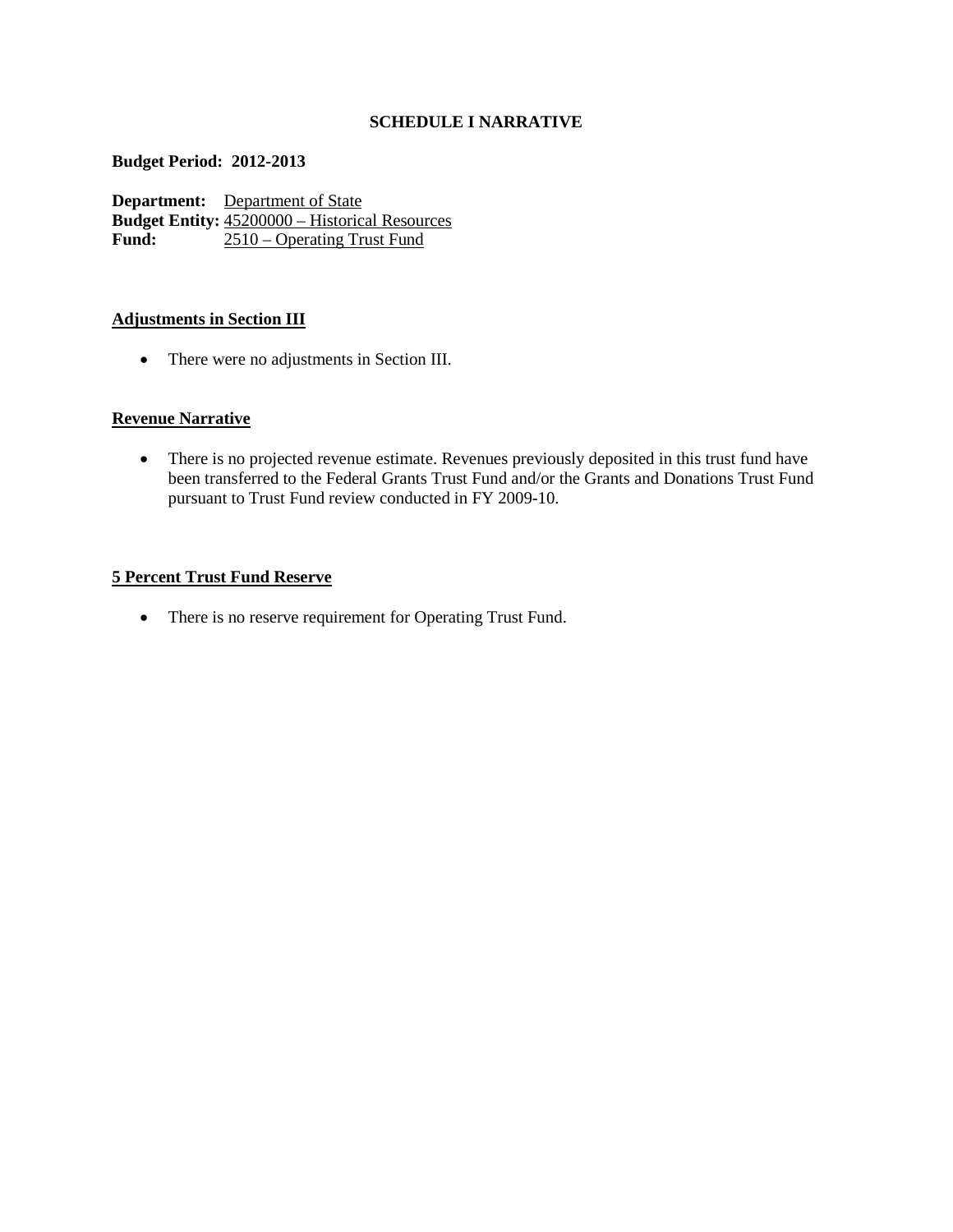# **SCHEDULE I NARRATIVE**

#### **Budget Period: 2012-2013**

**Department:** Department of State **Budget Entity:**  $\frac{45200000 - \text{Historical Resources}}{2510 - \text{Operating Trust Fund}}$ **Fund:** 2510 – Operating Trust Fund

#### **Adjustments in Section III**

• There were no adjustments in Section III.

## **Revenue Narrative**

• There is no projected revenue estimate. Revenues previously deposited in this trust fund have been transferred to the Federal Grants Trust Fund and/or the Grants and Donations Trust Fund pursuant to Trust Fund review conducted in FY 2009-10.

#### **5 Percent Trust Fund Reserve**

• There is no reserve requirement for Operating Trust Fund.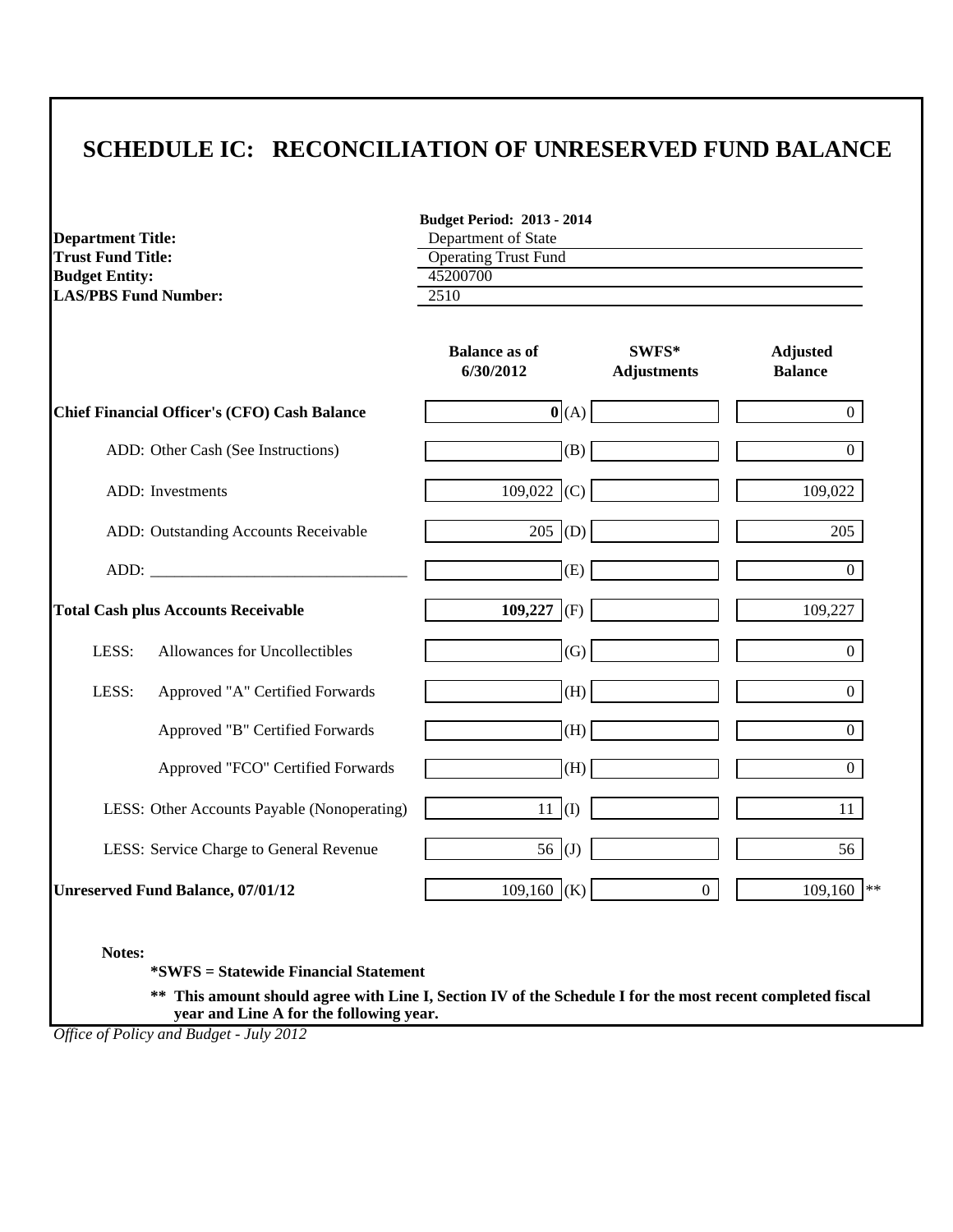|                             |                                                     | <b>Budget Period: 2013 - 2014</b> |                             |                                   |  |  |
|-----------------------------|-----------------------------------------------------|-----------------------------------|-----------------------------|-----------------------------------|--|--|
| <b>Department Title:</b>    |                                                     | Department of State               |                             |                                   |  |  |
| <b>Trust Fund Title:</b>    |                                                     | <b>Operating Trust Fund</b>       |                             |                                   |  |  |
| <b>Budget Entity:</b>       |                                                     | 45200700                          |                             |                                   |  |  |
| <b>LAS/PBS Fund Number:</b> |                                                     | 2510                              |                             |                                   |  |  |
|                             |                                                     | <b>Balance as of</b><br>6/30/2012 | SWFS*<br><b>Adjustments</b> | <b>Adjusted</b><br><b>Balance</b> |  |  |
|                             | <b>Chief Financial Officer's (CFO) Cash Balance</b> |                                   | $\mathbf{0}$ (A)            | $\Omega$                          |  |  |
|                             | ADD: Other Cash (See Instructions)                  | $\vert$ (B) $\vert$               |                             | $\Omega$                          |  |  |
|                             | ADD: Investments                                    | 109,022 (C)                       |                             | 109,022                           |  |  |
|                             | ADD: Outstanding Accounts Receivable                | 205  (D)                          |                             | 205                               |  |  |
|                             | ADD:                                                | (E)                               |                             | $\Omega$                          |  |  |
|                             | <b>Total Cash plus Accounts Receivable</b>          | 109,227 (F)                       |                             | 109,227                           |  |  |
| LESS:                       | Allowances for Uncollectibles                       | (G)                               |                             | $\Omega$                          |  |  |
| LESS:                       | Approved "A" Certified Forwards                     | (H)                               |                             | $\Omega$                          |  |  |
|                             | Approved "B" Certified Forwards                     | (H)                               |                             | $\Omega$                          |  |  |
|                             | Approved "FCO" Certified Forwards                   | (H)                               |                             | $\overline{0}$                    |  |  |
|                             | LESS: Other Accounts Payable (Nonoperating)         | $11 \t(I)$                        |                             | 11                                |  |  |
|                             | LESS: Service Charge to General Revenue             | 56 $(J)$                          |                             | 56                                |  |  |
|                             | <b>Unreserved Fund Balance, 07/01/12</b>            | 109,160 (K)                       | $\overline{0}$              | 109,160<br>$\ast$ $\ast$          |  |  |

**Notes:**

**\*SWFS = Statewide Financial Statement** 

**\*\* This amount should agree with Line I, Section IV of the Schedule I for the most recent completed fiscal year and Line A for the following year.**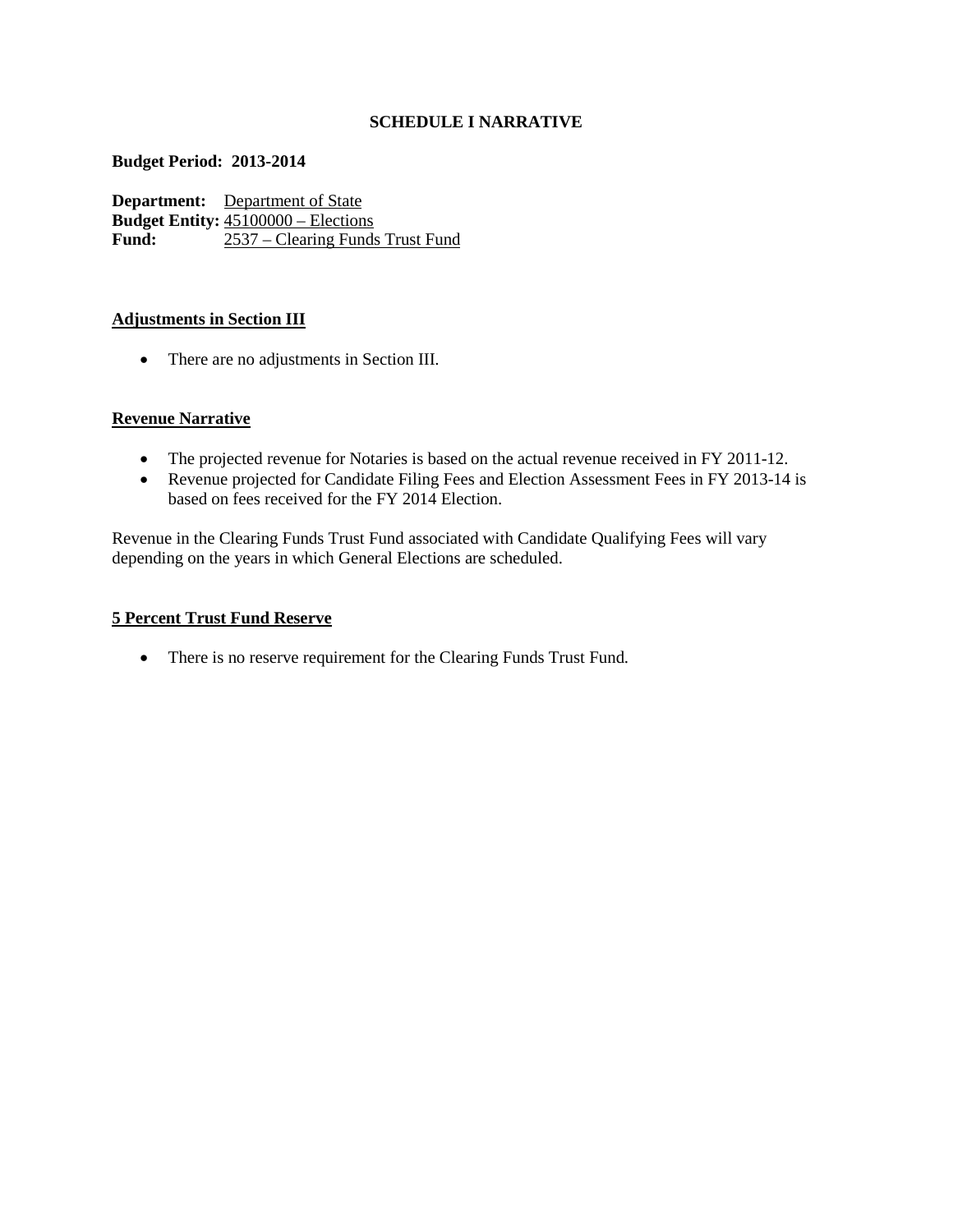## **SCHEDULE I NARRATIVE**

#### **Budget Period: 2013-2014**

**Department:** Department of State **Budget Entity:**  $\frac{45100000 - \text{Elections}}{2537 - \text{Clearing Funds}}$ **Fund:** 2537 – Clearing Funds Trust Fund

## **Adjustments in Section III**

• There are no adjustments in Section III.

# **Revenue Narrative**

- The projected revenue for Notaries is based on the actual revenue received in FY 2011-12.
- Revenue projected for Candidate Filing Fees and Election Assessment Fees in FY 2013-14 is based on fees received for the FY 2014 Election.

Revenue in the Clearing Funds Trust Fund associated with Candidate Qualifying Fees will vary depending on the years in which General Elections are scheduled.

## **5 Percent Trust Fund Reserve**

• There is no reserve requirement for the Clearing Funds Trust Fund.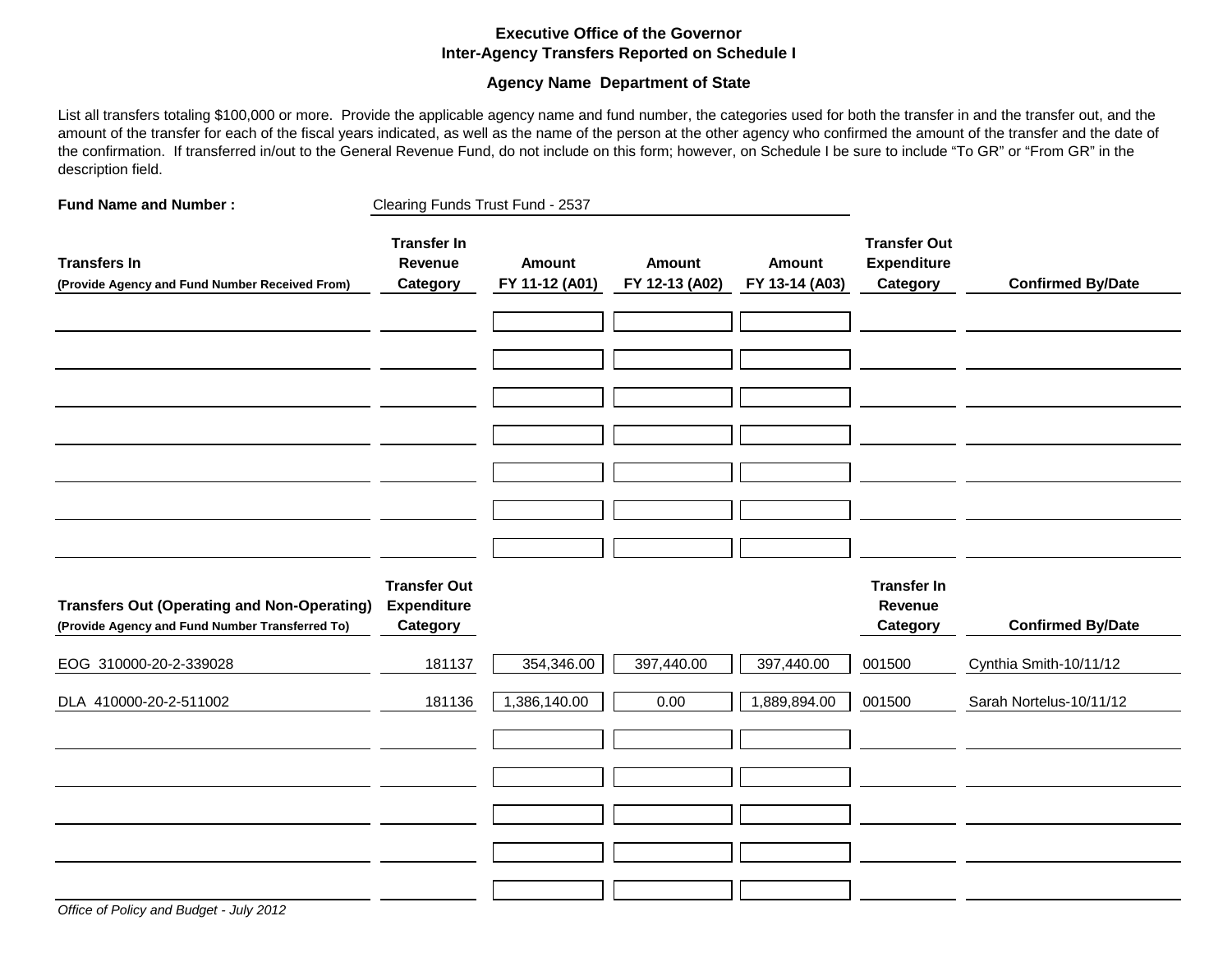#### **Executive Office of the Governor Inter-Agency Transfers Reported on Schedule I**

#### **Agency Name Department of State**

List all transfers totaling \$100,000 or more. Provide the applicable agency name and fund number, the categories used for both the transfer in and the transfer out, and the amount of the transfer for each of the fiscal years indicated, as well as the name of the person at the other agency who confirmed the amount of the transfer and the date of the confirmation. If transferred in/out to the General Revenue Fund, do not include on this form; however, on Schedule I be sure to include "To GR" or "From GR" in the description field.

| <b>Fund Name and Number:</b>                                                                          | Clearing Funds Trust Fund - 2537                      |                          |                                 |                                 |                                                       |                          |
|-------------------------------------------------------------------------------------------------------|-------------------------------------------------------|--------------------------|---------------------------------|---------------------------------|-------------------------------------------------------|--------------------------|
| <b>Transfers In</b><br>(Provide Agency and Fund Number Received From)                                 | <b>Transfer In</b><br>Revenue<br>Category             | Amount<br>FY 11-12 (A01) | <b>Amount</b><br>FY 12-13 (A02) | <b>Amount</b><br>FY 13-14 (A03) | <b>Transfer Out</b><br><b>Expenditure</b><br>Category | <b>Confirmed By/Date</b> |
|                                                                                                       |                                                       |                          |                                 |                                 |                                                       |                          |
|                                                                                                       |                                                       |                          |                                 |                                 |                                                       |                          |
|                                                                                                       |                                                       |                          |                                 |                                 |                                                       |                          |
|                                                                                                       |                                                       |                          |                                 |                                 |                                                       |                          |
|                                                                                                       |                                                       |                          |                                 |                                 |                                                       |                          |
| <b>Transfers Out (Operating and Non-Operating)</b><br>(Provide Agency and Fund Number Transferred To) | <b>Transfer Out</b><br><b>Expenditure</b><br>Category |                          |                                 |                                 | <b>Transfer In</b><br>Revenue<br>Category             | <b>Confirmed By/Date</b> |
| EOG 310000-20-2-339028                                                                                | 181137                                                | 354,346.00               | 397,440.00                      | 397,440.00                      | 001500                                                | Cynthia Smith-10/11/12   |
| DLA 410000-20-2-511002                                                                                | 181136                                                | 1,386,140.00             | 0.00                            | 1,889,894.00                    | 001500                                                | Sarah Nortelus-10/11/12  |
|                                                                                                       |                                                       |                          |                                 |                                 |                                                       |                          |
|                                                                                                       |                                                       |                          |                                 |                                 |                                                       |                          |
|                                                                                                       |                                                       |                          |                                 |                                 |                                                       |                          |
|                                                                                                       |                                                       |                          |                                 |                                 |                                                       |                          |
|                                                                                                       |                                                       |                          |                                 |                                 |                                                       |                          |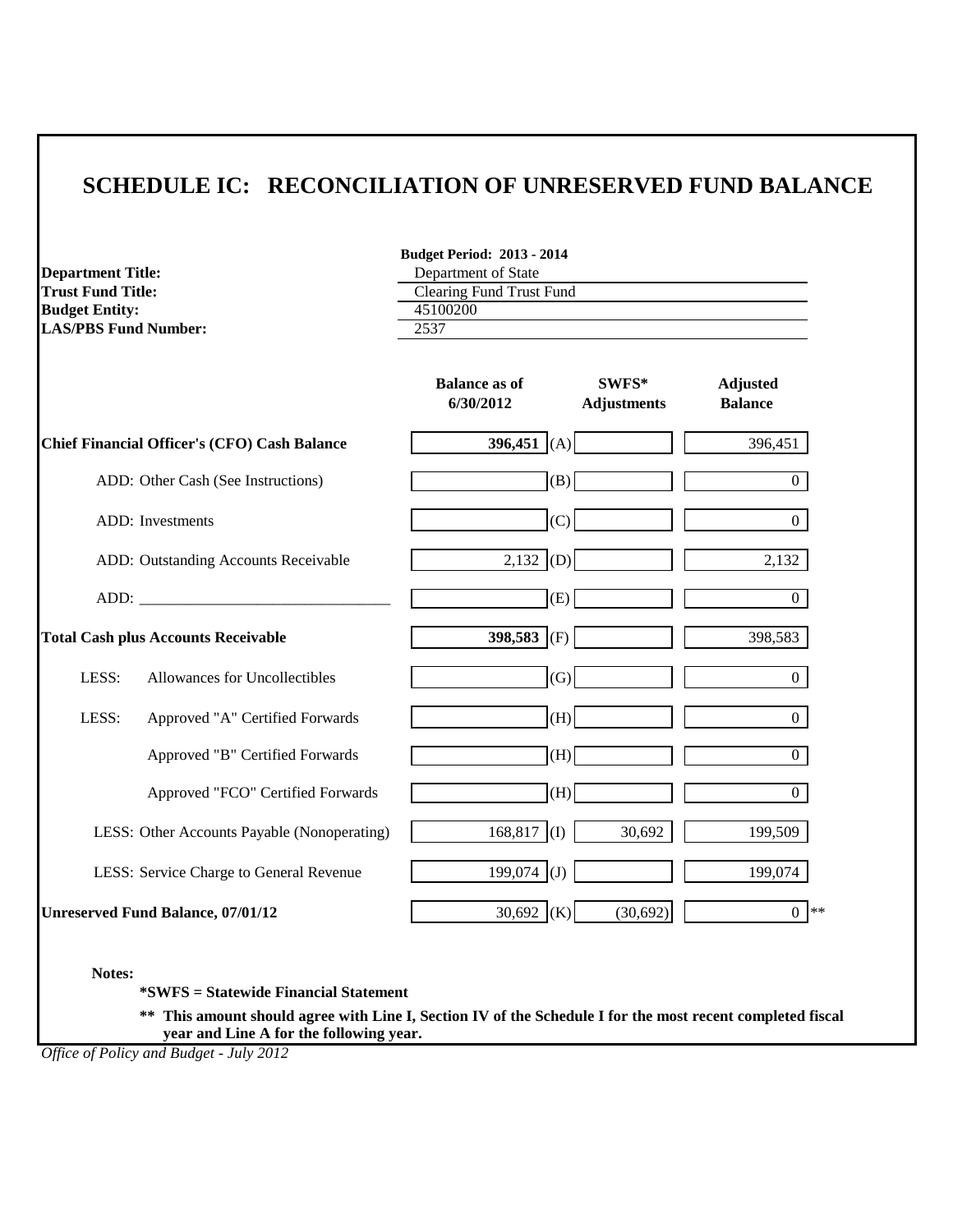| <b>Department Title:</b><br><b>Trust Fund Title:</b><br><b>Budget Entity:</b><br><b>LAS/PBS Fund Number:</b> | <b>Budget Period: 2013 - 2014</b><br>Department of State<br><b>Clearing Fund Trust Fund</b><br>45100200<br>2537 |                                   |  |
|--------------------------------------------------------------------------------------------------------------|-----------------------------------------------------------------------------------------------------------------|-----------------------------------|--|
|                                                                                                              | <b>Balance as of</b><br>SWFS*<br>6/30/2012<br><b>Adjustments</b>                                                | <b>Adjusted</b><br><b>Balance</b> |  |
| <b>Chief Financial Officer's (CFO) Cash Balance</b>                                                          | 396,451 (A)                                                                                                     | 396,451                           |  |
| ADD: Other Cash (See Instructions)                                                                           | (B)                                                                                                             | $\boldsymbol{0}$                  |  |
| ADD: Investments                                                                                             | (C)                                                                                                             | $\theta$                          |  |
| ADD: Outstanding Accounts Receivable                                                                         | 2,132<br>(D)                                                                                                    | 2,132                             |  |
| ADD:                                                                                                         | (E)                                                                                                             | $\Omega$                          |  |
| <b>Total Cash plus Accounts Receivable</b>                                                                   | 398,583 (F)                                                                                                     | 398,583                           |  |
| LESS:<br>Allowances for Uncollectibles                                                                       | (G)                                                                                                             | $\Omega$                          |  |
| LESS:<br>Approved "A" Certified Forwards                                                                     | (H)                                                                                                             | $\Omega$                          |  |
| Approved "B" Certified Forwards                                                                              | (H)                                                                                                             | $\overline{0}$                    |  |
| Approved "FCO" Certified Forwards                                                                            | (H)                                                                                                             | $\overline{0}$                    |  |
| LESS: Other Accounts Payable (Nonoperating)                                                                  | 168,817<br>(1)<br>30,692                                                                                        | 199,509                           |  |
| LESS: Service Charge to General Revenue                                                                      | 199,074<br>(J)                                                                                                  | 199,074                           |  |
| <b>Unreserved Fund Balance, 07/01/12</b>                                                                     | 30,692 (K)<br>(30,692)                                                                                          | $0 *$                             |  |

**Notes:**

**\*SWFS = Statewide Financial Statement** 

**\*\* This amount should agree with Line I, Section IV of the Schedule I for the most recent completed fiscal year and Line A for the following year.**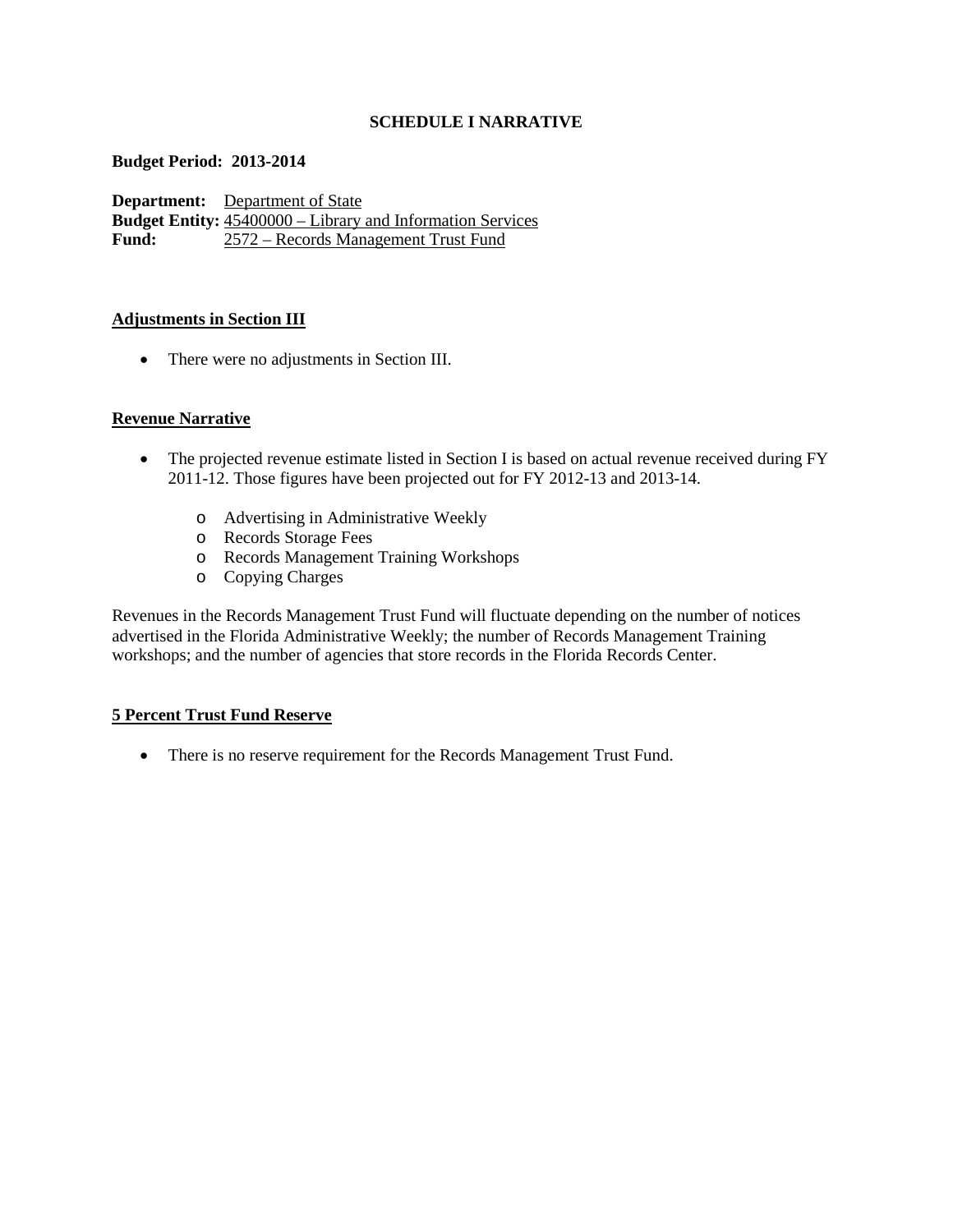## **SCHEDULE I NARRATIVE**

#### **Budget Period: 2013-2014**

**Department:** Department of State **Budget Entity:**  $\frac{45400000 - \text{Library and Information Services}}{2572 - \text{ Records Management Trust Fund}}$ **Fund:** 2572 – Records Management Trust Fund

#### **Adjustments in Section III**

• There were no adjustments in Section III.

## **Revenue Narrative**

- The projected revenue estimate listed in Section I is based on actual revenue received during FY 2011-12. Those figures have been projected out for FY 2012-13 and 2013-14.
	- o Advertising in Administrative Weekly
	- o Records Storage Fees
	- o Records Management Training Workshops
	- o Copying Charges

Revenues in the Records Management Trust Fund will fluctuate depending on the number of notices advertised in the Florida Administrative Weekly; the number of Records Management Training workshops; and the number of agencies that store records in the Florida Records Center.

## **5 Percent Trust Fund Reserve**

• There is no reserve requirement for the Records Management Trust Fund.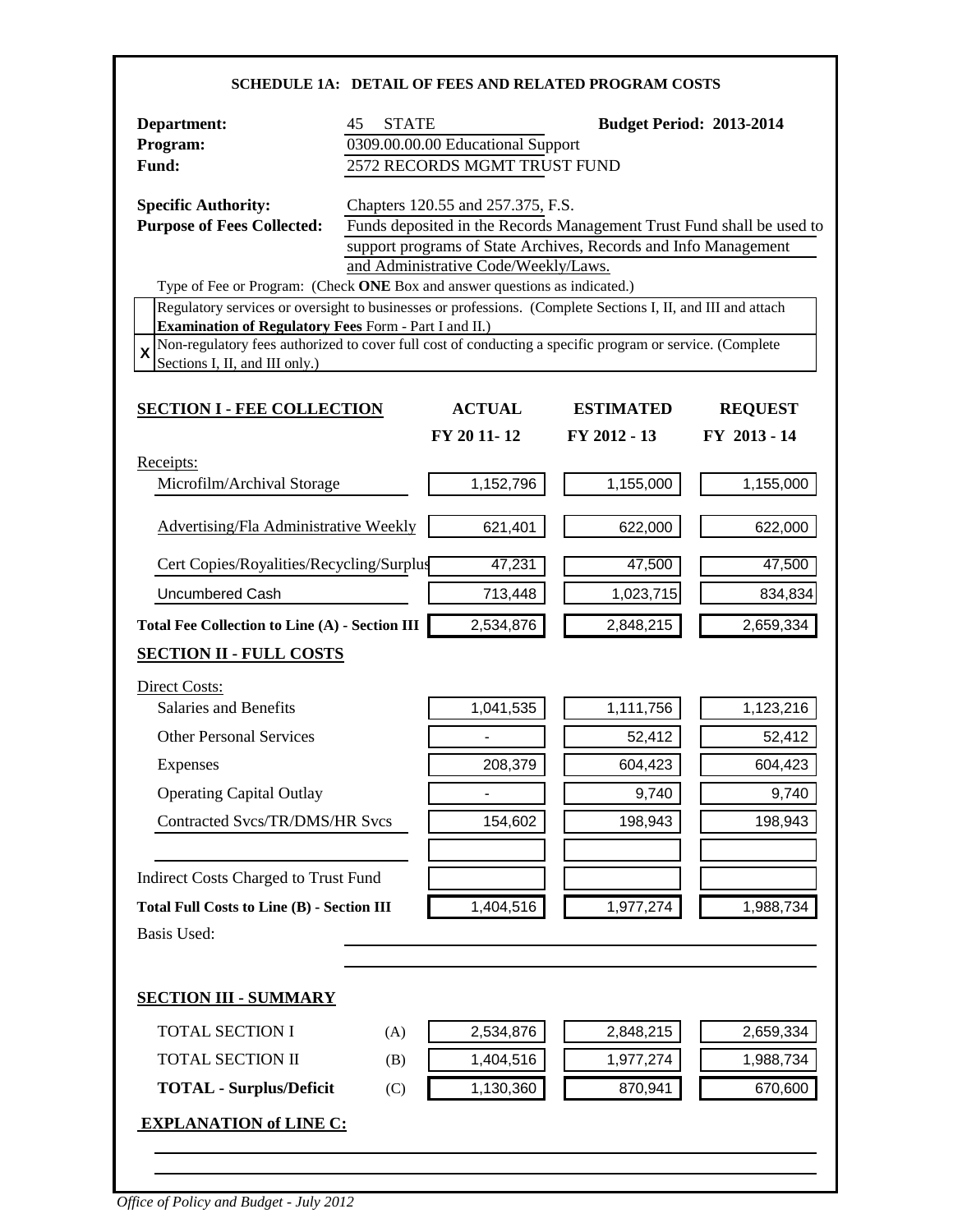| <b>SCHEDULE 1A: DETAIL OF FEES AND RELATED PROGRAM COSTS</b>                                                                                                                                                                                                                                                                                                                                                                       |                                                                                                                                                                                                                       |                                                                                                          |                                                                                                                                |                                                                                                                              |
|------------------------------------------------------------------------------------------------------------------------------------------------------------------------------------------------------------------------------------------------------------------------------------------------------------------------------------------------------------------------------------------------------------------------------------|-----------------------------------------------------------------------------------------------------------------------------------------------------------------------------------------------------------------------|----------------------------------------------------------------------------------------------------------|--------------------------------------------------------------------------------------------------------------------------------|------------------------------------------------------------------------------------------------------------------------------|
| Department:<br>Program:<br>Fund:                                                                                                                                                                                                                                                                                                                                                                                                   | <b>STATE</b><br>45                                                                                                                                                                                                    | 0309.00.00.00 Educational Support<br>2572 RECORDS MGMT TRUST FUND                                        | <b>Budget Period: 2013-2014</b>                                                                                                |                                                                                                                              |
| <b>Specific Authority:</b><br><b>Purpose of Fees Collected:</b>                                                                                                                                                                                                                                                                                                                                                                    | Chapters 120.55 and 257.375, F.S.<br>Funds deposited in the Records Management Trust Fund shall be used to<br>support programs of State Archives, Records and Info Management<br>and Administrative Code/Weekly/Laws. |                                                                                                          |                                                                                                                                |                                                                                                                              |
| Type of Fee or Program: (Check ONE Box and answer questions as indicated.)<br>Regulatory services or oversight to businesses or professions. (Complete Sections I, II, and III and attach<br><b>Examination of Regulatory Fees Form - Part I and II.)</b><br>Non-regulatory fees authorized to cover full cost of conducting a specific program or service. (Complete<br>$\overline{\mathbf{x}}$<br>Sections I, II, and III only.) |                                                                                                                                                                                                                       |                                                                                                          |                                                                                                                                |                                                                                                                              |
| <b>SECTION I - FEE COLLECTION</b>                                                                                                                                                                                                                                                                                                                                                                                                  |                                                                                                                                                                                                                       | <b>ACTUAL</b>                                                                                            | <b>ESTIMATED</b>                                                                                                               | <b>REQUEST</b>                                                                                                               |
| Receipts:<br>Microfilm/Archival Storage<br><b>Advertising/Fla Administrative Weekly</b><br>Cert Copies/Royalities/Recycling/Surplus<br>Uncumbered Cash<br><b>Total Fee Collection to Line (A) - Section III</b><br><b>SECTION II - FULL COSTS</b><br>Direct Costs:<br>Salaries and Benefits<br><b>Other Personal Services</b><br>Expenses<br><b>Operating Capital Outlay</b><br><b>Contracted Svcs/TR/DMS/HR Svcs</b>              |                                                                                                                                                                                                                       | FY 20 11-12<br>1,152,796<br>621,401<br>47,231<br>713,448<br>2,534,876<br>1,041,535<br>208,379<br>154,602 | FY 2012 - 13<br>1,155,000<br>622,000<br>47,500<br>1,023,715<br>2,848,215<br>1,111,756<br>52,412<br>604,423<br>9,740<br>198,943 | FY 2013 - 14<br>1,155,000<br>622,000<br>47,500<br>834,834<br>2,659,334<br>1,123,216<br>52,412<br>604,423<br>9,740<br>198,943 |
| Indirect Costs Charged to Trust Fund<br><b>Total Full Costs to Line (B) - Section III</b><br><b>Basis Used:</b>                                                                                                                                                                                                                                                                                                                    |                                                                                                                                                                                                                       | 1,404,516                                                                                                | 1,977,274                                                                                                                      | 1,988,734                                                                                                                    |
| <b>SECTION III - SUMMARY</b>                                                                                                                                                                                                                                                                                                                                                                                                       |                                                                                                                                                                                                                       |                                                                                                          |                                                                                                                                |                                                                                                                              |
| <b>TOTAL SECTION I</b><br><b>TOTAL SECTION II</b>                                                                                                                                                                                                                                                                                                                                                                                  | (A)<br>(B)                                                                                                                                                                                                            | 2,534,876<br>1,404,516                                                                                   | 2,848,215<br>1,977,274                                                                                                         | 2,659,334<br>1,988,734                                                                                                       |
| <b>TOTAL - Surplus/Deficit</b>                                                                                                                                                                                                                                                                                                                                                                                                     | (C)                                                                                                                                                                                                                   | 1,130,360                                                                                                | 870,941                                                                                                                        | 670,600                                                                                                                      |
| <b>EXPLANATION of LINE C:</b>                                                                                                                                                                                                                                                                                                                                                                                                      |                                                                                                                                                                                                                       |                                                                                                          |                                                                                                                                |                                                                                                                              |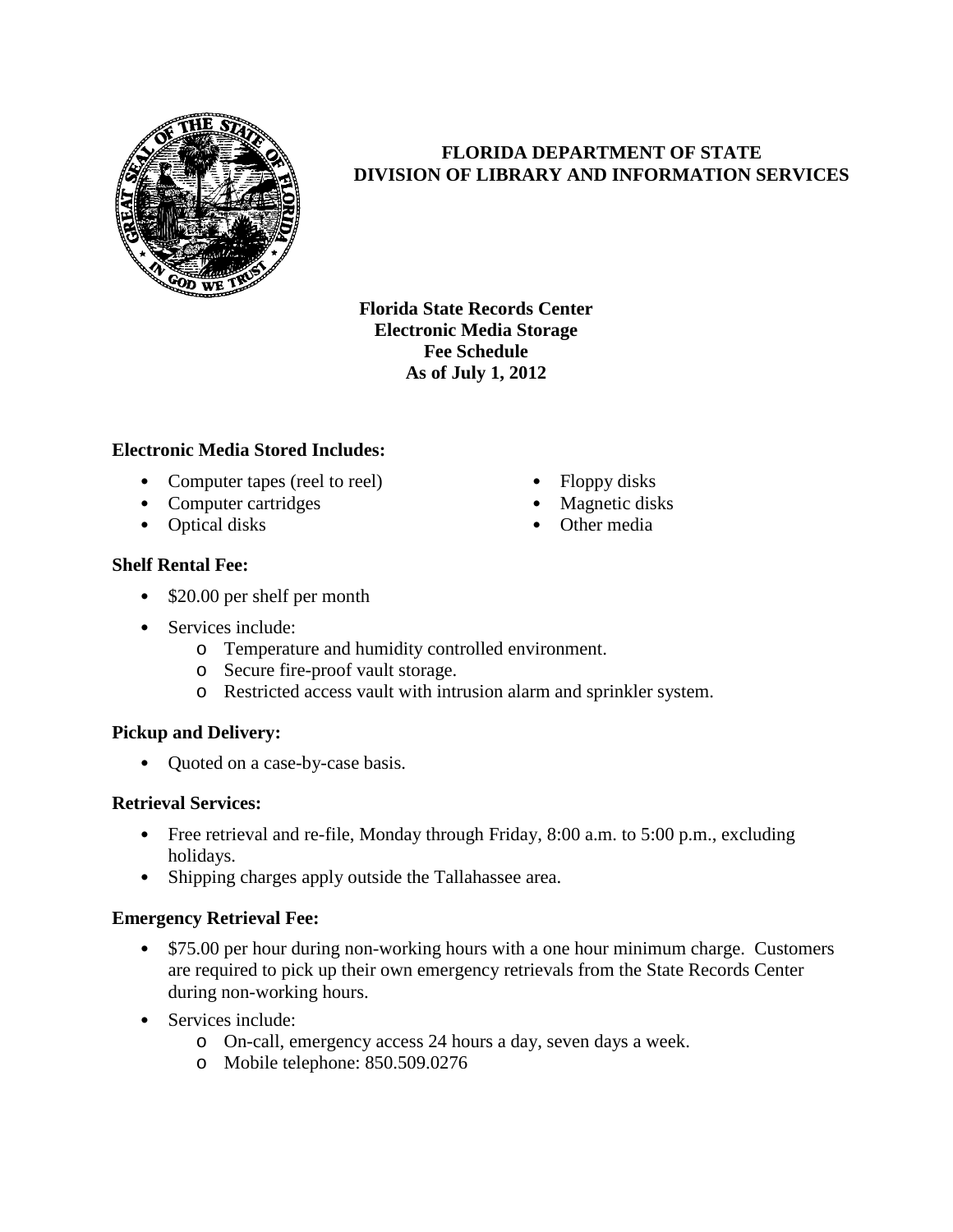

# **FLORIDA DEPARTMENT OF STATE DIVISION OF LIBRARY AND INFORMATION SERVICES**

• Floppy disks Magnetic disks • Other media

**Florida State Records Center Electronic Media Storage Fee Schedule As of July 1, 2012**

# **Electronic Media Stored Includes:**

- Computer tapes (reel to reel)
- Computer cartridges
- Optical disks

# **Shelf Rental Fee:**

- \$20.00 per shelf per month
- Services include:
	- o Temperature and humidity controlled environment.
	- o Secure fire-proof vault storage.
	- o Restricted access vault with intrusion alarm and sprinkler system.

# **Pickup and Delivery:**

• Ouoted on a case-by-case basis.

# **Retrieval Services:**

- Free retrieval and re-file, Monday through Friday, 8:00 a.m. to 5:00 p.m., excluding holidays.
- Shipping charges apply outside the Tallahassee area.

# **Emergency Retrieval Fee:**

- \$75.00 per hour during non-working hours with a one hour minimum charge. Customers are required to pick up their own emergency retrievals from the State Records Center during non-working hours.
- Services include:
	- o On-call, emergency access 24 hours a day, seven days a week.
	- o Mobile telephone: 850.509.0276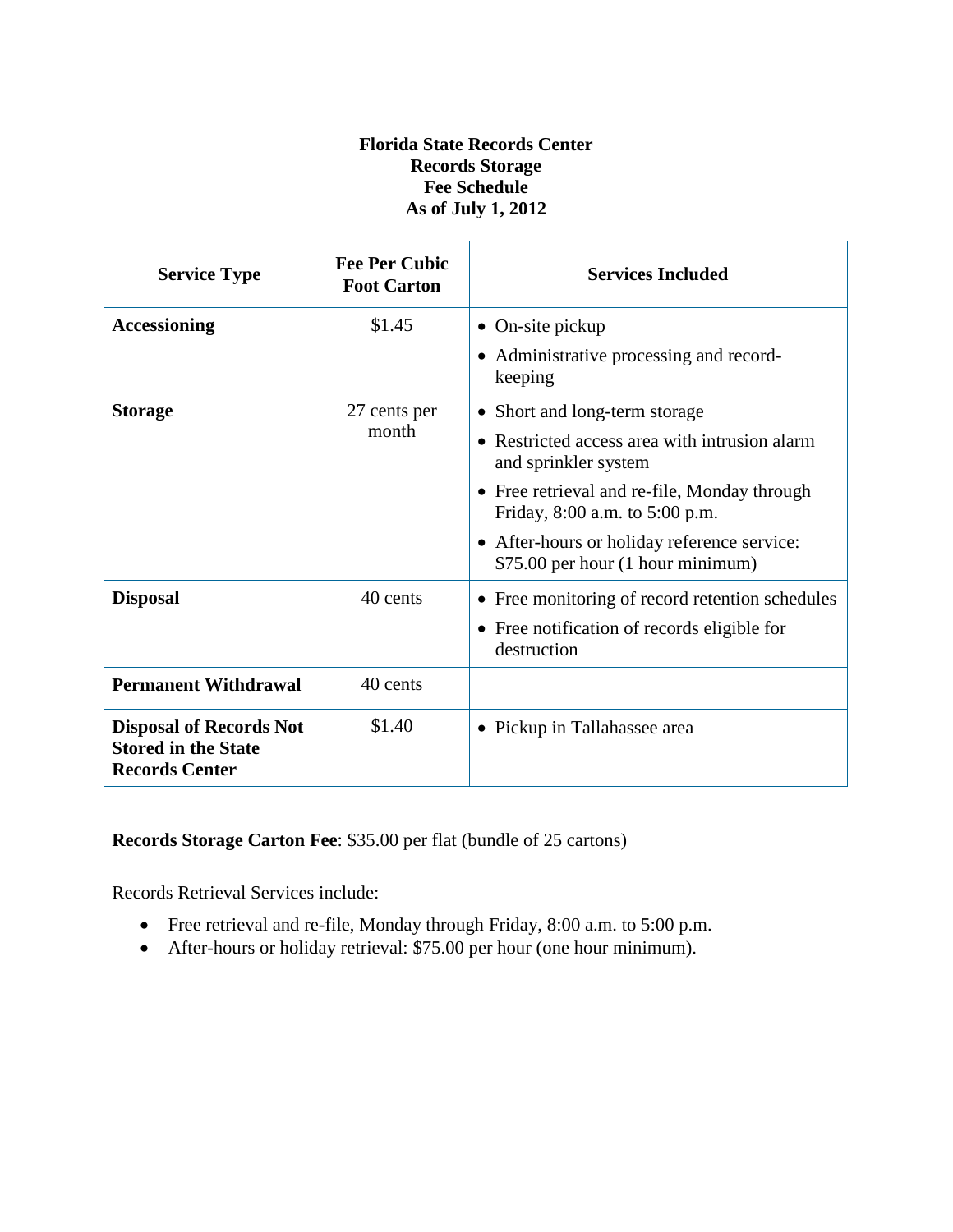# **Florida State Records Center Records Storage Fee Schedule As of July 1, 2012**

| <b>Service Type</b>                                                                   | <b>Fee Per Cubic</b><br><b>Foot Carton</b> | <b>Services Included</b>                                                         |  |
|---------------------------------------------------------------------------------------|--------------------------------------------|----------------------------------------------------------------------------------|--|
| <b>Accessioning</b>                                                                   | \$1.45                                     | $\bullet$ On-site pickup                                                         |  |
|                                                                                       |                                            | • Administrative processing and record-<br>keeping                               |  |
| <b>Storage</b>                                                                        | 27 cents per                               | • Short and long-term storage                                                    |  |
|                                                                                       | month                                      | • Restricted access area with intrusion alarm<br>and sprinkler system            |  |
|                                                                                       |                                            | • Free retrieval and re-file, Monday through<br>Friday, 8:00 a.m. to 5:00 p.m.   |  |
|                                                                                       |                                            | • After-hours or holiday reference service:<br>\$75.00 per hour (1 hour minimum) |  |
| <b>Disposal</b>                                                                       | 40 cents                                   | • Free monitoring of record retention schedules                                  |  |
|                                                                                       |                                            | • Free notification of records eligible for<br>destruction                       |  |
| <b>Permanent Withdrawal</b>                                                           | 40 cents                                   |                                                                                  |  |
| <b>Disposal of Records Not</b><br><b>Stored in the State</b><br><b>Records Center</b> | \$1.40                                     | • Pickup in Tallahassee area                                                     |  |

# **Records Storage Carton Fee**: \$35.00 per flat (bundle of 25 cartons)

Records Retrieval Services include:

- Free retrieval and re-file, Monday through Friday, 8:00 a.m. to 5:00 p.m.
- After-hours or holiday retrieval: \$75.00 per hour (one hour minimum).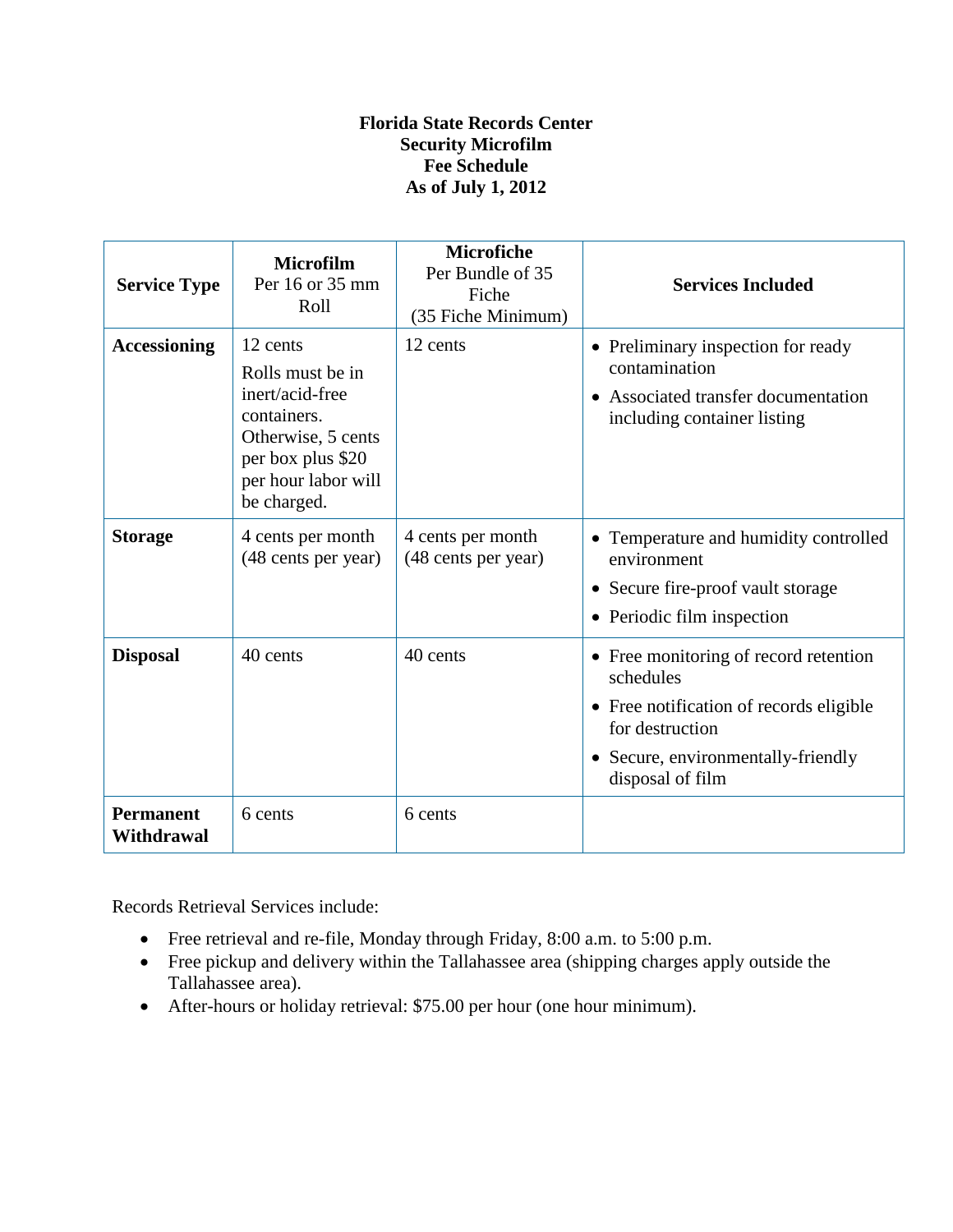# **Florida State Records Center Security Microfilm Fee Schedule As of July 1, 2012**

| <b>Service Type</b>            | <b>Microfilm</b><br>Per 16 or 35 mm<br>Roll                                                                                                     | <b>Microfiche</b><br>Per Bundle of 35<br>Fiche<br>(35 Fiche Minimum) | <b>Services Included</b>                                                                                                                                                   |
|--------------------------------|-------------------------------------------------------------------------------------------------------------------------------------------------|----------------------------------------------------------------------|----------------------------------------------------------------------------------------------------------------------------------------------------------------------------|
| <b>Accessioning</b>            | 12 cents<br>Rolls must be in<br>inert/acid-free<br>containers.<br>Otherwise, 5 cents<br>per box plus \$20<br>per hour labor will<br>be charged. | 12 cents                                                             | • Preliminary inspection for ready<br>contamination<br>• Associated transfer documentation<br>including container listing                                                  |
| <b>Storage</b>                 | 4 cents per month<br>(48 cents per year)                                                                                                        | 4 cents per month<br>(48 cents per year)                             | • Temperature and humidity controlled<br>environment<br>• Secure fire-proof vault storage<br>• Periodic film inspection                                                    |
| <b>Disposal</b>                | 40 cents                                                                                                                                        | 40 cents                                                             | • Free monitoring of record retention<br>schedules<br>• Free notification of records eligible<br>for destruction<br>• Secure, environmentally-friendly<br>disposal of film |
| <b>Permanent</b><br>Withdrawal | 6 cents                                                                                                                                         | 6 cents                                                              |                                                                                                                                                                            |

Records Retrieval Services include:

- Free retrieval and re-file, Monday through Friday, 8:00 a.m. to 5:00 p.m.
- Free pickup and delivery within the Tallahassee area (shipping charges apply outside the Tallahassee area).
- After-hours or holiday retrieval: \$75.00 per hour (one hour minimum).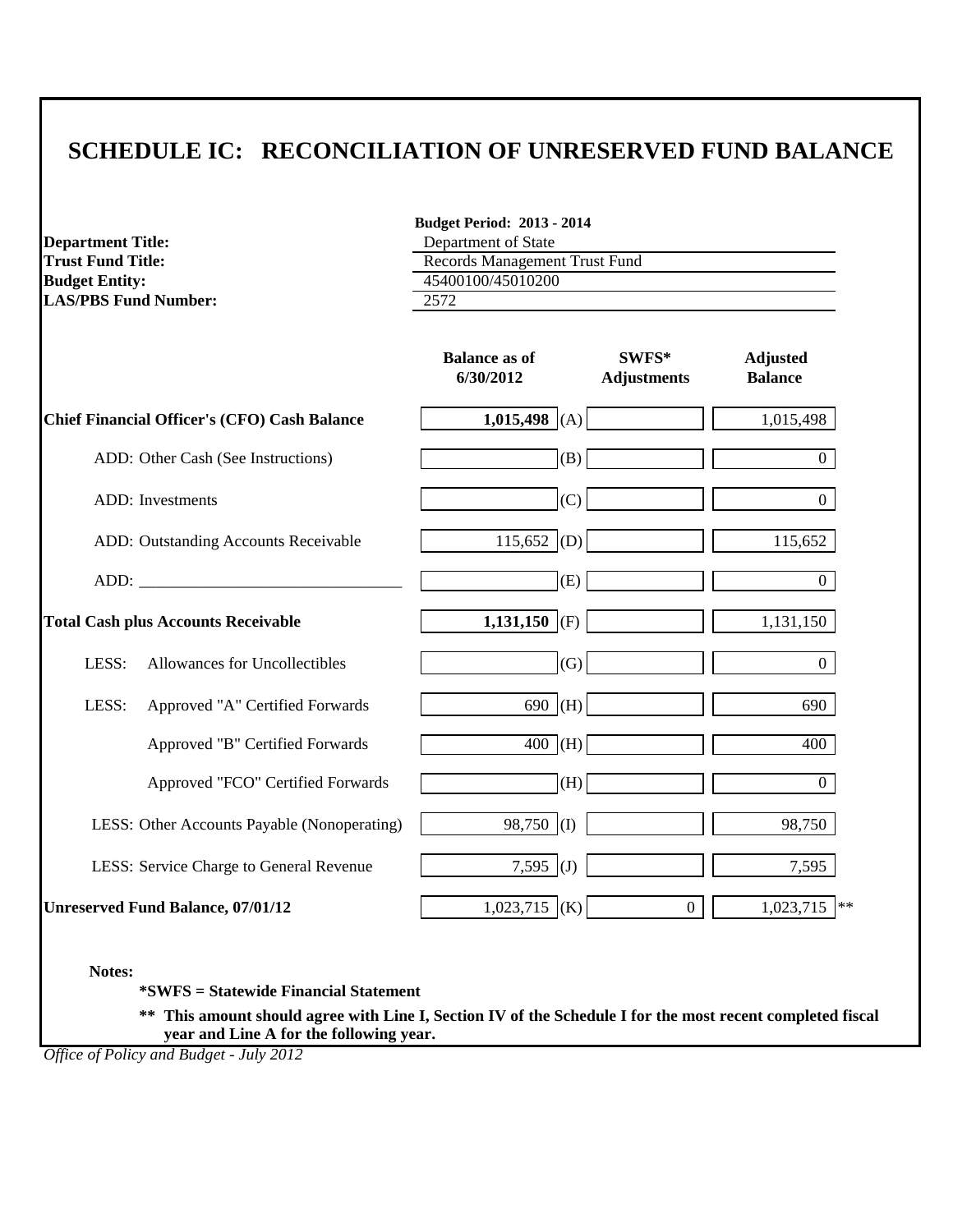|                                                      | <b>Budget Period: 2013 - 2014</b>                    |                             |                                   |  |  |
|------------------------------------------------------|------------------------------------------------------|-----------------------------|-----------------------------------|--|--|
| <b>Department Title:</b><br><b>Trust Fund Title:</b> | Department of State<br>Records Management Trust Fund |                             |                                   |  |  |
| <b>Budget Entity:</b>                                | 45400100/45010200                                    |                             |                                   |  |  |
| <b>LAS/PBS Fund Number:</b>                          | 2572                                                 |                             |                                   |  |  |
|                                                      |                                                      |                             |                                   |  |  |
|                                                      | <b>Balance as of</b><br>6/30/2012                    | SWFS*<br><b>Adjustments</b> | <b>Adjusted</b><br><b>Balance</b> |  |  |
| <b>Chief Financial Officer's (CFO) Cash Balance</b>  | 1,015,498 (A)                                        |                             | 1,015,498                         |  |  |
| ADD: Other Cash (See Instructions)                   | (B)                                                  |                             | $\overline{0}$                    |  |  |
| ADD: Investments                                     | (C)                                                  |                             | $\boldsymbol{0}$                  |  |  |
| ADD: Outstanding Accounts Receivable                 | $115,652$ (D)                                        |                             | 115,652                           |  |  |
|                                                      | (E)                                                  |                             | $\overline{0}$                    |  |  |
| <b>Total Cash plus Accounts Receivable</b>           | 1,131,150 (F)                                        |                             | 1,131,150                         |  |  |
| LESS:<br>Allowances for Uncollectibles               | (G)                                                  |                             | $\overline{0}$                    |  |  |
| LESS:<br>Approved "A" Certified Forwards             | $690$ (H)                                            |                             | 690                               |  |  |
| Approved "B" Certified Forwards                      | $400$ (H)                                            |                             | 400                               |  |  |
| Approved "FCO" Certified Forwards                    | (H)                                                  |                             | $\overline{0}$                    |  |  |
| LESS: Other Accounts Payable (Nonoperating)          | $98,750$ (I)                                         |                             | 98,750                            |  |  |
| LESS: Service Charge to General Revenue              | 7,595 (J)                                            |                             | 7,595                             |  |  |
| <b>Unreserved Fund Balance, 07/01/12</b>             | $1,023,715$ (K)                                      | $\overline{0}$              | 1,023,715<br>**                   |  |  |

**Notes:**

**\*SWFS = Statewide Financial Statement** 

**\*\* This amount should agree with Line I, Section IV of the Schedule I for the most recent completed fiscal year and Line A for the following year.**